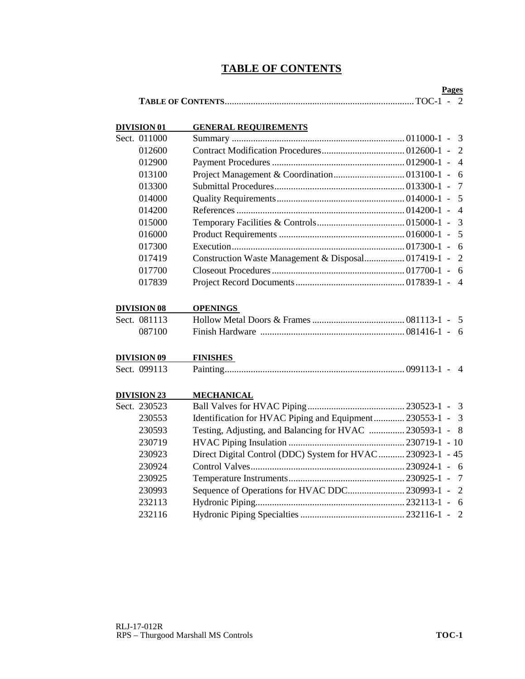# **TABLE OF CONTENTS**

|  | Pages |  |
|--|-------|--|
|  |       |  |

| DIVISION 01        | <b>GENERAL REQUIREMENTS</b>                                 |                 |
|--------------------|-------------------------------------------------------------|-----------------|
| Sect. 011000       |                                                             | $\overline{3}$  |
| 012600             |                                                             | $\overline{2}$  |
| 012900             |                                                             | $\overline{4}$  |
| 013100             |                                                             | 6               |
| 013300             |                                                             | $\tau$          |
| 014000             |                                                             | 5               |
| 014200             |                                                             | $\overline{4}$  |
| 015000             |                                                             | $\overline{3}$  |
| 016000             |                                                             | 5               |
| 017300             |                                                             | 6               |
| 017419             |                                                             | $\overline{2}$  |
| 017700             |                                                             | - 6             |
| 017839             |                                                             | $\overline{4}$  |
| <b>DIVISION 08</b> | <b>OPENINGS</b>                                             |                 |
| Sect. 081113       |                                                             |                 |
| 087100             |                                                             |                 |
| <b>DIVISION 09</b> | <b>FINISHES</b>                                             |                 |
| Sect. 099113       |                                                             |                 |
| <b>DIVISION 23</b> | <b>MECHANICAL</b>                                           |                 |
| Sect. 230523       |                                                             |                 |
| 230553             | Identification for HVAC Piping and Equipment 230553-1 - 3   |                 |
| 230593             | Testing, Adjusting, and Balancing for HVAC  230593-1 -      | 8               |
| 230719             |                                                             |                 |
| 230923             | Direct Digital Control (DDC) System for HVAC  230923-1 - 45 |                 |
| 230924             |                                                             | - 6             |
| 230925             |                                                             | $7\phantom{.0}$ |
| 230993             | Sequence of Operations for HVAC DDC 230993-1 -              | 2               |
| 232113             |                                                             | - 6             |
| 232116             |                                                             |                 |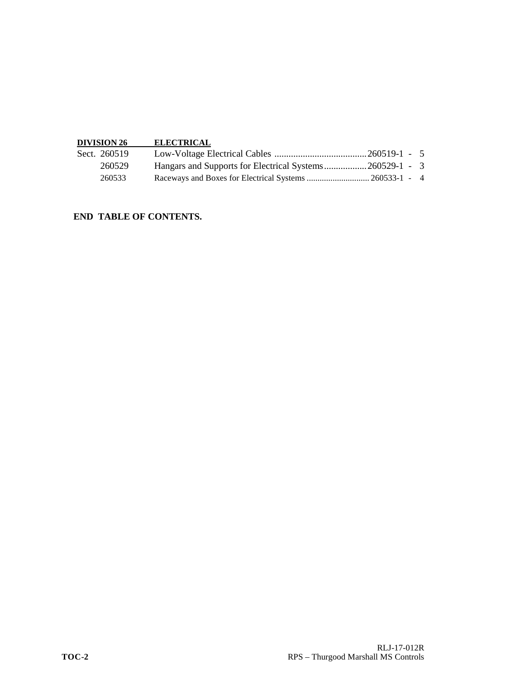| <b>DIVISION 26</b> | <b>ELECTRICAL</b>                                       |  |  |
|--------------------|---------------------------------------------------------|--|--|
| Sect. 260519       |                                                         |  |  |
| 260529             | Hangars and Supports for Electrical Systems260529-1 - 3 |  |  |
| 260533             |                                                         |  |  |

## **END TABLE OF CONTENTS.**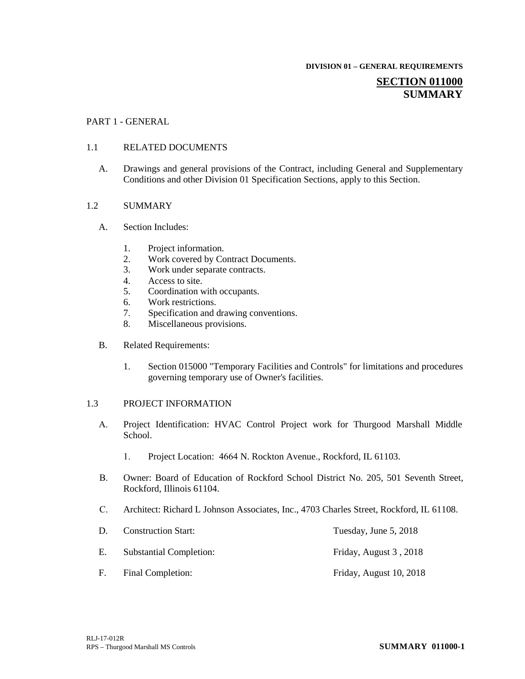**DIVISION 01 – GENERAL REQUIREMENTS**

## **SECTION 011000 SUMMARY**

#### PART 1 - GENERAL

#### 1.1 RELATED DOCUMENTS

A. Drawings and general provisions of the Contract, including General and Supplementary Conditions and other Division 01 Specification Sections, apply to this Section.

#### 1.2 SUMMARY

- A. Section Includes:
	- 1. Project information.
	- 2. Work covered by Contract Documents.<br>3. Work under separate contracts.
	- Work under separate contracts.
	- 4. Access to site.
	- 5. Coordination with occupants.
	- 6. Work restrictions.
	- 7. Specification and drawing conventions.
	- 8. Miscellaneous provisions.
- B. Related Requirements:
	- 1. Section 015000 "Temporary Facilities and Controls" for limitations and procedures governing temporary use of Owner's facilities.

#### 1.3 PROJECT INFORMATION

- A. Project Identification: HVAC Control Project work for Thurgood Marshall Middle School.
	- 1. Project Location: 4664 N. Rockton Avenue., Rockford, IL 61103.
- B. Owner: Board of Education of Rockford School District No. 205, 501 Seventh Street, Rockford, Illinois 61104.
- C. Architect: Richard L Johnson Associates, Inc., 4703 Charles Street, Rockford, IL 61108.

| D. | <b>Construction Start:</b>     | Tuesday, June 5, 2018   |
|----|--------------------------------|-------------------------|
| Е. | <b>Substantial Completion:</b> | Friday, August 3, 2018  |
| E. | Final Completion:              | Friday, August 10, 2018 |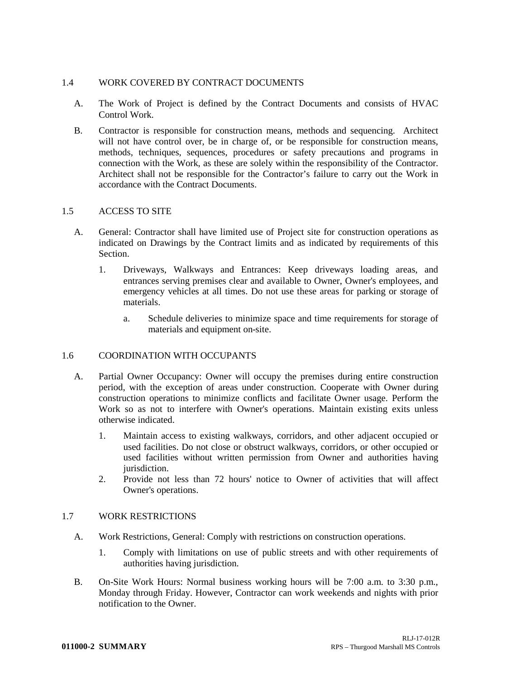## 1.4 WORK COVERED BY CONTRACT DOCUMENTS

- A. The Work of Project is defined by the Contract Documents and consists of HVAC Control Work.
- B. Contractor is responsible for construction means, methods and sequencing. Architect will not have control over, be in charge of, or be responsible for construction means, methods, techniques, sequences, procedures or safety precautions and programs in connection with the Work, as these are solely within the responsibility of the Contractor. Architect shall not be responsible for the Contractor's failure to carry out the Work in accordance with the Contract Documents.

## 1.5 ACCESS TO SITE

- A. General: Contractor shall have limited use of Project site for construction operations as indicated on Drawings by the Contract limits and as indicated by requirements of this Section.
	- 1. Driveways, Walkways and Entrances: Keep driveways loading areas, and entrances serving premises clear and available to Owner, Owner's employees, and emergency vehicles at all times. Do not use these areas for parking or storage of materials.
		- a. Schedule deliveries to minimize space and time requirements for storage of materials and equipment on-site.

## 1.6 COORDINATION WITH OCCUPANTS

- A. Partial Owner Occupancy: Owner will occupy the premises during entire construction period, with the exception of areas under construction. Cooperate with Owner during construction operations to minimize conflicts and facilitate Owner usage. Perform the Work so as not to interfere with Owner's operations. Maintain existing exits unless otherwise indicated.
	- 1. Maintain access to existing walkways, corridors, and other adjacent occupied or used facilities. Do not close or obstruct walkways, corridors, or other occupied or used facilities without written permission from Owner and authorities having jurisdiction.
	- 2. Provide not less than 72 hours' notice to Owner of activities that will affect Owner's operations.

## 1.7 WORK RESTRICTIONS

- A. Work Restrictions, General: Comply with restrictions on construction operations.
	- 1. Comply with limitations on use of public streets and with other requirements of authorities having jurisdiction.
- B. On-Site Work Hours: Normal business working hours will be 7:00 a.m. to 3:30 p.m., Monday through Friday. However, Contractor can work weekends and nights with prior notification to the Owner.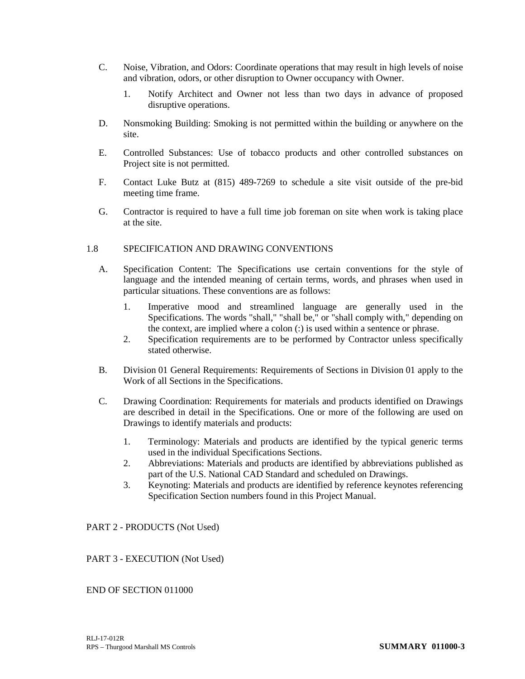- C. Noise, Vibration, and Odors: Coordinate operations that may result in high levels of noise and vibration, odors, or other disruption to Owner occupancy with Owner.
	- 1. Notify Architect and Owner not less than two days in advance of proposed disruptive operations.
- D. Nonsmoking Building: Smoking is not permitted within the building or anywhere on the site.
- E. Controlled Substances: Use of tobacco products and other controlled substances on Project site is not permitted.
- F. Contact Luke Butz at (815) 489-7269 to schedule a site visit outside of the pre-bid meeting time frame.
- G. Contractor is required to have a full time job foreman on site when work is taking place at the site.

## 1.8 SPECIFICATION AND DRAWING CONVENTIONS

- A. Specification Content: The Specifications use certain conventions for the style of language and the intended meaning of certain terms, words, and phrases when used in particular situations. These conventions are as follows:
	- 1. Imperative mood and streamlined language are generally used in the Specifications. The words "shall," "shall be," or "shall comply with," depending on the context, are implied where a colon (:) is used within a sentence or phrase.
	- 2. Specification requirements are to be performed by Contractor unless specifically stated otherwise.
- B. Division 01 General Requirements: Requirements of Sections in Division 01 apply to the Work of all Sections in the Specifications.
- C. Drawing Coordination: Requirements for materials and products identified on Drawings are described in detail in the Specifications. One or more of the following are used on Drawings to identify materials and products:
	- 1. Terminology: Materials and products are identified by the typical generic terms used in the individual Specifications Sections.
	- 2. Abbreviations: Materials and products are identified by abbreviations published as part of the U.S. National CAD Standard and scheduled on Drawings.
	- 3. Keynoting: Materials and products are identified by reference keynotes referencing Specification Section numbers found in this Project Manual.

## PART 2 - PRODUCTS (Not Used)

## PART 3 - EXECUTION (Not Used)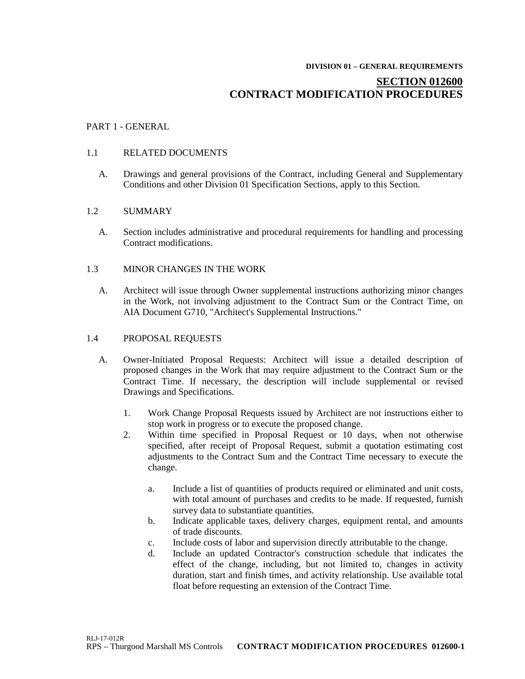#### **DIVISION 01 – GENERAL REQUIREMENTS**

# **SECTION 012600 CONTRACT MODIFICATION PROCEDURES**

### PART 1 - GENERAL

#### 1.1 RELATED DOCUMENTS

A. Drawings and general provisions of the Contract, including General and Supplementary Conditions and other Division 01 Specification Sections, apply to this Section.

### 1.2 SUMMARY

A. Section includes administrative and procedural requirements for handling and processing Contract modifications.

### 1.3 MINOR CHANGES IN THE WORK

A. Architect will issue through Owner supplemental instructions authorizing minor changes in the Work, not involving adjustment to the Contract Sum or the Contract Time, on AIA Document G710, "Architect's Supplemental Instructions."

#### 1.4 PROPOSAL REQUESTS

- A. Owner-Initiated Proposal Requests: Architect will issue a detailed description of proposed changes in the Work that may require adjustment to the Contract Sum or the Contract Time. If necessary, the description will include supplemental or revised Drawings and Specifications.
	- 1. Work Change Proposal Requests issued by Architect are not instructions either to stop work in progress or to execute the proposed change.
	- 2. Within time specified in Proposal Request or 10 days, when not otherwise specified, after receipt of Proposal Request, submit a quotation estimating cost adjustments to the Contract Sum and the Contract Time necessary to execute the change.
		- a. Include a list of quantities of products required or eliminated and unit costs, with total amount of purchases and credits to be made. If requested, furnish survey data to substantiate quantities.
		- b. Indicate applicable taxes, delivery charges, equipment rental, and amounts of trade discounts.
		- c. Include costs of labor and supervision directly attributable to the change.
		- d. Include an updated Contractor's construction schedule that indicates the effect of the change, including, but not limited to, changes in activity duration, start and finish times, and activity relationship. Use available total float before requesting an extension of the Contract Time.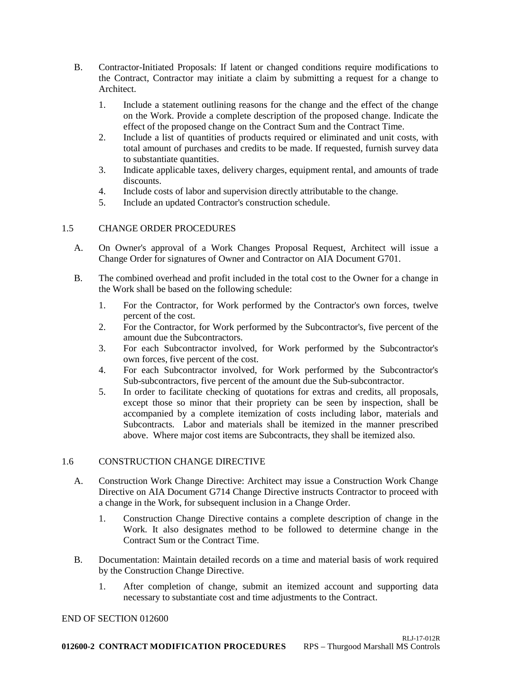- B. Contractor-Initiated Proposals: If latent or changed conditions require modifications to the Contract, Contractor may initiate a claim by submitting a request for a change to Architect.
	- 1. Include a statement outlining reasons for the change and the effect of the change on the Work. Provide a complete description of the proposed change. Indicate the effect of the proposed change on the Contract Sum and the Contract Time.
	- 2. Include a list of quantities of products required or eliminated and unit costs, with total amount of purchases and credits to be made. If requested, furnish survey data to substantiate quantities.
	- 3. Indicate applicable taxes, delivery charges, equipment rental, and amounts of trade discounts.
	- 4. Include costs of labor and supervision directly attributable to the change.
	- 5. Include an updated Contractor's construction schedule.

## 1.5 CHANGE ORDER PROCEDURES

- A. On Owner's approval of a Work Changes Proposal Request, Architect will issue a Change Order for signatures of Owner and Contractor on AIA Document G701.
- B. The combined overhead and profit included in the total cost to the Owner for a change in the Work shall be based on the following schedule:
	- 1. For the Contractor, for Work performed by the Contractor's own forces, twelve percent of the cost.
	- 2. For the Contractor, for Work performed by the Subcontractor's, five percent of the amount due the Subcontractors.
	- 3. For each Subcontractor involved, for Work performed by the Subcontractor's own forces, five percent of the cost.
	- 4. For each Subcontractor involved, for Work performed by the Subcontractor's Sub-subcontractors, five percent of the amount due the Sub-subcontractor.
	- 5. In order to facilitate checking of quotations for extras and credits, all proposals, except those so minor that their propriety can be seen by inspection, shall be accompanied by a complete itemization of costs including labor, materials and Subcontracts. Labor and materials shall be itemized in the manner prescribed above. Where major cost items are Subcontracts, they shall be itemized also.

## 1.6 CONSTRUCTION CHANGE DIRECTIVE

- A. Construction Work Change Directive: Architect may issue a Construction Work Change Directive on AIA Document G714 Change Directive instructs Contractor to proceed with a change in the Work, for subsequent inclusion in a Change Order.
	- 1. Construction Change Directive contains a complete description of change in the Work. It also designates method to be followed to determine change in the Contract Sum or the Contract Time.
- B. Documentation: Maintain detailed records on a time and material basis of work required by the Construction Change Directive.
	- 1. After completion of change, submit an itemized account and supporting data necessary to substantiate cost and time adjustments to the Contract.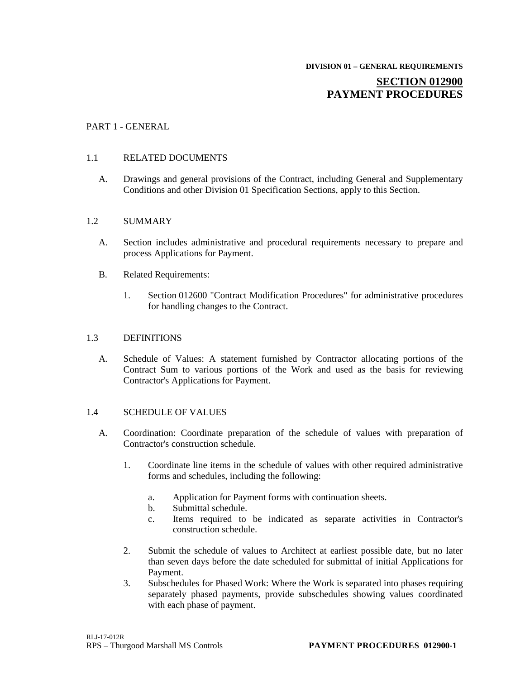# **SECTION 012900 PAYMENT PROCEDURES**

## PART 1 - GENERAL

## 1.1 RELATED DOCUMENTS

A. Drawings and general provisions of the Contract, including General and Supplementary Conditions and other Division 01 Specification Sections, apply to this Section.

### 1.2 SUMMARY

- A. Section includes administrative and procedural requirements necessary to prepare and process Applications for Payment.
- B. Related Requirements:
	- 1. Section 012600 "Contract Modification Procedures" for administrative procedures for handling changes to the Contract.

### 1.3 DEFINITIONS

A. Schedule of Values: A statement furnished by Contractor allocating portions of the Contract Sum to various portions of the Work and used as the basis for reviewing Contractor's Applications for Payment.

#### 1.4 SCHEDULE OF VALUES

- A. Coordination: Coordinate preparation of the schedule of values with preparation of Contractor's construction schedule.
	- 1. Coordinate line items in the schedule of values with other required administrative forms and schedules, including the following:
		- a. Application for Payment forms with continuation sheets.
		- b. Submittal schedule.
		- c. Items required to be indicated as separate activities in Contractor's construction schedule.
	- 2. Submit the schedule of values to Architect at earliest possible date, but no later than seven days before the date scheduled for submittal of initial Applications for Payment.
	- 3. Subschedules for Phased Work: Where the Work is separated into phases requiring separately phased payments, provide subschedules showing values coordinated with each phase of payment.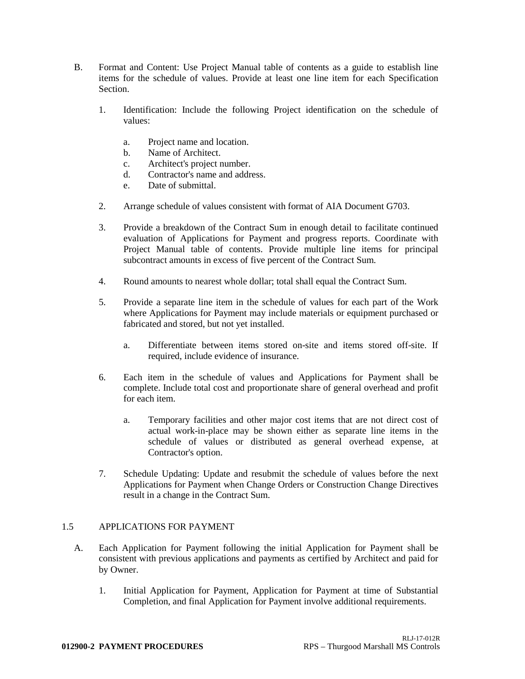- B. Format and Content: Use Project Manual table of contents as a guide to establish line items for the schedule of values. Provide at least one line item for each Specification Section.
	- 1. Identification: Include the following Project identification on the schedule of values:
		- a. Project name and location.
		- b. Name of Architect.
		- c. Architect's project number.
		- d. Contractor's name and address.
		- e. Date of submittal.
	- 2. Arrange schedule of values consistent with format of AIA Document G703.
	- 3. Provide a breakdown of the Contract Sum in enough detail to facilitate continued evaluation of Applications for Payment and progress reports. Coordinate with Project Manual table of contents. Provide multiple line items for principal subcontract amounts in excess of five percent of the Contract Sum.
	- 4. Round amounts to nearest whole dollar; total shall equal the Contract Sum.
	- 5. Provide a separate line item in the schedule of values for each part of the Work where Applications for Payment may include materials or equipment purchased or fabricated and stored, but not yet installed.
		- a. Differentiate between items stored on-site and items stored off-site. If required, include evidence of insurance.
	- 6. Each item in the schedule of values and Applications for Payment shall be complete. Include total cost and proportionate share of general overhead and profit for each item.
		- a. Temporary facilities and other major cost items that are not direct cost of actual work-in-place may be shown either as separate line items in the schedule of values or distributed as general overhead expense, at Contractor's option.
	- 7. Schedule Updating: Update and resubmit the schedule of values before the next Applications for Payment when Change Orders or Construction Change Directives result in a change in the Contract Sum.

## 1.5 APPLICATIONS FOR PAYMENT

- A. Each Application for Payment following the initial Application for Payment shall be consistent with previous applications and payments as certified by Architect and paid for by Owner.
	- 1. Initial Application for Payment, Application for Payment at time of Substantial Completion, and final Application for Payment involve additional requirements.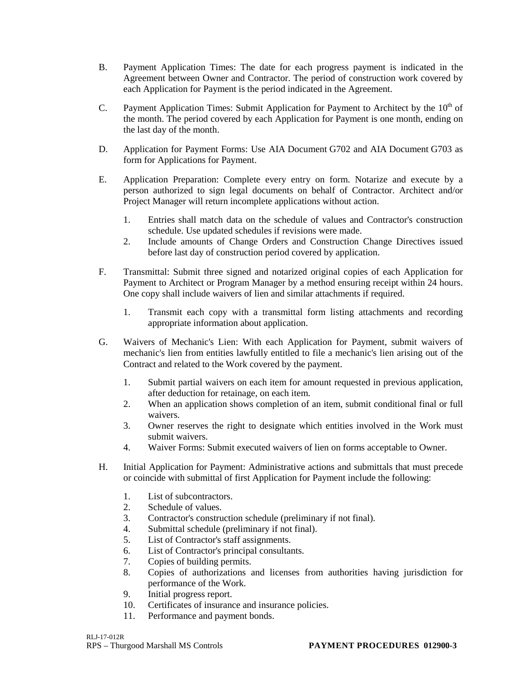- B. Payment Application Times: The date for each progress payment is indicated in the Agreement between Owner and Contractor. The period of construction work covered by each Application for Payment is the period indicated in the Agreement.
- C. Payment Application Times: Submit Application for Payment to Architect by the  $10<sup>th</sup>$  of the month. The period covered by each Application for Payment is one month, ending on the last day of the month.
- D. Application for Payment Forms: Use AIA Document G702 and AIA Document G703 as form for Applications for Payment.
- E. Application Preparation: Complete every entry on form. Notarize and execute by a person authorized to sign legal documents on behalf of Contractor. Architect and/or Project Manager will return incomplete applications without action.
	- 1. Entries shall match data on the schedule of values and Contractor's construction schedule. Use updated schedules if revisions were made.
	- 2. Include amounts of Change Orders and Construction Change Directives issued before last day of construction period covered by application.
- F. Transmittal: Submit three signed and notarized original copies of each Application for Payment to Architect or Program Manager by a method ensuring receipt within 24 hours. One copy shall include waivers of lien and similar attachments if required.
	- 1. Transmit each copy with a transmittal form listing attachments and recording appropriate information about application.
- G. Waivers of Mechanic's Lien: With each Application for Payment, submit waivers of mechanic's lien from entities lawfully entitled to file a mechanic's lien arising out of the Contract and related to the Work covered by the payment.
	- 1. Submit partial waivers on each item for amount requested in previous application, after deduction for retainage, on each item.
	- 2. When an application shows completion of an item, submit conditional final or full waivers.
	- 3. Owner reserves the right to designate which entities involved in the Work must submit waivers.
	- 4. Waiver Forms: Submit executed waivers of lien on forms acceptable to Owner.
- H. Initial Application for Payment: Administrative actions and submittals that must precede or coincide with submittal of first Application for Payment include the following:
	- 1. List of subcontractors.
	- 2. Schedule of values.
	- 3. Contractor's construction schedule (preliminary if not final).
	- 4. Submittal schedule (preliminary if not final).
	- 5. List of Contractor's staff assignments.
	- 6. List of Contractor's principal consultants.
	- 7. Copies of building permits.
	- 8. Copies of authorizations and licenses from authorities having jurisdiction for performance of the Work.
	- 9. Initial progress report.
	- 10. Certificates of insurance and insurance policies.
	- 11. Performance and payment bonds.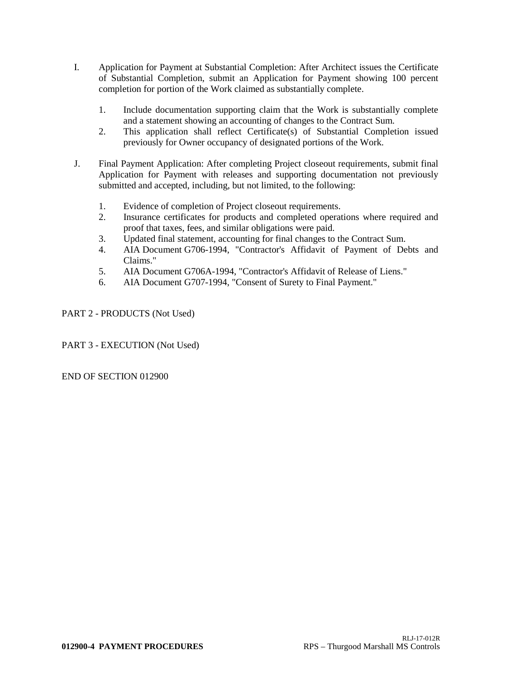- I. Application for Payment at Substantial Completion: After Architect issues the Certificate of Substantial Completion, submit an Application for Payment showing 100 percent completion for portion of the Work claimed as substantially complete.
	- 1. Include documentation supporting claim that the Work is substantially complete and a statement showing an accounting of changes to the Contract Sum.
	- 2. This application shall reflect Certificate(s) of Substantial Completion issued previously for Owner occupancy of designated portions of the Work.
- J. Final Payment Application: After completing Project closeout requirements, submit final Application for Payment with releases and supporting documentation not previously submitted and accepted, including, but not limited, to the following:
	- 1. Evidence of completion of Project closeout requirements.
	- 2. Insurance certificates for products and completed operations where required and proof that taxes, fees, and similar obligations were paid.
	- 3. Updated final statement, accounting for final changes to the Contract Sum.
	- 4. AIA Document G706-1994, "Contractor's Affidavit of Payment of Debts and Claims."
	- 5. AIA Document G706A-1994, "Contractor's Affidavit of Release of Liens."
	- 6. AIA Document G707-1994, "Consent of Surety to Final Payment."

PART 2 - PRODUCTS (Not Used)

PART 3 - EXECUTION (Not Used)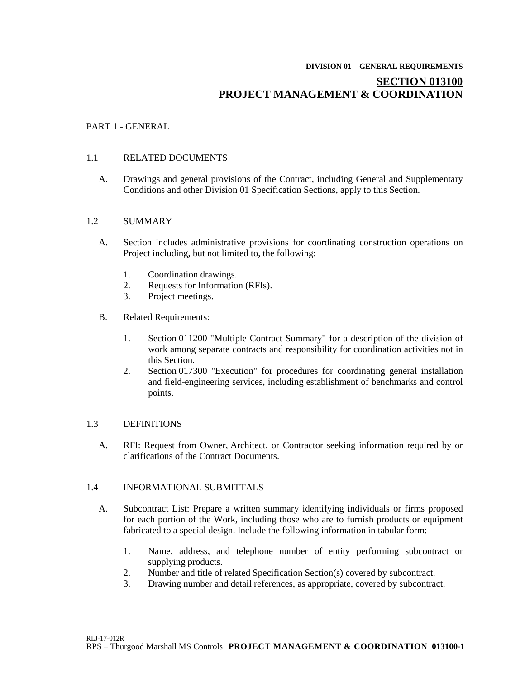#### **DIVISION 01 – GENERAL REQUIREMENTS**

# **SECTION 013100 PROJECT MANAGEMENT & COORDINATION**

## PART 1 - GENERAL

## 1.1 RELATED DOCUMENTS

A. Drawings and general provisions of the Contract, including General and Supplementary Conditions and other Division 01 Specification Sections, apply to this Section.

#### 1.2 SUMMARY

- A. Section includes administrative provisions for coordinating construction operations on Project including, but not limited to, the following:
	- 1. Coordination drawings.<br>2. Requests for Information
	- 2. Requests for Information (RFIs).
	- 3. Project meetings.
- B. Related Requirements:
	- 1. Section 011200 "Multiple Contract Summary" for a description of the division of work among separate contracts and responsibility for coordination activities not in this Section.
	- 2. Section 017300 "Execution" for procedures for coordinating general installation and field-engineering services, including establishment of benchmarks and control points.

#### 1.3 DEFINITIONS

A. RFI: Request from Owner, Architect, or Contractor seeking information required by or clarifications of the Contract Documents.

#### 1.4 INFORMATIONAL SUBMITTALS

- A. Subcontract List: Prepare a written summary identifying individuals or firms proposed for each portion of the Work, including those who are to furnish products or equipment fabricated to a special design. Include the following information in tabular form:
	- 1. Name, address, and telephone number of entity performing subcontract or supplying products.
	- 2. Number and title of related Specification Section(s) covered by subcontract.
	- 3. Drawing number and detail references, as appropriate, covered by subcontract.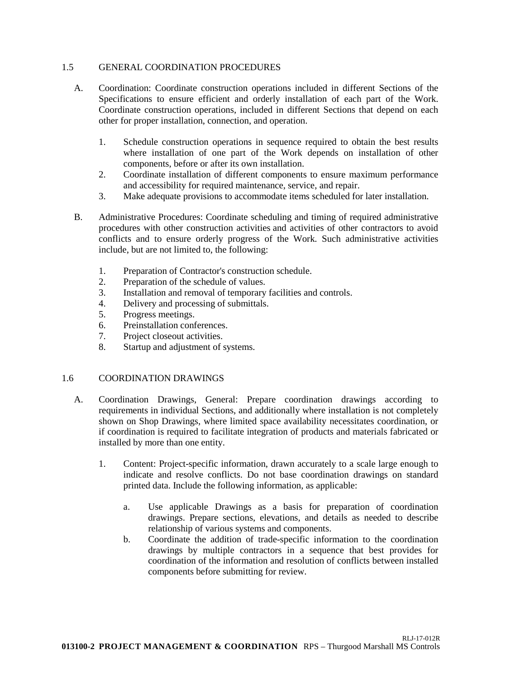## 1.5 GENERAL COORDINATION PROCEDURES

- A. Coordination: Coordinate construction operations included in different Sections of the Specifications to ensure efficient and orderly installation of each part of the Work. Coordinate construction operations, included in different Sections that depend on each other for proper installation, connection, and operation.
	- 1. Schedule construction operations in sequence required to obtain the best results where installation of one part of the Work depends on installation of other components, before or after its own installation.
	- 2. Coordinate installation of different components to ensure maximum performance and accessibility for required maintenance, service, and repair.
	- 3. Make adequate provisions to accommodate items scheduled for later installation.
- B. Administrative Procedures: Coordinate scheduling and timing of required administrative procedures with other construction activities and activities of other contractors to avoid conflicts and to ensure orderly progress of the Work. Such administrative activities include, but are not limited to, the following:
	- 1. Preparation of Contractor's construction schedule.
	- 2. Preparation of the schedule of values.
	- 3. Installation and removal of temporary facilities and controls.
	- 4. Delivery and processing of submittals.
	- 5. Progress meetings.
	- 6. Preinstallation conferences.
	- 7. Project closeout activities.
	- 8. Startup and adjustment of systems.

## 1.6 COORDINATION DRAWINGS

- A. Coordination Drawings, General: Prepare coordination drawings according to requirements in individual Sections, and additionally where installation is not completely shown on Shop Drawings, where limited space availability necessitates coordination, or if coordination is required to facilitate integration of products and materials fabricated or installed by more than one entity.
	- 1. Content: Project-specific information, drawn accurately to a scale large enough to indicate and resolve conflicts. Do not base coordination drawings on standard printed data. Include the following information, as applicable:
		- a. Use applicable Drawings as a basis for preparation of coordination drawings. Prepare sections, elevations, and details as needed to describe relationship of various systems and components.
		- b. Coordinate the addition of trade-specific information to the coordination drawings by multiple contractors in a sequence that best provides for coordination of the information and resolution of conflicts between installed components before submitting for review.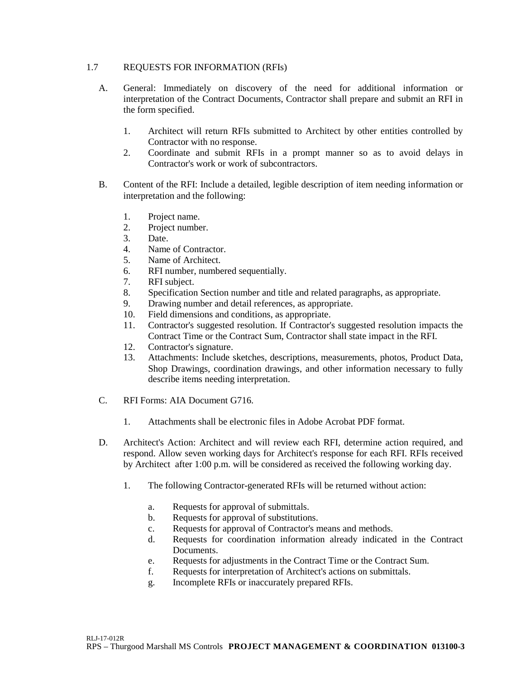## 1.7 REQUESTS FOR INFORMATION (RFIs)

- A. General: Immediately on discovery of the need for additional information or interpretation of the Contract Documents, Contractor shall prepare and submit an RFI in the form specified.
	- 1. Architect will return RFIs submitted to Architect by other entities controlled by Contractor with no response.
	- 2. Coordinate and submit RFIs in a prompt manner so as to avoid delays in Contractor's work or work of subcontractors.
- B. Content of the RFI: Include a detailed, legible description of item needing information or interpretation and the following:
	- 1. Project name.
	- 2. Project number.
	- 3. Date.
	- 4. Name of Contractor.
	- 5. Name of Architect.
	- 6. RFI number, numbered sequentially.
	- 7. RFI subject.
	- 8. Specification Section number and title and related paragraphs, as appropriate.
	- 9. Drawing number and detail references, as appropriate.
	- 10. Field dimensions and conditions, as appropriate.
	- 11. Contractor's suggested resolution. If Contractor's suggested resolution impacts the Contract Time or the Contract Sum, Contractor shall state impact in the RFI.
	- 12. Contractor's signature.
	- 13. Attachments: Include sketches, descriptions, measurements, photos, Product Data, Shop Drawings, coordination drawings, and other information necessary to fully describe items needing interpretation.
- C. RFI Forms: AIA Document G716.
	- 1. Attachments shall be electronic files in Adobe Acrobat PDF format.
- D. Architect's Action: Architect and will review each RFI, determine action required, and respond. Allow seven working days for Architect's response for each RFI. RFIs received by Architect after 1:00 p.m. will be considered as received the following working day.
	- 1. The following Contractor-generated RFIs will be returned without action:
		- a. Requests for approval of submittals.
		- b. Requests for approval of substitutions.
		- c. Requests for approval of Contractor's means and methods.
		- d. Requests for coordination information already indicated in the Contract Documents.
		- e. Requests for adjustments in the Contract Time or the Contract Sum.
		- f. Requests for interpretation of Architect's actions on submittals.
		- g. Incomplete RFIs or inaccurately prepared RFIs.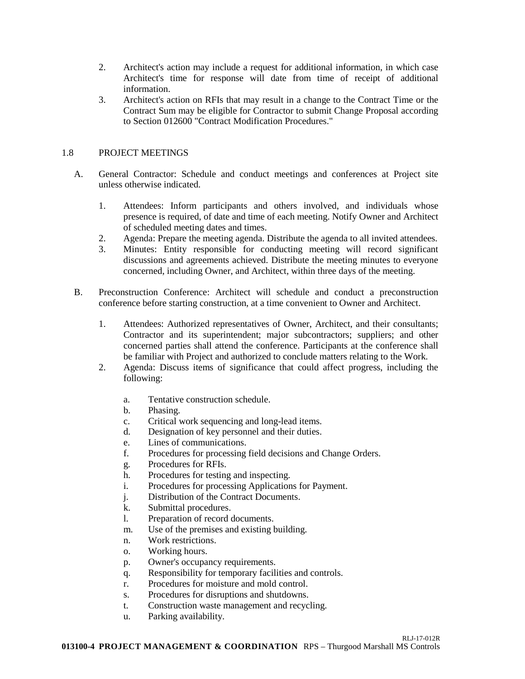- 2. Architect's action may include a request for additional information, in which case Architect's time for response will date from time of receipt of additional information.
- 3. Architect's action on RFIs that may result in a change to the Contract Time or the Contract Sum may be eligible for Contractor to submit Change Proposal according to Section 012600 "Contract Modification Procedures."

## 1.8 PROJECT MEETINGS

- A. General Contractor: Schedule and conduct meetings and conferences at Project site unless otherwise indicated.
	- 1. Attendees: Inform participants and others involved, and individuals whose presence is required, of date and time of each meeting. Notify Owner and Architect of scheduled meeting dates and times.
	- 2. Agenda: Prepare the meeting agenda. Distribute the agenda to all invited attendees.
	- 3. Minutes: Entity responsible for conducting meeting will record significant discussions and agreements achieved. Distribute the meeting minutes to everyone concerned, including Owner, and Architect, within three days of the meeting.
- B. Preconstruction Conference: Architect will schedule and conduct a preconstruction conference before starting construction, at a time convenient to Owner and Architect.
	- 1. Attendees: Authorized representatives of Owner, Architect, and their consultants; Contractor and its superintendent; major subcontractors; suppliers; and other concerned parties shall attend the conference. Participants at the conference shall be familiar with Project and authorized to conclude matters relating to the Work.
	- 2. Agenda: Discuss items of significance that could affect progress, including the following:
		- a. Tentative construction schedule.
		- b. Phasing.
		- c. Critical work sequencing and long-lead items.
		- d. Designation of key personnel and their duties.
		- e. Lines of communications.
		- f. Procedures for processing field decisions and Change Orders.
		- g. Procedures for RFIs.
		- h. Procedures for testing and inspecting.
		- i. Procedures for processing Applications for Payment.
		- j. Distribution of the Contract Documents.
		- k. Submittal procedures.
		- l. Preparation of record documents.
		- m. Use of the premises and existing building.
		- n. Work restrictions.
		- o. Working hours.
		- p. Owner's occupancy requirements.
		- q. Responsibility for temporary facilities and controls.
		- r. Procedures for moisture and mold control.
		- s. Procedures for disruptions and shutdowns.
		- t. Construction waste management and recycling.
		- u. Parking availability.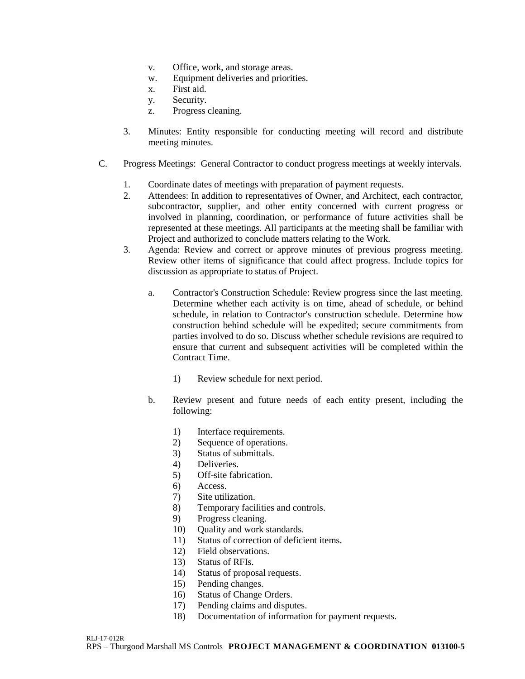- v. Office, work, and storage areas.
- w. Equipment deliveries and priorities.
- x. First aid.
- y. Security.
- z. Progress cleaning.
- 3. Minutes: Entity responsible for conducting meeting will record and distribute meeting minutes.
- C. Progress Meetings: General Contractor to conduct progress meetings at weekly intervals.
	- 1. Coordinate dates of meetings with preparation of payment requests.<br>2. Attendees: In addition to representatives of Owner, and Architect, e
	- Attendees: In addition to representatives of Owner, and Architect, each contractor, subcontractor, supplier, and other entity concerned with current progress or involved in planning, coordination, or performance of future activities shall be represented at these meetings. All participants at the meeting shall be familiar with Project and authorized to conclude matters relating to the Work.
	- 3. Agenda: Review and correct or approve minutes of previous progress meeting. Review other items of significance that could affect progress. Include topics for discussion as appropriate to status of Project.
		- a. Contractor's Construction Schedule: Review progress since the last meeting. Determine whether each activity is on time, ahead of schedule, or behind schedule, in relation to Contractor's construction schedule. Determine how construction behind schedule will be expedited; secure commitments from parties involved to do so. Discuss whether schedule revisions are required to ensure that current and subsequent activities will be completed within the Contract Time.
			- 1) Review schedule for next period.
		- b. Review present and future needs of each entity present, including the following:
			- 1) Interface requirements.
			- 2) Sequence of operations.
			- 3) Status of submittals.
			- 4) Deliveries.
			- 5) Off-site fabrication.
			- 6) Access.
			- 7) Site utilization.
			- 8) Temporary facilities and controls.
			- 9) Progress cleaning.
			- 10) Quality and work standards.
			- 11) Status of correction of deficient items.
			- 12) Field observations.
			- 13) Status of RFIs.
			- 14) Status of proposal requests.
			- 15) Pending changes.
			- 16) Status of Change Orders.
			- 17) Pending claims and disputes.
			- 18) Documentation of information for payment requests.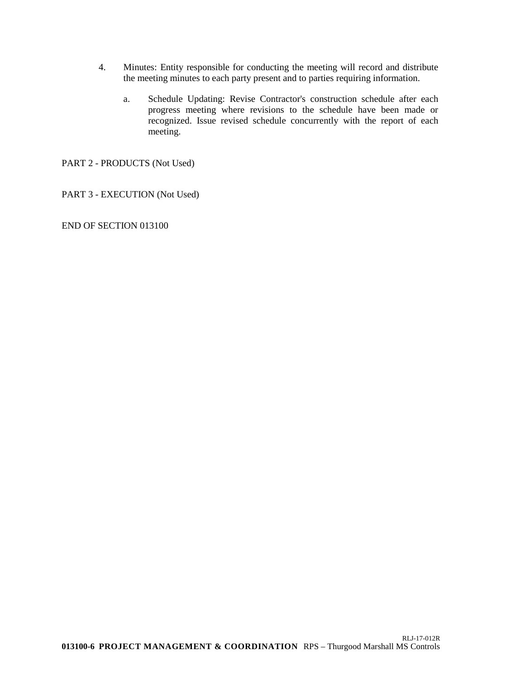- 4. Minutes: Entity responsible for conducting the meeting will record and distribute the meeting minutes to each party present and to parties requiring information.
	- a. Schedule Updating: Revise Contractor's construction schedule after each progress meeting where revisions to the schedule have been made or recognized. Issue revised schedule concurrently with the report of each meeting.

PART 2 - PRODUCTS (Not Used)

PART 3 - EXECUTION (Not Used)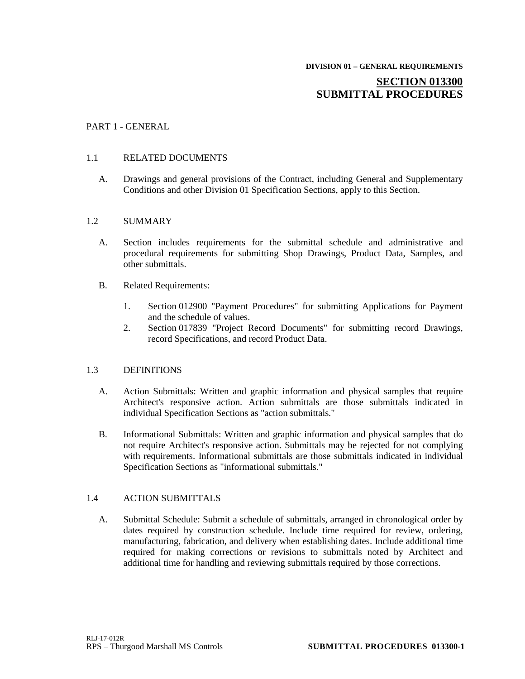# **SECTION 013300 SUBMITTAL PROCEDURES**

## PART 1 - GENERAL

## 1.1 RELATED DOCUMENTS

A. Drawings and general provisions of the Contract, including General and Supplementary Conditions and other Division 01 Specification Sections, apply to this Section.

### 1.2 SUMMARY

- A. Section includes requirements for the submittal schedule and administrative and procedural requirements for submitting Shop Drawings, Product Data, Samples, and other submittals.
- B. Related Requirements:
	- 1. Section 012900 "Payment Procedures" for submitting Applications for Payment and the schedule of values.
	- 2. Section 017839 "Project Record Documents" for submitting record Drawings, record Specifications, and record Product Data.

## 1.3 DEFINITIONS

- A. Action Submittals: Written and graphic information and physical samples that require Architect's responsive action. Action submittals are those submittals indicated in individual Specification Sections as "action submittals."
- B. Informational Submittals: Written and graphic information and physical samples that do not require Architect's responsive action. Submittals may be rejected for not complying with requirements. Informational submittals are those submittals indicated in individual Specification Sections as "informational submittals."

## 1.4 ACTION SUBMITTALS

A. Submittal Schedule: Submit a schedule of submittals, arranged in chronological order by dates required by construction schedule. Include time required for review, ordering, manufacturing, fabrication, and delivery when establishing dates. Include additional time required for making corrections or revisions to submittals noted by Architect and additional time for handling and reviewing submittals required by those corrections.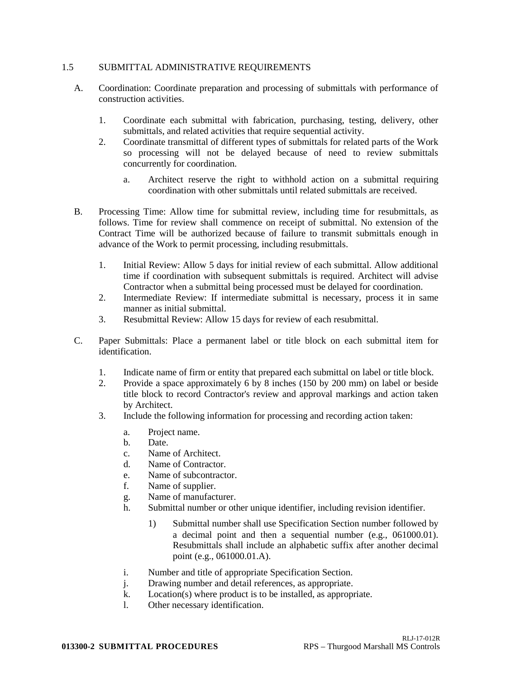### 1.5 SUBMITTAL ADMINISTRATIVE REQUIREMENTS

- A. Coordination: Coordinate preparation and processing of submittals with performance of construction activities.
	- 1. Coordinate each submittal with fabrication, purchasing, testing, delivery, other submittals, and related activities that require sequential activity.
	- 2. Coordinate transmittal of different types of submittals for related parts of the Work so processing will not be delayed because of need to review submittals concurrently for coordination.
		- a. Architect reserve the right to withhold action on a submittal requiring coordination with other submittals until related submittals are received.
- B. Processing Time: Allow time for submittal review, including time for resubmittals, as follows. Time for review shall commence on receipt of submittal. No extension of the Contract Time will be authorized because of failure to transmit submittals enough in advance of the Work to permit processing, including resubmittals.
	- 1. Initial Review: Allow 5 days for initial review of each submittal. Allow additional time if coordination with subsequent submittals is required. Architect will advise Contractor when a submittal being processed must be delayed for coordination.
	- 2. Intermediate Review: If intermediate submittal is necessary, process it in same manner as initial submittal.
	- 3. Resubmittal Review: Allow 15 days for review of each resubmittal.
- C. Paper Submittals: Place a permanent label or title block on each submittal item for identification.
	- 1. Indicate name of firm or entity that prepared each submittal on label or title block.
	- 2. Provide a space approximately 6 by 8 inches (150 by 200 mm) on label or beside title block to record Contractor's review and approval markings and action taken by Architect.
	- 3. Include the following information for processing and recording action taken:
		- a. Project name.
		- b. Date.
		- c. Name of Architect.
		- d. Name of Contractor.
		- e. Name of subcontractor.
		- f. Name of supplier.
		- g. Name of manufacturer.
		- h. Submittal number or other unique identifier, including revision identifier.
			- 1) Submittal number shall use Specification Section number followed by a decimal point and then a sequential number (e.g., 061000.01). Resubmittals shall include an alphabetic suffix after another decimal point (e.g., 061000.01.A).
		- i. Number and title of appropriate Specification Section.
		- j. Drawing number and detail references, as appropriate.
		- k. Location(s) where product is to be installed, as appropriate.
		- l. Other necessary identification.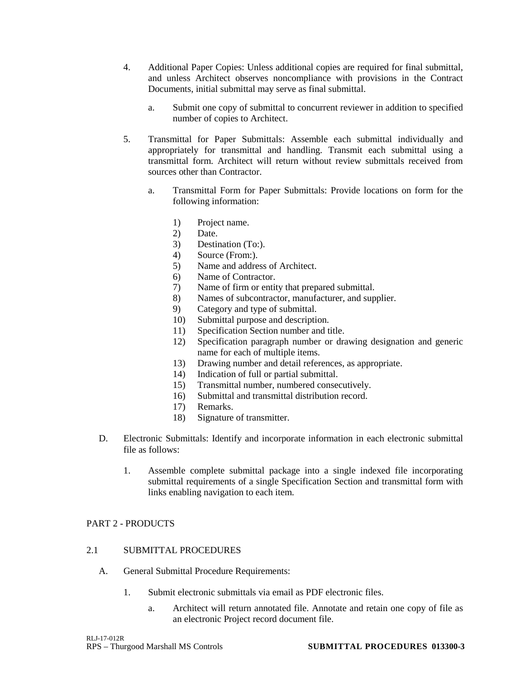- 4. Additional Paper Copies: Unless additional copies are required for final submittal, and unless Architect observes noncompliance with provisions in the Contract Documents, initial submittal may serve as final submittal.
	- a. Submit one copy of submittal to concurrent reviewer in addition to specified number of copies to Architect.
- 5. Transmittal for Paper Submittals: Assemble each submittal individually and appropriately for transmittal and handling. Transmit each submittal using a transmittal form. Architect will return without review submittals received from sources other than Contractor.
	- a. Transmittal Form for Paper Submittals: Provide locations on form for the following information:
		- 1) Project name.
		- 2) Date.
		- 3) Destination (To:).
		- 4) Source (From:).
		- 5) Name and address of Architect.
		- 6) Name of Contractor.
		- 7) Name of firm or entity that prepared submittal.
		- 8) Names of subcontractor, manufacturer, and supplier.
		- 9) Category and type of submittal.
		- 10) Submittal purpose and description.
		- 11) Specification Section number and title.
		- 12) Specification paragraph number or drawing designation and generic name for each of multiple items.
		- 13) Drawing number and detail references, as appropriate.
		- 14) Indication of full or partial submittal.
		- 15) Transmittal number, numbered consecutively.
		- 16) Submittal and transmittal distribution record.
		- 17) Remarks.
		- 18) Signature of transmitter.
- D. Electronic Submittals: Identify and incorporate information in each electronic submittal file as follows:
	- 1. Assemble complete submittal package into a single indexed file incorporating submittal requirements of a single Specification Section and transmittal form with links enabling navigation to each item.

## PART 2 - PRODUCTS

## 2.1 SUBMITTAL PROCEDURES

- A. General Submittal Procedure Requirements:
	- 1. Submit electronic submittals via email as PDF electronic files.
		- a. Architect will return annotated file. Annotate and retain one copy of file as an electronic Project record document file.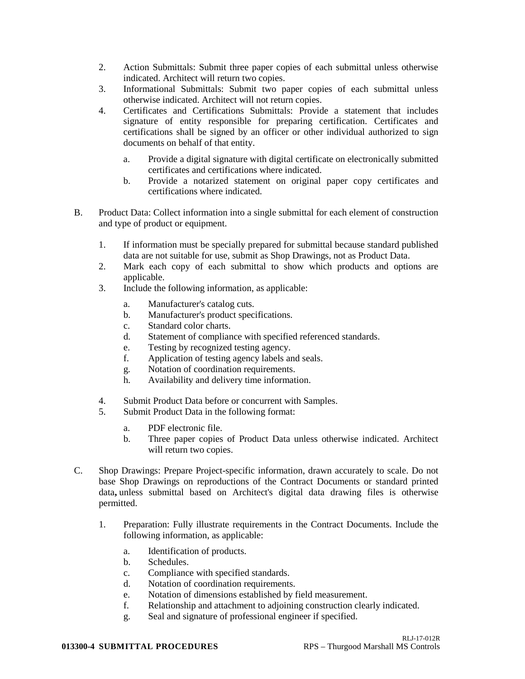- 2. Action Submittals: Submit three paper copies of each submittal unless otherwise indicated. Architect will return two copies.
- 3. Informational Submittals: Submit two paper copies of each submittal unless otherwise indicated. Architect will not return copies.
- 4. Certificates and Certifications Submittals: Provide a statement that includes signature of entity responsible for preparing certification. Certificates and certifications shall be signed by an officer or other individual authorized to sign documents on behalf of that entity.
	- a. Provide a digital signature with digital certificate on electronically submitted certificates and certifications where indicated.
	- b. Provide a notarized statement on original paper copy certificates and certifications where indicated.
- B. Product Data: Collect information into a single submittal for each element of construction and type of product or equipment.
	- 1. If information must be specially prepared for submittal because standard published data are not suitable for use, submit as Shop Drawings, not as Product Data.
	- 2. Mark each copy of each submittal to show which products and options are applicable.
	- 3. Include the following information, as applicable:
		- a. Manufacturer's catalog cuts.
		- b. Manufacturer's product specifications.
		- c. Standard color charts.
		- d. Statement of compliance with specified referenced standards.
		- e. Testing by recognized testing agency.
		- f. Application of testing agency labels and seals.
		- g. Notation of coordination requirements.
		- h. Availability and delivery time information.
	- 4. Submit Product Data before or concurrent with Samples.
	- 5. Submit Product Data in the following format:
		- a. PDF electronic file.
		- b. Three paper copies of Product Data unless otherwise indicated. Architect will return two copies.
- C. Shop Drawings: Prepare Project-specific information, drawn accurately to scale. Do not base Shop Drawings on reproductions of the Contract Documents or standard printed data**,** unless submittal based on Architect's digital data drawing files is otherwise permitted.
	- 1. Preparation: Fully illustrate requirements in the Contract Documents. Include the following information, as applicable:
		- a. Identification of products.
		- b. Schedules.
		- c. Compliance with specified standards.
		- d. Notation of coordination requirements.
		- e. Notation of dimensions established by field measurement.
		- f. Relationship and attachment to adjoining construction clearly indicated.
		- g. Seal and signature of professional engineer if specified.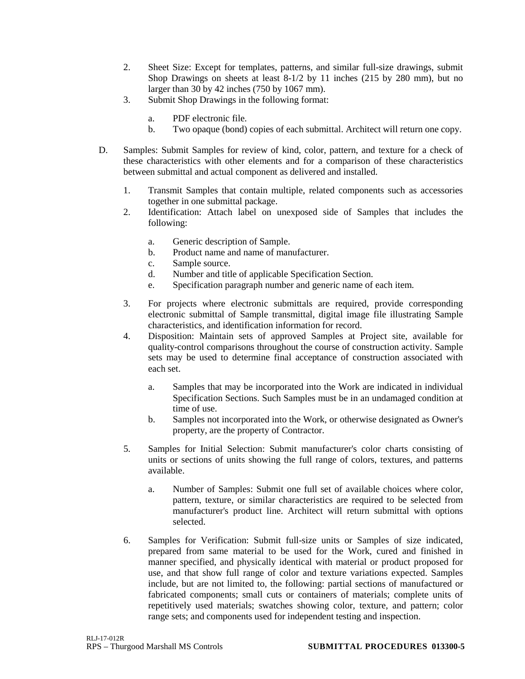- 2. Sheet Size: Except for templates, patterns, and similar full-size drawings, submit Shop Drawings on sheets at least 8-1/2 by 11 inches (215 by 280 mm), but no larger than 30 by 42 inches (750 by 1067 mm).
- 3. Submit Shop Drawings in the following format:
	- a. PDF electronic file.
	- b. Two opaque (bond) copies of each submittal. Architect will return one copy.
- D. Samples: Submit Samples for review of kind, color, pattern, and texture for a check of these characteristics with other elements and for a comparison of these characteristics between submittal and actual component as delivered and installed.
	- 1. Transmit Samples that contain multiple, related components such as accessories together in one submittal package.
	- 2. Identification: Attach label on unexposed side of Samples that includes the following:
		- a. Generic description of Sample.
		- b. Product name and name of manufacturer.
		- c. Sample source.
		- d. Number and title of applicable Specification Section.
		- e. Specification paragraph number and generic name of each item.
	- 3. For projects where electronic submittals are required, provide corresponding electronic submittal of Sample transmittal, digital image file illustrating Sample characteristics, and identification information for record.
	- 4. Disposition: Maintain sets of approved Samples at Project site, available for quality-control comparisons throughout the course of construction activity. Sample sets may be used to determine final acceptance of construction associated with each set.
		- a. Samples that may be incorporated into the Work are indicated in individual Specification Sections. Such Samples must be in an undamaged condition at time of use.
		- b. Samples not incorporated into the Work, or otherwise designated as Owner's property, are the property of Contractor.
	- 5. Samples for Initial Selection: Submit manufacturer's color charts consisting of units or sections of units showing the full range of colors, textures, and patterns available.
		- a. Number of Samples: Submit one full set of available choices where color, pattern, texture, or similar characteristics are required to be selected from manufacturer's product line. Architect will return submittal with options selected.
	- 6. Samples for Verification: Submit full-size units or Samples of size indicated, prepared from same material to be used for the Work, cured and finished in manner specified, and physically identical with material or product proposed for use, and that show full range of color and texture variations expected. Samples include, but are not limited to, the following: partial sections of manufactured or fabricated components; small cuts or containers of materials; complete units of repetitively used materials; swatches showing color, texture, and pattern; color range sets; and components used for independent testing and inspection.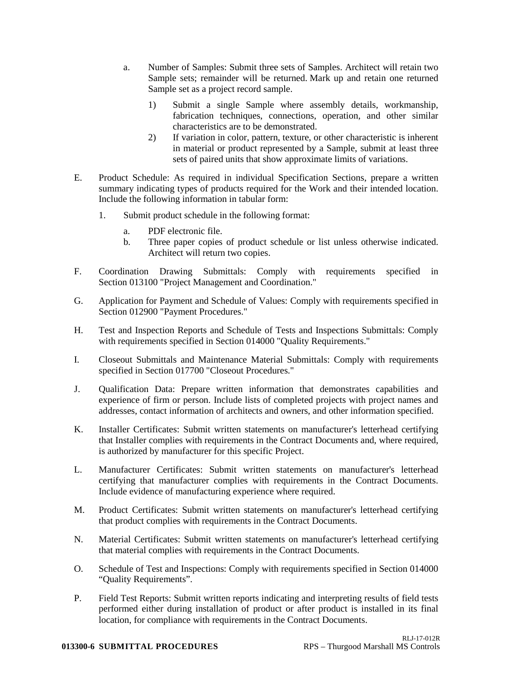- a. Number of Samples: Submit three sets of Samples. Architect will retain two Sample sets; remainder will be returned. Mark up and retain one returned Sample set as a project record sample.
	- 1) Submit a single Sample where assembly details, workmanship, fabrication techniques, connections, operation, and other similar characteristics are to be demonstrated.
	- 2) If variation in color, pattern, texture, or other characteristic is inherent in material or product represented by a Sample, submit at least three sets of paired units that show approximate limits of variations.
- E. Product Schedule: As required in individual Specification Sections, prepare a written summary indicating types of products required for the Work and their intended location. Include the following information in tabular form:
	- 1. Submit product schedule in the following format:
		- a. PDF electronic file.
		- b. Three paper copies of product schedule or list unless otherwise indicated. Architect will return two copies.
- F. Coordination Drawing Submittals: Comply with requirements specified in Section 013100 "Project Management and Coordination."
- G. Application for Payment and Schedule of Values: Comply with requirements specified in Section 012900 "Payment Procedures."
- H. Test and Inspection Reports and Schedule of Tests and Inspections Submittals: Comply with requirements specified in Section 014000 "Quality Requirements."
- I. Closeout Submittals and Maintenance Material Submittals: Comply with requirements specified in Section 017700 "Closeout Procedures."
- J. Qualification Data: Prepare written information that demonstrates capabilities and experience of firm or person. Include lists of completed projects with project names and addresses, contact information of architects and owners, and other information specified.
- K. Installer Certificates: Submit written statements on manufacturer's letterhead certifying that Installer complies with requirements in the Contract Documents and, where required, is authorized by manufacturer for this specific Project.
- L. Manufacturer Certificates: Submit written statements on manufacturer's letterhead certifying that manufacturer complies with requirements in the Contract Documents. Include evidence of manufacturing experience where required.
- M. Product Certificates: Submit written statements on manufacturer's letterhead certifying that product complies with requirements in the Contract Documents.
- N. Material Certificates: Submit written statements on manufacturer's letterhead certifying that material complies with requirements in the Contract Documents.
- O. Schedule of Test and Inspections: Comply with requirements specified in Section 014000 "Quality Requirements".
- P. Field Test Reports: Submit written reports indicating and interpreting results of field tests performed either during installation of product or after product is installed in its final location, for compliance with requirements in the Contract Documents.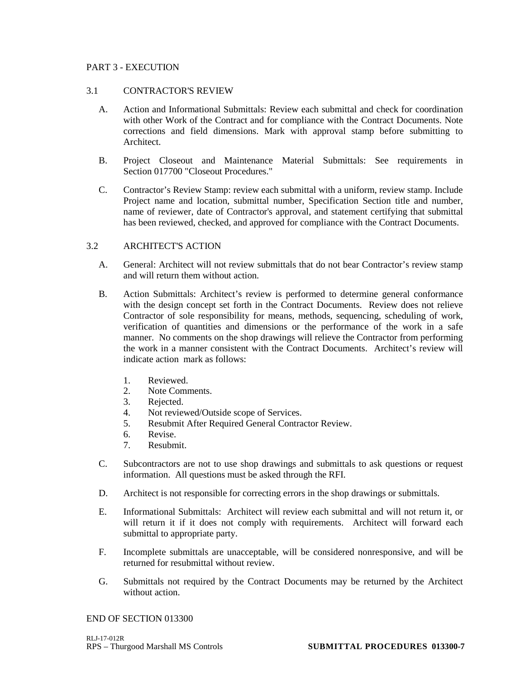## PART 3 - EXECUTION

#### 3.1 CONTRACTOR'S REVIEW

- A. Action and Informational Submittals: Review each submittal and check for coordination with other Work of the Contract and for compliance with the Contract Documents. Note corrections and field dimensions. Mark with approval stamp before submitting to Architect.
- B. Project Closeout and Maintenance Material Submittals: See requirements in Section 017700 "Closeout Procedures."
- C. Contractor's Review Stamp: review each submittal with a uniform, review stamp. Include Project name and location, submittal number, Specification Section title and number, name of reviewer, date of Contractor's approval, and statement certifying that submittal has been reviewed, checked, and approved for compliance with the Contract Documents.

## 3.2 ARCHITECT'S ACTION

- A. General: Architect will not review submittals that do not bear Contractor's review stamp and will return them without action.
- B. Action Submittals: Architect's review is performed to determine general conformance with the design concept set forth in the Contract Documents. Review does not relieve Contractor of sole responsibility for means, methods, sequencing, scheduling of work, verification of quantities and dimensions or the performance of the work in a safe manner. No comments on the shop drawings will relieve the Contractor from performing the work in a manner consistent with the Contract Documents. Architect's review will indicate action mark as follows:
	- 1. Reviewed.
	- 2. Note Comments.
	- 3. Rejected.
	- 4. Not reviewed/Outside scope of Services.
	- 5. Resubmit After Required General Contractor Review.
	- 6. Revise.
	- 7. Resubmit.
- C. Subcontractors are not to use shop drawings and submittals to ask questions or request information. All questions must be asked through the RFI.
- D. Architect is not responsible for correcting errors in the shop drawings or submittals.
- E. Informational Submittals: Architect will review each submittal and will not return it, or will return it if it does not comply with requirements. Architect will forward each submittal to appropriate party.
- F. Incomplete submittals are unacceptable, will be considered nonresponsive, and will be returned for resubmittal without review.
- G. Submittals not required by the Contract Documents may be returned by the Architect without action.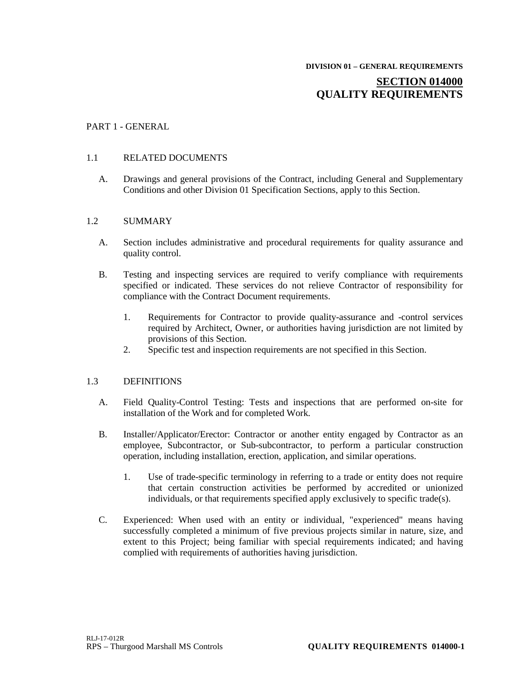# **SECTION 014000 QUALITY REQUIREMENTS**

## PART 1 - GENERAL

#### 1.1 RELATED DOCUMENTS

A. Drawings and general provisions of the Contract, including General and Supplementary Conditions and other Division 01 Specification Sections, apply to this Section.

#### 1.2 SUMMARY

- A. Section includes administrative and procedural requirements for quality assurance and quality control.
- B. Testing and inspecting services are required to verify compliance with requirements specified or indicated. These services do not relieve Contractor of responsibility for compliance with the Contract Document requirements.
	- 1. Requirements for Contractor to provide quality-assurance and -control services required by Architect, Owner, or authorities having jurisdiction are not limited by provisions of this Section.
	- 2. Specific test and inspection requirements are not specified in this Section.

#### 1.3 DEFINITIONS

- A. Field Quality-Control Testing: Tests and inspections that are performed on-site for installation of the Work and for completed Work.
- B. Installer/Applicator/Erector: Contractor or another entity engaged by Contractor as an employee, Subcontractor, or Sub-subcontractor, to perform a particular construction operation, including installation, erection, application, and similar operations.
	- 1. Use of trade-specific terminology in referring to a trade or entity does not require that certain construction activities be performed by accredited or unionized individuals, or that requirements specified apply exclusively to specific trade(s).
- C. Experienced: When used with an entity or individual, "experienced" means having successfully completed a minimum of five previous projects similar in nature, size, and extent to this Project; being familiar with special requirements indicated; and having complied with requirements of authorities having jurisdiction.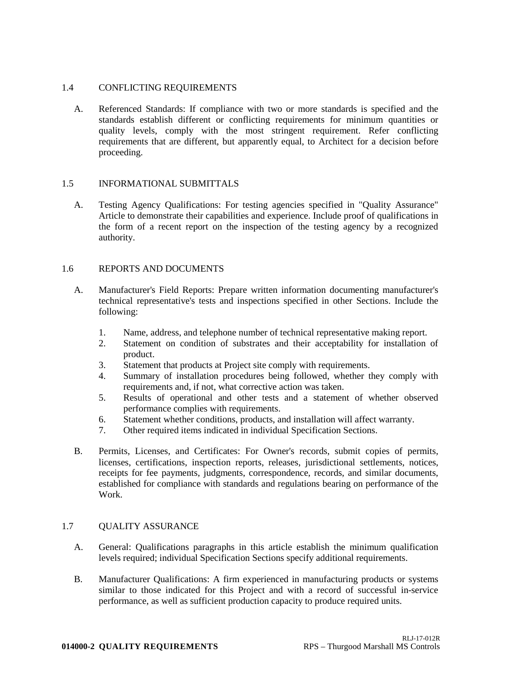## 1.4 CONFLICTING REQUIREMENTS

A. Referenced Standards: If compliance with two or more standards is specified and the standards establish different or conflicting requirements for minimum quantities or quality levels, comply with the most stringent requirement. Refer conflicting requirements that are different, but apparently equal, to Architect for a decision before proceeding.

## 1.5 INFORMATIONAL SUBMITTALS

A. Testing Agency Qualifications: For testing agencies specified in "Quality Assurance" Article to demonstrate their capabilities and experience. Include proof of qualifications in the form of a recent report on the inspection of the testing agency by a recognized authority.

### 1.6 REPORTS AND DOCUMENTS

- A. Manufacturer's Field Reports: Prepare written information documenting manufacturer's technical representative's tests and inspections specified in other Sections. Include the following:
	- 1. Name, address, and telephone number of technical representative making report.
	- 2. Statement on condition of substrates and their acceptability for installation of product.
	- 3. Statement that products at Project site comply with requirements.
	- 4. Summary of installation procedures being followed, whether they comply with requirements and, if not, what corrective action was taken.
	- 5. Results of operational and other tests and a statement of whether observed performance complies with requirements.
	- 6. Statement whether conditions, products, and installation will affect warranty.
	- 7. Other required items indicated in individual Specification Sections.
- B. Permits, Licenses, and Certificates: For Owner's records, submit copies of permits, licenses, certifications, inspection reports, releases, jurisdictional settlements, notices, receipts for fee payments, judgments, correspondence, records, and similar documents, established for compliance with standards and regulations bearing on performance of the Work.

## 1.7 QUALITY ASSURANCE

- A. General: Qualifications paragraphs in this article establish the minimum qualification levels required; individual Specification Sections specify additional requirements.
- B. Manufacturer Qualifications: A firm experienced in manufacturing products or systems similar to those indicated for this Project and with a record of successful in-service performance, as well as sufficient production capacity to produce required units.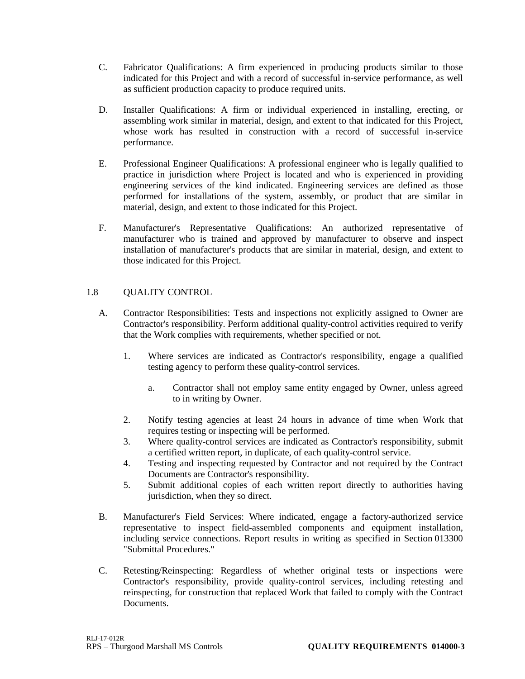- C. Fabricator Qualifications: A firm experienced in producing products similar to those indicated for this Project and with a record of successful in-service performance, as well as sufficient production capacity to produce required units.
- D. Installer Qualifications: A firm or individual experienced in installing, erecting, or assembling work similar in material, design, and extent to that indicated for this Project, whose work has resulted in construction with a record of successful in-service performance.
- E. Professional Engineer Qualifications: A professional engineer who is legally qualified to practice in jurisdiction where Project is located and who is experienced in providing engineering services of the kind indicated. Engineering services are defined as those performed for installations of the system, assembly, or product that are similar in material, design, and extent to those indicated for this Project.
- F. Manufacturer's Representative Qualifications: An authorized representative of manufacturer who is trained and approved by manufacturer to observe and inspect installation of manufacturer's products that are similar in material, design, and extent to those indicated for this Project.

## 1.8 QUALITY CONTROL

- A. Contractor Responsibilities: Tests and inspections not explicitly assigned to Owner are Contractor's responsibility. Perform additional quality-control activities required to verify that the Work complies with requirements, whether specified or not.
	- 1. Where services are indicated as Contractor's responsibility, engage a qualified testing agency to perform these quality-control services.
		- a. Contractor shall not employ same entity engaged by Owner, unless agreed to in writing by Owner.
	- 2. Notify testing agencies at least 24 hours in advance of time when Work that requires testing or inspecting will be performed.
	- 3. Where quality-control services are indicated as Contractor's responsibility, submit a certified written report, in duplicate, of each quality-control service.
	- 4. Testing and inspecting requested by Contractor and not required by the Contract Documents are Contractor's responsibility.
	- 5. Submit additional copies of each written report directly to authorities having jurisdiction, when they so direct.
- B. Manufacturer's Field Services: Where indicated, engage a factory-authorized service representative to inspect field-assembled components and equipment installation, including service connections. Report results in writing as specified in Section 013300 "Submittal Procedures."
- C. Retesting/Reinspecting: Regardless of whether original tests or inspections were Contractor's responsibility, provide quality-control services, including retesting and reinspecting, for construction that replaced Work that failed to comply with the Contract Documents.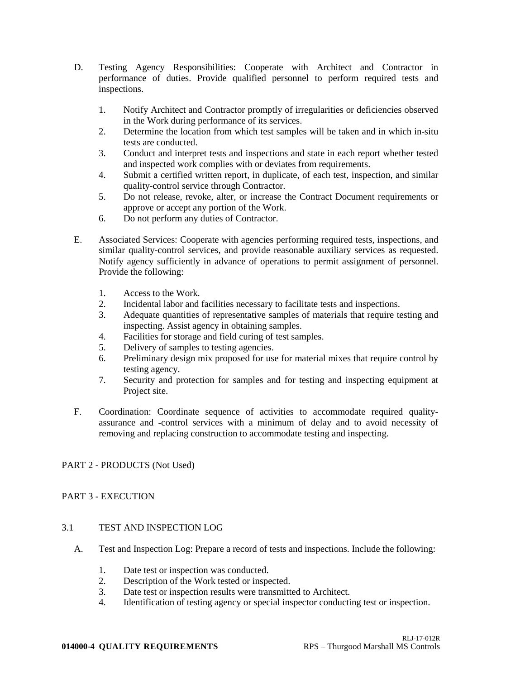- D. Testing Agency Responsibilities: Cooperate with Architect and Contractor in performance of duties. Provide qualified personnel to perform required tests and inspections.
	- 1. Notify Architect and Contractor promptly of irregularities or deficiencies observed in the Work during performance of its services.
	- 2. Determine the location from which test samples will be taken and in which in-situ tests are conducted.
	- 3. Conduct and interpret tests and inspections and state in each report whether tested and inspected work complies with or deviates from requirements.
	- 4. Submit a certified written report, in duplicate, of each test, inspection, and similar quality-control service through Contractor.
	- 5. Do not release, revoke, alter, or increase the Contract Document requirements or approve or accept any portion of the Work.
	- 6. Do not perform any duties of Contractor.
- E. Associated Services: Cooperate with agencies performing required tests, inspections, and similar quality-control services, and provide reasonable auxiliary services as requested. Notify agency sufficiently in advance of operations to permit assignment of personnel. Provide the following:
	- 1. Access to the Work.
	- 2. Incidental labor and facilities necessary to facilitate tests and inspections.
	- 3. Adequate quantities of representative samples of materials that require testing and inspecting. Assist agency in obtaining samples.
	- 4. Facilities for storage and field curing of test samples.
	- 5. Delivery of samples to testing agencies.
	- 6. Preliminary design mix proposed for use for material mixes that require control by testing agency.
	- 7. Security and protection for samples and for testing and inspecting equipment at Project site.
- F. Coordination: Coordinate sequence of activities to accommodate required qualityassurance and -control services with a minimum of delay and to avoid necessity of removing and replacing construction to accommodate testing and inspecting.

## PART 2 - PRODUCTS (Not Used)

## PART 3 - EXECUTION

## 3.1 TEST AND INSPECTION LOG

- A. Test and Inspection Log: Prepare a record of tests and inspections. Include the following:
	- 1. Date test or inspection was conducted.
	- 2. Description of the Work tested or inspected.
	- 3. Date test or inspection results were transmitted to Architect.
	- 4. Identification of testing agency or special inspector conducting test or inspection.

#### **014000-4 QUALITY REQUIREMENTS** RPS – Thurgood Marshall MS Controls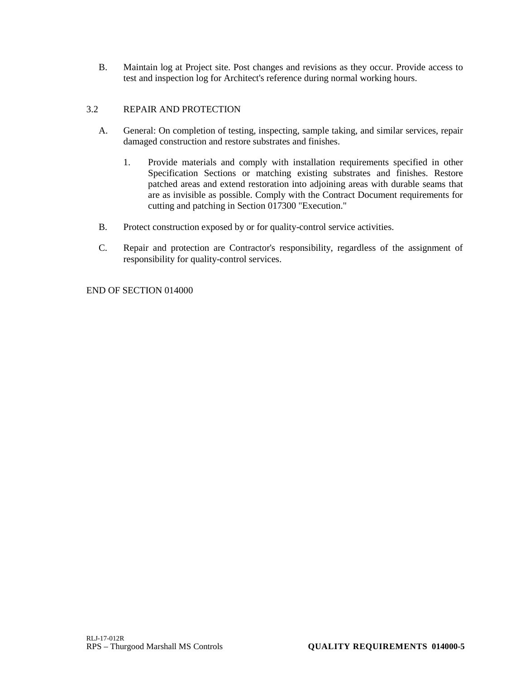B. Maintain log at Project site. Post changes and revisions as they occur. Provide access to test and inspection log for Architect's reference during normal working hours.

## 3.2 REPAIR AND PROTECTION

- A. General: On completion of testing, inspecting, sample taking, and similar services, repair damaged construction and restore substrates and finishes.
	- 1. Provide materials and comply with installation requirements specified in other Specification Sections or matching existing substrates and finishes. Restore patched areas and extend restoration into adjoining areas with durable seams that are as invisible as possible. Comply with the Contract Document requirements for cutting and patching in Section 017300 "Execution."
- B. Protect construction exposed by or for quality-control service activities.
- C. Repair and protection are Contractor's responsibility, regardless of the assignment of responsibility for quality-control services.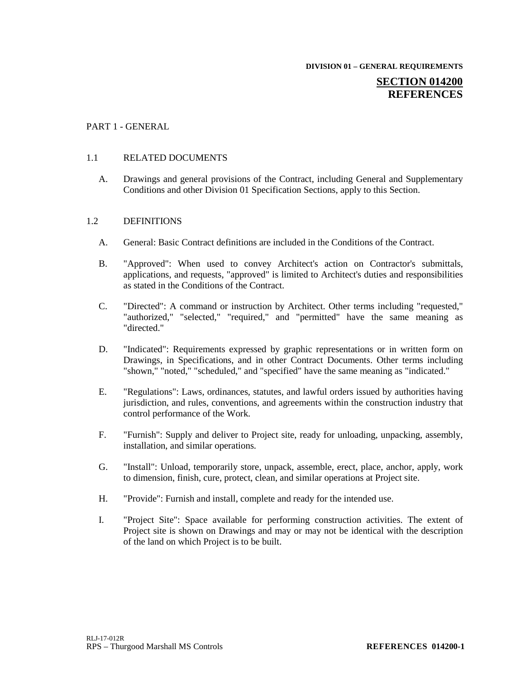**DIVISION 01 – GENERAL REQUIREMENTS**

## **SECTION 014200 REFERENCES**

## PART 1 - GENERAL

### 1.1 RELATED DOCUMENTS

A. Drawings and general provisions of the Contract, including General and Supplementary Conditions and other Division 01 Specification Sections, apply to this Section.

#### 1.2 DEFINITIONS

- A. General: Basic Contract definitions are included in the Conditions of the Contract.
- B. "Approved": When used to convey Architect's action on Contractor's submittals, applications, and requests, "approved" is limited to Architect's duties and responsibilities as stated in the Conditions of the Contract.
- C. "Directed": A command or instruction by Architect. Other terms including "requested," "authorized," "selected," "required," and "permitted" have the same meaning as "directed."
- D. "Indicated": Requirements expressed by graphic representations or in written form on Drawings, in Specifications, and in other Contract Documents. Other terms including "shown," "noted," "scheduled," and "specified" have the same meaning as "indicated."
- E. "Regulations": Laws, ordinances, statutes, and lawful orders issued by authorities having jurisdiction, and rules, conventions, and agreements within the construction industry that control performance of the Work.
- F. "Furnish": Supply and deliver to Project site, ready for unloading, unpacking, assembly, installation, and similar operations.
- G. "Install": Unload, temporarily store, unpack, assemble, erect, place, anchor, apply, work to dimension, finish, cure, protect, clean, and similar operations at Project site.
- H. "Provide": Furnish and install, complete and ready for the intended use.
- I. "Project Site": Space available for performing construction activities. The extent of Project site is shown on Drawings and may or may not be identical with the description of the land on which Project is to be built.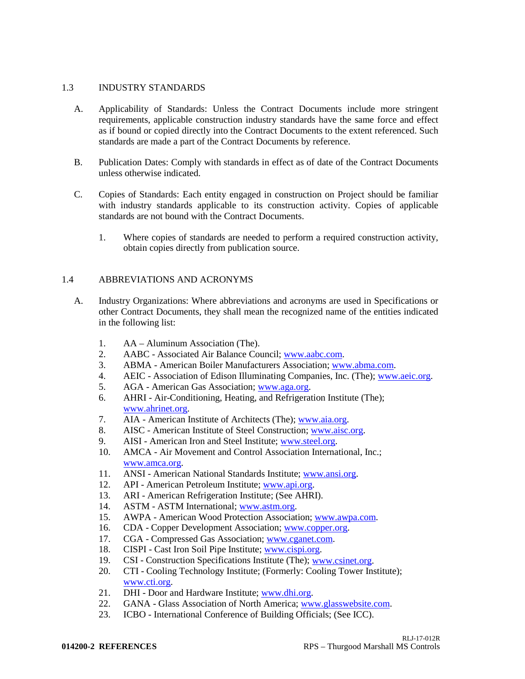## 1.3 INDUSTRY STANDARDS

- A. Applicability of Standards: Unless the Contract Documents include more stringent requirements, applicable construction industry standards have the same force and effect as if bound or copied directly into the Contract Documents to the extent referenced. Such standards are made a part of the Contract Documents by reference.
- B. Publication Dates: Comply with standards in effect as of date of the Contract Documents unless otherwise indicated.
- C. Copies of Standards: Each entity engaged in construction on Project should be familiar with industry standards applicable to its construction activity. Copies of applicable standards are not bound with the Contract Documents.
	- 1. Where copies of standards are needed to perform a required construction activity, obtain copies directly from publication source.

### 1.4 ABBREVIATIONS AND ACRONYMS

- A. Industry Organizations: Where abbreviations and acronyms are used in Specifications or other Contract Documents, they shall mean the recognized name of the entities indicated in the following list:
	- 1. AA Aluminum Association (The).
	- 2. AABC Associated Air Balance Council; [www.aabc.com.](http://www.aabc.com/)
	- 3. ABMA American Boiler Manufacturers Association; [www.abma.com.](http://www.abma.com/)
	- 4. AEIC Association of Edison Illuminating Companies, Inc. (The); [www.aeic.org.](http://www.aeic.org/)
	- 5. AGA American Gas Association[; www.aga.org.](http://www.aga.org/)
	- 6. AHRI Air-Conditioning, Heating, and Refrigeration Institute (The); [www.ahrinet.org.](http://www.ahrinet.org/)
	- 7. AIA American Institute of Architects (The)[; www.aia.org.](http://www.aia.org/)
	- 8. AISC American Institute of Steel Construction; [www.aisc.org.](http://www.aisc.org/)
	- 9. AISI American Iron and Steel Institute; [www.steel.org.](http://www.steel.org/)
	- 10. AMCA Air Movement and Control Association International, Inc.; [www.amca.org.](http://www.amca.org/)
	- 11. ANSI American National Standards Institute; [www.ansi.org.](http://www.ansi.org/)
	- 12. API American Petroleum Institute; [www.api.org.](http://www.api.org/)
	- 13. ARI American Refrigeration Institute; (See AHRI).
	- 14. ASTM ASTM International; [www.astm.org.](http://www.astm.org/)
	- 15. AWPA American Wood Protection Association; [www.awpa.com.](http://www.awpa.com/)
	- 16. CDA Copper Development Association; [www.copper.org.](http://www.copper.org/)
	- 17. CGA Compressed Gas Association; [www.cganet.com.](http://www.cganet.com/)
	- 18. CISPI Cast Iron Soil Pipe Institute; [www.cispi.org.](http://www.cispi.org/)
	- 19. CSI Construction Specifications Institute (The); [www.csinet.org.](http://www.csinet.org/)
	- 20. CTI Cooling Technology Institute; (Formerly: Cooling Tower Institute); [www.cti.org.](http://www.cti.org/)
	- 21. DHI Door and Hardware Institute[; www.dhi.org.](http://www.dhi.org/)
	- 22. GANA Glass Association of North America; [www.glasswebsite.com.](http://www.glasswebsite.com/)
	- 23. ICBO International Conference of Building Officials; (See ICC).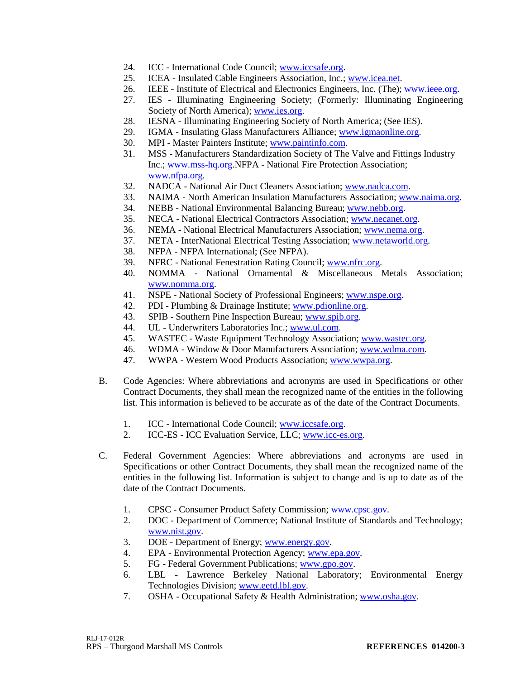- 24. ICC International Code Council; [www.iccsafe.org.](http://www.iccsafe.org/)
- 25. ICEA Insulated Cable Engineers Association, Inc.; [www.icea.net.](http://www.icea.net/)
- 26. IEEE Institute of Electrical and Electronics Engineers, Inc. (The); [www.ieee.org.](http://www.ieee.org/)
- 27. IES Illuminating Engineering Society; (Formerly: Illuminating Engineering Society of North America); [www.ies.org.](http://www.ies.org/)
- 28. IESNA Illuminating Engineering Society of North America; (See IES).
- 29. IGMA Insulating Glass Manufacturers Alliance; [www.igmaonline.org.](http://www.igmaonline.org/)
- 30. MPI Master Painters Institute; [www.paintinfo.com.](http://www.paintinfo.com/)
- 31. MSS Manufacturers Standardization Society of The Valve and Fittings Industry Inc.; [www.mss-hq.org.](http://www.mss-hq.org/)NFPA - National Fire Protection Association; [www.nfpa.org.](http://www.nfpa.org/)
- 32. NADCA National Air Duct Cleaners Association; [www.nadca.com.](http://www.nadca.com/)
- 33. NAIMA North American Insulation Manufacturers Association; [www.naima.org.](http://www.naima.org/)
- 34. NEBB National Environmental Balancing Bureau; [www.nebb.org.](http://www.nebb.org/)
- 35. NECA National Electrical Contractors Association; [www.necanet.org.](http://www.necanet.org/)
- 36. NEMA National Electrical Manufacturers Association; [www.nema.org.](http://www.nema.org/)
- 37. NETA InterNational Electrical Testing Association; [www.netaworld.org.](http://www.netaworld.org/)
- 38. NFPA NFPA International; (See NFPA).
- 39. NFRC National Fenestration Rating Council; [www.nfrc.org.](http://www.nfrc.org/)
- 40. NOMMA National Ornamental & Miscellaneous Metals Association; [www.nomma.org.](http://www.nomma.org/)
- 41. NSPE National Society of Professional Engineers; [www.nspe.org.](http://www.nspe.org/)
- 42. PDI Plumbing & Drainage Institute; [www.pdionline.org.](http://www.pdionline.org/)
- 43. SPIB Southern Pine Inspection Bureau; [www.spib.org.](http://www.spib.org/)
- 44. UL Underwriters Laboratories Inc.; [www.ul.com.](http://www.ul.com/)
- 45. WASTEC Waste Equipment Technology Association; [www.wastec.org.](http://www.wastec.org/)
- 46. WDMA Window & Door Manufacturers Association; [www.wdma.com.](http://www.wdma.com/)
- 47. WWPA Western Wood Products Association; [www.wwpa.org.](http://www.wwpa.org/)
- B. Code Agencies: Where abbreviations and acronyms are used in Specifications or other Contract Documents, they shall mean the recognized name of the entities in the following list. This information is believed to be accurate as of the date of the Contract Documents.
	- 1. ICC International Code Council; [www.iccsafe.org.](http://www.iccsafe.org/)
	- 2. ICC-ES ICC Evaluation Service, LLC; [www.icc-es.org.](http://www.icc-es.org/)
- C. Federal Government Agencies: Where abbreviations and acronyms are used in Specifications or other Contract Documents, they shall mean the recognized name of the entities in the following list. Information is subject to change and is up to date as of the date of the Contract Documents.
	- 1. CPSC Consumer Product Safety Commission; [www.cpsc.gov.](http://www.cpsc.gov/)
	- 2. DOC Department of Commerce; National Institute of Standards and Technology; [www.nist.gov.](http://www.nist.gov/)
	- 3. DOE Department of Energy; [www.energy.gov.](http://www.energy.gov/)
	- 4. EPA Environmental Protection Agency; [www.epa.gov.](http://www.epa.gov/)
	- 5. FG Federal Government Publications[; www.gpo.gov.](http://www.gpo.gov/)
	- 6. LBL Lawrence Berkeley National Laboratory; Environmental Energy Technologies Division; [www.eetd.lbl.gov.](http://www.eetd.lbl.gov/)
	- 7. OSHA Occupational Safety & Health Administration; [www.osha.gov.](http://www.osha.gov/)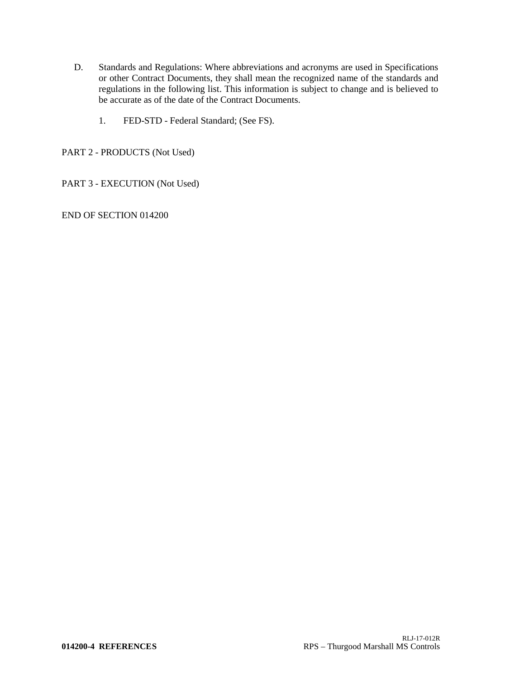- D. Standards and Regulations: Where abbreviations and acronyms are used in Specifications or other Contract Documents, they shall mean the recognized name of the standards and regulations in the following list. This information is subject to change and is believed to be accurate as of the date of the Contract Documents.
	- 1. FED-STD Federal Standard; (See FS).

PART 2 - PRODUCTS (Not Used)

PART 3 - EXECUTION (Not Used)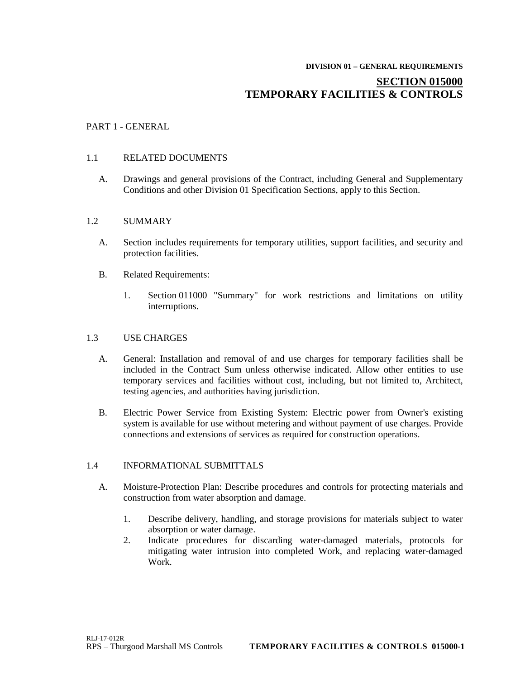# **DIVISION 01 – GENERAL REQUIREMENTS SECTION 015000 TEMPORARY FACILITIES & CONTROLS**

## PART 1 - GENERAL

## 1.1 RELATED DOCUMENTS

A. Drawings and general provisions of the Contract, including General and Supplementary Conditions and other Division 01 Specification Sections, apply to this Section.

### 1.2 SUMMARY

- A. Section includes requirements for temporary utilities, support facilities, and security and protection facilities.
- B. Related Requirements:
	- 1. Section 011000 "Summary" for work restrictions and limitations on utility interruptions.

## 1.3 USE CHARGES

- A. General: Installation and removal of and use charges for temporary facilities shall be included in the Contract Sum unless otherwise indicated. Allow other entities to use temporary services and facilities without cost, including, but not limited to, Architect, testing agencies, and authorities having jurisdiction.
- B. Electric Power Service from Existing System: Electric power from Owner's existing system is available for use without metering and without payment of use charges. Provide connections and extensions of services as required for construction operations.

#### 1.4 INFORMATIONAL SUBMITTALS

- A. Moisture-Protection Plan: Describe procedures and controls for protecting materials and construction from water absorption and damage.
	- 1. Describe delivery, handling, and storage provisions for materials subject to water absorption or water damage.
	- 2. Indicate procedures for discarding water-damaged materials, protocols for mitigating water intrusion into completed Work, and replacing water-damaged Work.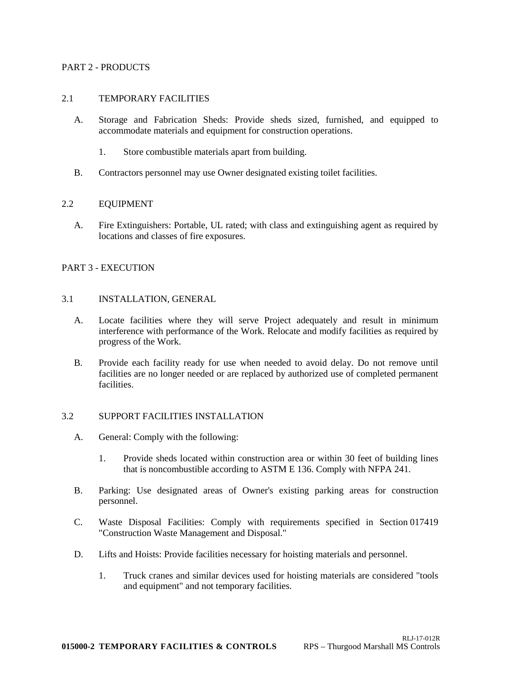#### PART 2 - PRODUCTS

### 2.1 TEMPORARY FACILITIES

- A. Storage and Fabrication Sheds: Provide sheds sized, furnished, and equipped to accommodate materials and equipment for construction operations.
	- 1. Store combustible materials apart from building.
- B. Contractors personnel may use Owner designated existing toilet facilities.

### 2.2 EQUIPMENT

A. Fire Extinguishers: Portable, UL rated; with class and extinguishing agent as required by locations and classes of fire exposures.

### PART 3 - EXECUTION

### 3.1 INSTALLATION, GENERAL

- A. Locate facilities where they will serve Project adequately and result in minimum interference with performance of the Work. Relocate and modify facilities as required by progress of the Work.
- B. Provide each facility ready for use when needed to avoid delay. Do not remove until facilities are no longer needed or are replaced by authorized use of completed permanent facilities.

#### 3.2 SUPPORT FACILITIES INSTALLATION

- A. General: Comply with the following:
	- 1. Provide sheds located within construction area or within 30 feet of building lines that is noncombustible according to ASTM E 136. Comply with NFPA 241.
- B. Parking: Use designated areas of Owner's existing parking areas for construction personnel.
- C. Waste Disposal Facilities: Comply with requirements specified in Section 017419 "Construction Waste Management and Disposal."
- D. Lifts and Hoists: Provide facilities necessary for hoisting materials and personnel.
	- 1. Truck cranes and similar devices used for hoisting materials are considered "tools and equipment" and not temporary facilities.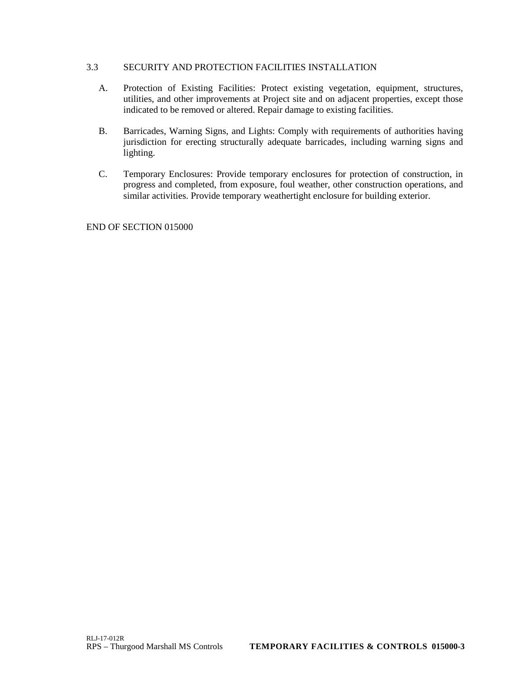## 3.3 SECURITY AND PROTECTION FACILITIES INSTALLATION

- A. Protection of Existing Facilities: Protect existing vegetation, equipment, structures, utilities, and other improvements at Project site and on adjacent properties, except those indicated to be removed or altered. Repair damage to existing facilities.
- B. Barricades, Warning Signs, and Lights: Comply with requirements of authorities having jurisdiction for erecting structurally adequate barricades, including warning signs and lighting.
- C. Temporary Enclosures: Provide temporary enclosures for protection of construction, in progress and completed, from exposure, foul weather, other construction operations, and similar activities. Provide temporary weathertight enclosure for building exterior.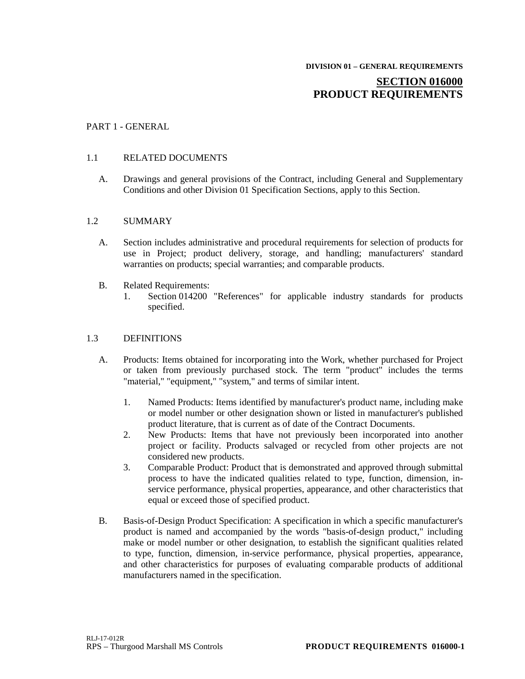# **SECTION 016000 PRODUCT REQUIREMENTS**

### PART 1 - GENERAL

#### 1.1 RELATED DOCUMENTS

A. Drawings and general provisions of the Contract, including General and Supplementary Conditions and other Division 01 Specification Sections, apply to this Section.

#### 1.2 SUMMARY

- A. Section includes administrative and procedural requirements for selection of products for use in Project; product delivery, storage, and handling; manufacturers' standard warranties on products; special warranties; and comparable products.
- B. Related Requirements:
	- 1. Section 014200 "References" for applicable industry standards for products specified.

#### 1.3 DEFINITIONS

- A. Products: Items obtained for incorporating into the Work, whether purchased for Project or taken from previously purchased stock. The term "product" includes the terms "material," "equipment," "system," and terms of similar intent.
	- 1. Named Products: Items identified by manufacturer's product name, including make or model number or other designation shown or listed in manufacturer's published product literature, that is current as of date of the Contract Documents.
	- 2. New Products: Items that have not previously been incorporated into another project or facility. Products salvaged or recycled from other projects are not considered new products.
	- 3. Comparable Product: Product that is demonstrated and approved through submittal process to have the indicated qualities related to type, function, dimension, inservice performance, physical properties, appearance, and other characteristics that equal or exceed those of specified product.
- B. Basis-of-Design Product Specification: A specification in which a specific manufacturer's product is named and accompanied by the words "basis-of-design product," including make or model number or other designation, to establish the significant qualities related to type, function, dimension, in-service performance, physical properties, appearance, and other characteristics for purposes of evaluating comparable products of additional manufacturers named in the specification.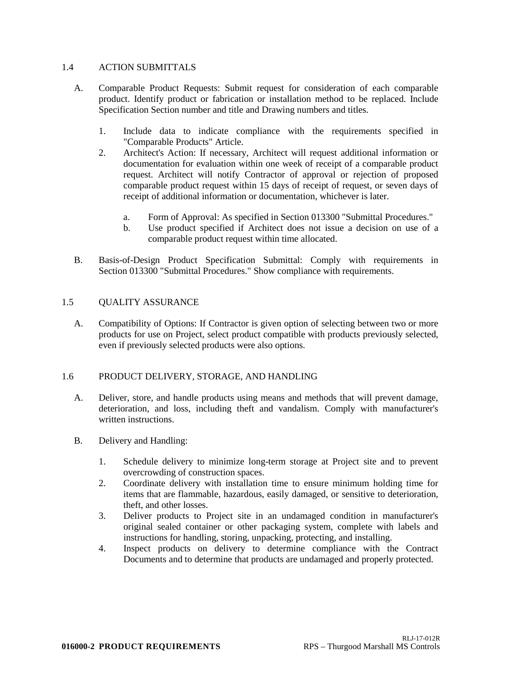### 1.4 ACTION SUBMITTALS

- A. Comparable Product Requests: Submit request for consideration of each comparable product. Identify product or fabrication or installation method to be replaced. Include Specification Section number and title and Drawing numbers and titles.
	- 1. Include data to indicate compliance with the requirements specified in "Comparable Products" Article.
	- 2. Architect's Action: If necessary, Architect will request additional information or documentation for evaluation within one week of receipt of a comparable product request. Architect will notify Contractor of approval or rejection of proposed comparable product request within 15 days of receipt of request, or seven days of receipt of additional information or documentation, whichever is later.
		- a. Form of Approval: As specified in Section 013300 "Submittal Procedures."
		- b. Use product specified if Architect does not issue a decision on use of a comparable product request within time allocated.
- B. Basis-of-Design Product Specification Submittal: Comply with requirements in Section 013300 "Submittal Procedures." Show compliance with requirements.

# 1.5 QUALITY ASSURANCE

A. Compatibility of Options: If Contractor is given option of selecting between two or more products for use on Project, select product compatible with products previously selected, even if previously selected products were also options.

# 1.6 PRODUCT DELIVERY, STORAGE, AND HANDLING

- A. Deliver, store, and handle products using means and methods that will prevent damage, deterioration, and loss, including theft and vandalism. Comply with manufacturer's written instructions.
- B. Delivery and Handling:
	- 1. Schedule delivery to minimize long-term storage at Project site and to prevent overcrowding of construction spaces.
	- 2. Coordinate delivery with installation time to ensure minimum holding time for items that are flammable, hazardous, easily damaged, or sensitive to deterioration, theft, and other losses.
	- 3. Deliver products to Project site in an undamaged condition in manufacturer's original sealed container or other packaging system, complete with labels and instructions for handling, storing, unpacking, protecting, and installing.
	- 4. Inspect products on delivery to determine compliance with the Contract Documents and to determine that products are undamaged and properly protected.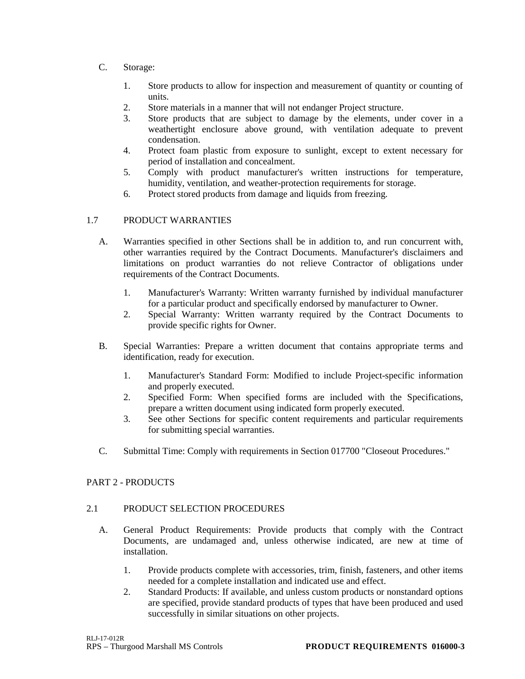- C. Storage:
	- 1. Store products to allow for inspection and measurement of quantity or counting of units.
	- 2. Store materials in a manner that will not endanger Project structure.
	- 3. Store products that are subject to damage by the elements, under cover in a weathertight enclosure above ground, with ventilation adequate to prevent condensation.
	- 4. Protect foam plastic from exposure to sunlight, except to extent necessary for period of installation and concealment.
	- 5. Comply with product manufacturer's written instructions for temperature, humidity, ventilation, and weather-protection requirements for storage.
	- 6. Protect stored products from damage and liquids from freezing.

# 1.7 PRODUCT WARRANTIES

- A. Warranties specified in other Sections shall be in addition to, and run concurrent with, other warranties required by the Contract Documents. Manufacturer's disclaimers and limitations on product warranties do not relieve Contractor of obligations under requirements of the Contract Documents.
	- 1. Manufacturer's Warranty: Written warranty furnished by individual manufacturer for a particular product and specifically endorsed by manufacturer to Owner.
	- 2. Special Warranty: Written warranty required by the Contract Documents to provide specific rights for Owner.
- B. Special Warranties: Prepare a written document that contains appropriate terms and identification, ready for execution.
	- 1. Manufacturer's Standard Form: Modified to include Project-specific information and properly executed.
	- 2. Specified Form: When specified forms are included with the Specifications, prepare a written document using indicated form properly executed.
	- 3. See other Sections for specific content requirements and particular requirements for submitting special warranties.
- C. Submittal Time: Comply with requirements in Section 017700 "Closeout Procedures."

# PART 2 - PRODUCTS

# 2.1 PRODUCT SELECTION PROCEDURES

- A. General Product Requirements: Provide products that comply with the Contract Documents, are undamaged and, unless otherwise indicated, are new at time of installation.
	- 1. Provide products complete with accessories, trim, finish, fasteners, and other items needed for a complete installation and indicated use and effect.
	- 2. Standard Products: If available, and unless custom products or nonstandard options are specified, provide standard products of types that have been produced and used successfully in similar situations on other projects.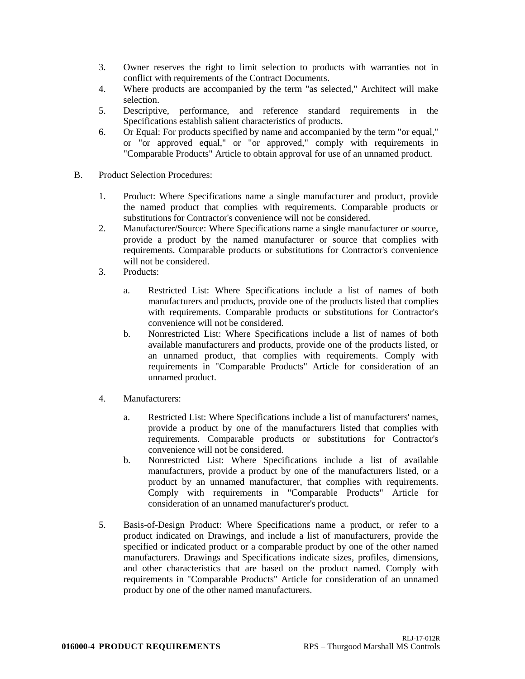- 3. Owner reserves the right to limit selection to products with warranties not in conflict with requirements of the Contract Documents.
- 4. Where products are accompanied by the term "as selected," Architect will make selection.
- 5. Descriptive, performance, and reference standard requirements in the Specifications establish salient characteristics of products.
- 6. Or Equal: For products specified by name and accompanied by the term "or equal," or "or approved equal," or "or approved," comply with requirements in "Comparable Products" Article to obtain approval for use of an unnamed product.
- B. Product Selection Procedures:
	- 1. Product: Where Specifications name a single manufacturer and product, provide the named product that complies with requirements. Comparable products or substitutions for Contractor's convenience will not be considered.
	- 2. Manufacturer/Source: Where Specifications name a single manufacturer or source, provide a product by the named manufacturer or source that complies with requirements. Comparable products or substitutions for Contractor's convenience will not be considered.
	- 3. Products:
		- a. Restricted List: Where Specifications include a list of names of both manufacturers and products, provide one of the products listed that complies with requirements. Comparable products or substitutions for Contractor's convenience will not be considered.
		- b. Nonrestricted List: Where Specifications include a list of names of both available manufacturers and products, provide one of the products listed, or an unnamed product, that complies with requirements. Comply with requirements in "Comparable Products" Article for consideration of an unnamed product.
	- 4. Manufacturers:
		- a. Restricted List: Where Specifications include a list of manufacturers' names, provide a product by one of the manufacturers listed that complies with requirements. Comparable products or substitutions for Contractor's convenience will not be considered.
		- b. Nonrestricted List: Where Specifications include a list of available manufacturers, provide a product by one of the manufacturers listed, or a product by an unnamed manufacturer, that complies with requirements. Comply with requirements in "Comparable Products" Article for consideration of an unnamed manufacturer's product.
	- 5. Basis-of-Design Product: Where Specifications name a product, or refer to a product indicated on Drawings, and include a list of manufacturers, provide the specified or indicated product or a comparable product by one of the other named manufacturers. Drawings and Specifications indicate sizes, profiles, dimensions, and other characteristics that are based on the product named. Comply with requirements in "Comparable Products" Article for consideration of an unnamed product by one of the other named manufacturers.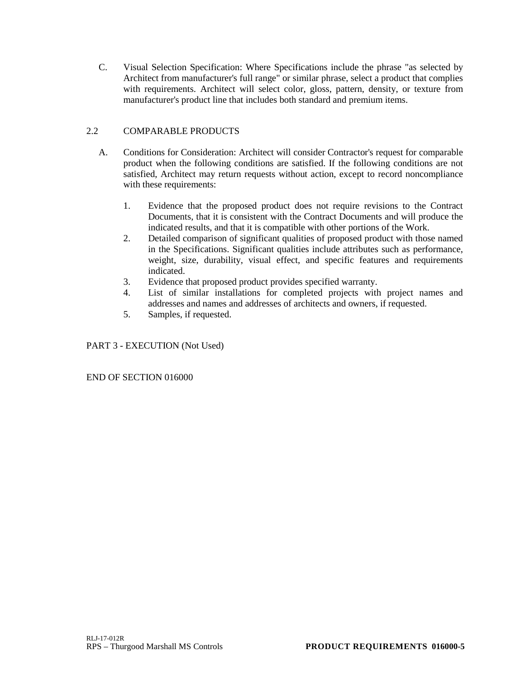C. Visual Selection Specification: Where Specifications include the phrase "as selected by Architect from manufacturer's full range" or similar phrase, select a product that complies with requirements. Architect will select color, gloss, pattern, density, or texture from manufacturer's product line that includes both standard and premium items.

# 2.2 COMPARABLE PRODUCTS

- A. Conditions for Consideration: Architect will consider Contractor's request for comparable product when the following conditions are satisfied. If the following conditions are not satisfied, Architect may return requests without action, except to record noncompliance with these requirements:
	- 1. Evidence that the proposed product does not require revisions to the Contract Documents, that it is consistent with the Contract Documents and will produce the indicated results, and that it is compatible with other portions of the Work.
	- 2. Detailed comparison of significant qualities of proposed product with those named in the Specifications. Significant qualities include attributes such as performance, weight, size, durability, visual effect, and specific features and requirements indicated.
	- 3. Evidence that proposed product provides specified warranty.
	- 4. List of similar installations for completed projects with project names and addresses and names and addresses of architects and owners, if requested.
	- 5. Samples, if requested.

# PART 3 - EXECUTION (Not Used)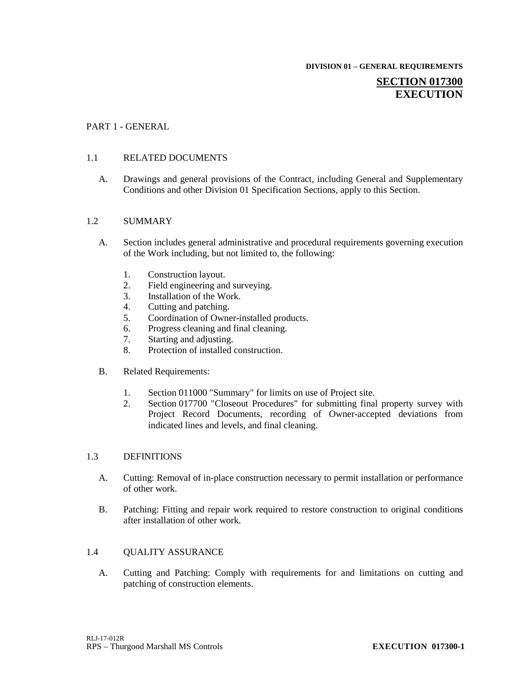**DIVISION 01 – GENERAL REQUIREMENTS**

# **SECTION 017300 EXECUTION**

# PART 1 - GENERAL

# 1.1 RELATED DOCUMENTS

A. Drawings and general provisions of the Contract, including General and Supplementary Conditions and other Division 01 Specification Sections, apply to this Section.

# 1.2 SUMMARY

- A. Section includes general administrative and procedural requirements governing execution of the Work including, but not limited to, the following:
	- 1. Construction layout.<br>2. Field engineering and
	- Field engineering and surveying.
	- 3. Installation of the Work.
	- 4. Cutting and patching.
	- 5. Coordination of Owner-installed products.
	- 6. Progress cleaning and final cleaning.
	- 7. Starting and adjusting.
	- 8. Protection of installed construction.
- B. Related Requirements:
	- 1. Section 011000 "Summary" for limits on use of Project site.
	- 2. Section 017700 "Closeout Procedures" for submitting final property survey with Project Record Documents, recording of Owner-accepted deviations from indicated lines and levels, and final cleaning.

# 1.3 DEFINITIONS

- A. Cutting: Removal of in-place construction necessary to permit installation or performance of other work.
- B. Patching: Fitting and repair work required to restore construction to original conditions after installation of other work.

# 1.4 QUALITY ASSURANCE

A. Cutting and Patching: Comply with requirements for and limitations on cutting and patching of construction elements.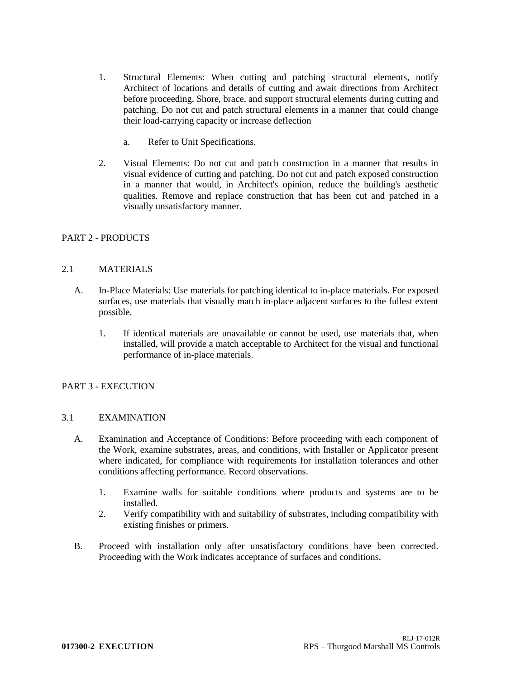- 1. Structural Elements: When cutting and patching structural elements, notify Architect of locations and details of cutting and await directions from Architect before proceeding. Shore, brace, and support structural elements during cutting and patching. Do not cut and patch structural elements in a manner that could change their load-carrying capacity or increase deflection
	- a. Refer to Unit Specifications.
- 2. Visual Elements: Do not cut and patch construction in a manner that results in visual evidence of cutting and patching. Do not cut and patch exposed construction in a manner that would, in Architect's opinion, reduce the building's aesthetic qualities. Remove and replace construction that has been cut and patched in a visually unsatisfactory manner.

# PART 2 - PRODUCTS

# 2.1 MATERIALS

- A. In-Place Materials: Use materials for patching identical to in-place materials. For exposed surfaces, use materials that visually match in-place adjacent surfaces to the fullest extent possible.
	- 1. If identical materials are unavailable or cannot be used, use materials that, when installed, will provide a match acceptable to Architect for the visual and functional performance of in-place materials.

# PART 3 - EXECUTION

# 3.1 EXAMINATION

- A. Examination and Acceptance of Conditions: Before proceeding with each component of the Work, examine substrates, areas, and conditions, with Installer or Applicator present where indicated, for compliance with requirements for installation tolerances and other conditions affecting performance. Record observations.
	- 1. Examine walls for suitable conditions where products and systems are to be installed.
	- 2. Verify compatibility with and suitability of substrates, including compatibility with existing finishes or primers.
- B. Proceed with installation only after unsatisfactory conditions have been corrected. Proceeding with the Work indicates acceptance of surfaces and conditions.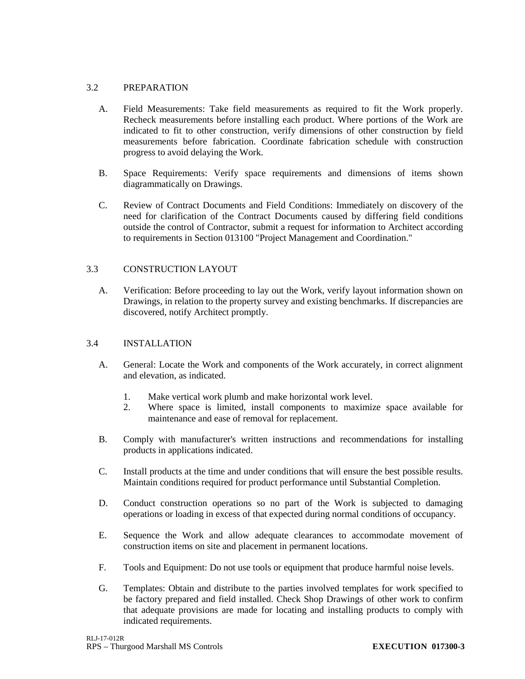# 3.2 PREPARATION

- A. Field Measurements: Take field measurements as required to fit the Work properly. Recheck measurements before installing each product. Where portions of the Work are indicated to fit to other construction, verify dimensions of other construction by field measurements before fabrication. Coordinate fabrication schedule with construction progress to avoid delaying the Work.
- B. Space Requirements: Verify space requirements and dimensions of items shown diagrammatically on Drawings.
- C. Review of Contract Documents and Field Conditions: Immediately on discovery of the need for clarification of the Contract Documents caused by differing field conditions outside the control of Contractor, submit a request for information to Architect according to requirements in Section 013100 "Project Management and Coordination."

# 3.3 CONSTRUCTION LAYOUT

A. Verification: Before proceeding to lay out the Work, verify layout information shown on Drawings, in relation to the property survey and existing benchmarks. If discrepancies are discovered, notify Architect promptly.

# 3.4 INSTALLATION

- A. General: Locate the Work and components of the Work accurately, in correct alignment and elevation, as indicated.
	- 1. Make vertical work plumb and make horizontal work level.<br>2. Where space is limited, install components to maximize
	- 2. Where space is limited, install components to maximize space available for maintenance and ease of removal for replacement.
- B. Comply with manufacturer's written instructions and recommendations for installing products in applications indicated.
- C. Install products at the time and under conditions that will ensure the best possible results. Maintain conditions required for product performance until Substantial Completion.
- D. Conduct construction operations so no part of the Work is subjected to damaging operations or loading in excess of that expected during normal conditions of occupancy.
- E. Sequence the Work and allow adequate clearances to accommodate movement of construction items on site and placement in permanent locations.
- F. Tools and Equipment: Do not use tools or equipment that produce harmful noise levels.
- G. Templates: Obtain and distribute to the parties involved templates for work specified to be factory prepared and field installed. Check Shop Drawings of other work to confirm that adequate provisions are made for locating and installing products to comply with indicated requirements.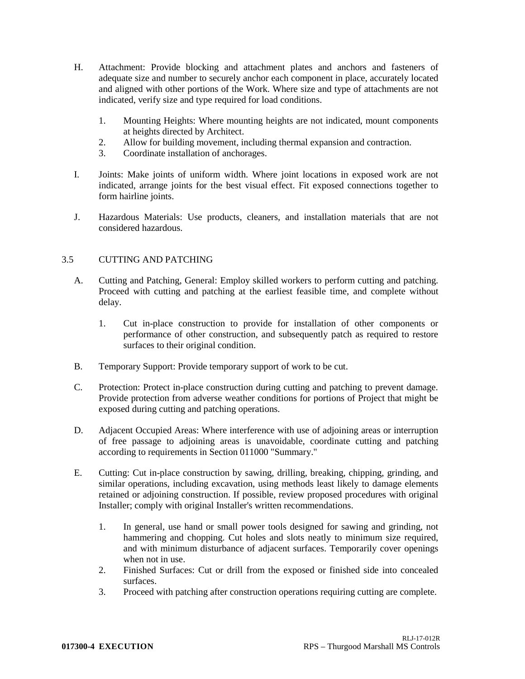- H. Attachment: Provide blocking and attachment plates and anchors and fasteners of adequate size and number to securely anchor each component in place, accurately located and aligned with other portions of the Work. Where size and type of attachments are not indicated, verify size and type required for load conditions.
	- 1. Mounting Heights: Where mounting heights are not indicated, mount components at heights directed by Architect.
	- 2. Allow for building movement, including thermal expansion and contraction.
	- 3. Coordinate installation of anchorages.
- I. Joints: Make joints of uniform width. Where joint locations in exposed work are not indicated, arrange joints for the best visual effect. Fit exposed connections together to form hairline joints.
- J. Hazardous Materials: Use products, cleaners, and installation materials that are not considered hazardous.

# 3.5 CUTTING AND PATCHING

- A. Cutting and Patching, General: Employ skilled workers to perform cutting and patching. Proceed with cutting and patching at the earliest feasible time, and complete without delay.
	- 1. Cut in-place construction to provide for installation of other components or performance of other construction, and subsequently patch as required to restore surfaces to their original condition.
- B. Temporary Support: Provide temporary support of work to be cut.
- C. Protection: Protect in-place construction during cutting and patching to prevent damage. Provide protection from adverse weather conditions for portions of Project that might be exposed during cutting and patching operations.
- D. Adjacent Occupied Areas: Where interference with use of adjoining areas or interruption of free passage to adjoining areas is unavoidable, coordinate cutting and patching according to requirements in Section 011000 "Summary."
- E. Cutting: Cut in-place construction by sawing, drilling, breaking, chipping, grinding, and similar operations, including excavation, using methods least likely to damage elements retained or adjoining construction. If possible, review proposed procedures with original Installer; comply with original Installer's written recommendations.
	- 1. In general, use hand or small power tools designed for sawing and grinding, not hammering and chopping. Cut holes and slots neatly to minimum size required, and with minimum disturbance of adjacent surfaces. Temporarily cover openings when not in use.
	- 2. Finished Surfaces: Cut or drill from the exposed or finished side into concealed surfaces.
	- 3. Proceed with patching after construction operations requiring cutting are complete.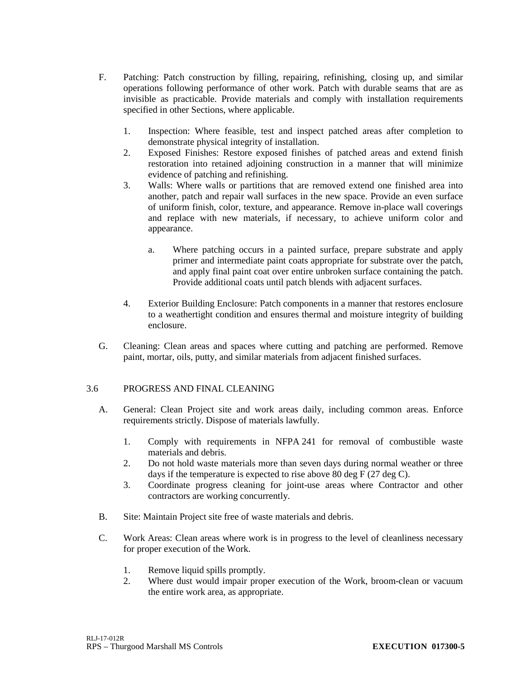- F. Patching: Patch construction by filling, repairing, refinishing, closing up, and similar operations following performance of other work. Patch with durable seams that are as invisible as practicable. Provide materials and comply with installation requirements specified in other Sections, where applicable.
	- 1. Inspection: Where feasible, test and inspect patched areas after completion to demonstrate physical integrity of installation.
	- 2. Exposed Finishes: Restore exposed finishes of patched areas and extend finish restoration into retained adjoining construction in a manner that will minimize evidence of patching and refinishing.
	- 3. Walls: Where walls or partitions that are removed extend one finished area into another, patch and repair wall surfaces in the new space. Provide an even surface of uniform finish, color, texture, and appearance. Remove in-place wall coverings and replace with new materials, if necessary, to achieve uniform color and appearance.
		- a. Where patching occurs in a painted surface, prepare substrate and apply primer and intermediate paint coats appropriate for substrate over the patch, and apply final paint coat over entire unbroken surface containing the patch. Provide additional coats until patch blends with adjacent surfaces.
	- 4. Exterior Building Enclosure: Patch components in a manner that restores enclosure to a weathertight condition and ensures thermal and moisture integrity of building enclosure.
- G. Cleaning: Clean areas and spaces where cutting and patching are performed. Remove paint, mortar, oils, putty, and similar materials from adjacent finished surfaces.

# 3.6 PROGRESS AND FINAL CLEANING

- A. General: Clean Project site and work areas daily, including common areas. Enforce requirements strictly. Dispose of materials lawfully.
	- 1. Comply with requirements in NFPA 241 for removal of combustible waste materials and debris.
	- 2. Do not hold waste materials more than seven days during normal weather or three days if the temperature is expected to rise above 80 deg F (27 deg C).
	- 3. Coordinate progress cleaning for joint-use areas where Contractor and other contractors are working concurrently.
- B. Site: Maintain Project site free of waste materials and debris.
- C. Work Areas: Clean areas where work is in progress to the level of cleanliness necessary for proper execution of the Work.
	- 1. Remove liquid spills promptly.
	- 2. Where dust would impair proper execution of the Work, broom-clean or vacuum the entire work area, as appropriate.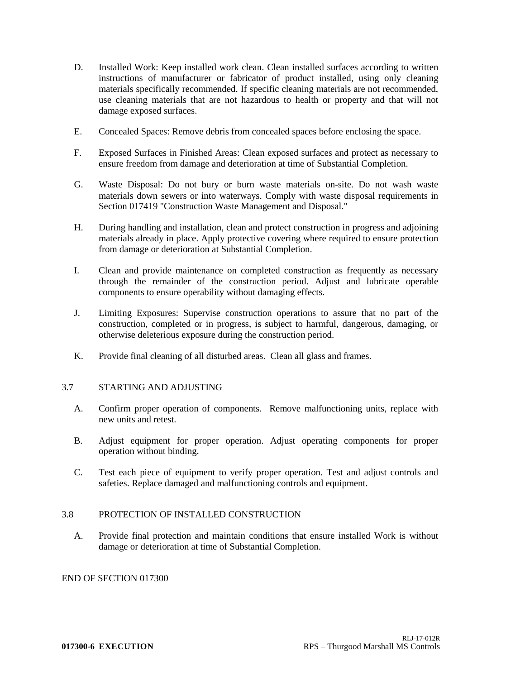- D. Installed Work: Keep installed work clean. Clean installed surfaces according to written instructions of manufacturer or fabricator of product installed, using only cleaning materials specifically recommended. If specific cleaning materials are not recommended, use cleaning materials that are not hazardous to health or property and that will not damage exposed surfaces.
- E. Concealed Spaces: Remove debris from concealed spaces before enclosing the space.
- F. Exposed Surfaces in Finished Areas: Clean exposed surfaces and protect as necessary to ensure freedom from damage and deterioration at time of Substantial Completion.
- G. Waste Disposal: Do not bury or burn waste materials on-site. Do not wash waste materials down sewers or into waterways. Comply with waste disposal requirements in Section 017419 "Construction Waste Management and Disposal."
- H. During handling and installation, clean and protect construction in progress and adjoining materials already in place. Apply protective covering where required to ensure protection from damage or deterioration at Substantial Completion.
- I. Clean and provide maintenance on completed construction as frequently as necessary through the remainder of the construction period. Adjust and lubricate operable components to ensure operability without damaging effects.
- J. Limiting Exposures: Supervise construction operations to assure that no part of the construction, completed or in progress, is subject to harmful, dangerous, damaging, or otherwise deleterious exposure during the construction period.
- K. Provide final cleaning of all disturbed areas. Clean all glass and frames.

# 3.7 STARTING AND ADJUSTING

- A. Confirm proper operation of components. Remove malfunctioning units, replace with new units and retest.
- B. Adjust equipment for proper operation. Adjust operating components for proper operation without binding.
- C. Test each piece of equipment to verify proper operation. Test and adjust controls and safeties. Replace damaged and malfunctioning controls and equipment.

# 3.8 PROTECTION OF INSTALLED CONSTRUCTION

A. Provide final protection and maintain conditions that ensure installed Work is without damage or deterioration at time of Substantial Completion.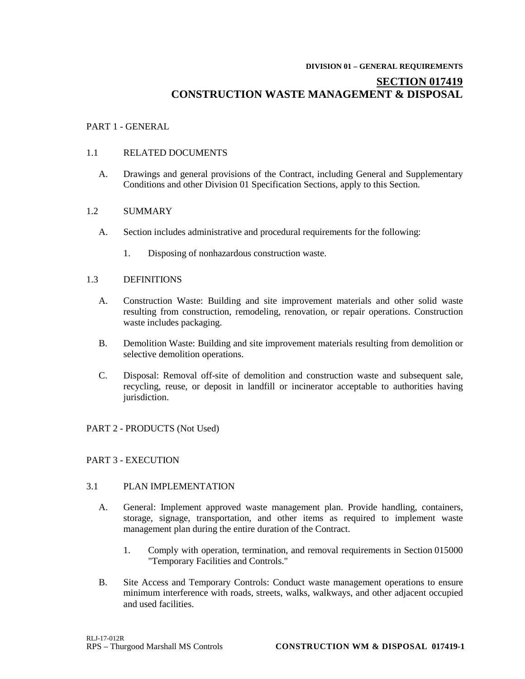#### **DIVISION 01 – GENERAL REQUIREMENTS**

# **SECTION 017419 CONSTRUCTION WASTE MANAGEMENT & DISPOSAL**

# PART 1 - GENERAL

#### 1.1 RELATED DOCUMENTS

A. Drawings and general provisions of the Contract, including General and Supplementary Conditions and other Division 01 Specification Sections, apply to this Section.

#### 1.2 SUMMARY

- A. Section includes administrative and procedural requirements for the following:
	- 1. Disposing of nonhazardous construction waste.

# 1.3 DEFINITIONS

- A. Construction Waste: Building and site improvement materials and other solid waste resulting from construction, remodeling, renovation, or repair operations. Construction waste includes packaging.
- B. Demolition Waste: Building and site improvement materials resulting from demolition or selective demolition operations.
- C. Disposal: Removal off-site of demolition and construction waste and subsequent sale, recycling, reuse, or deposit in landfill or incinerator acceptable to authorities having jurisdiction.

#### PART 2 - PRODUCTS (Not Used)

# PART 3 - EXECUTION

#### 3.1 PLAN IMPLEMENTATION

- A. General: Implement approved waste management plan. Provide handling, containers, storage, signage, transportation, and other items as required to implement waste management plan during the entire duration of the Contract.
	- 1. Comply with operation, termination, and removal requirements in Section 015000 "Temporary Facilities and Controls."
- B. Site Access and Temporary Controls: Conduct waste management operations to ensure minimum interference with roads, streets, walks, walkways, and other adjacent occupied and used facilities.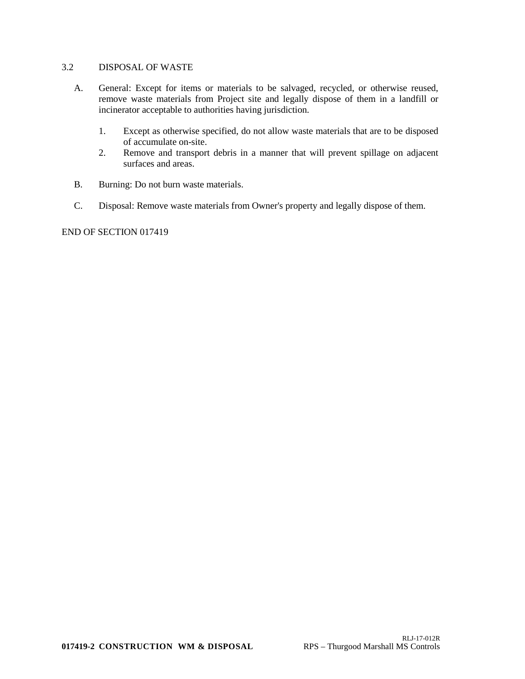# 3.2 DISPOSAL OF WASTE

- A. General: Except for items or materials to be salvaged, recycled, or otherwise reused, remove waste materials from Project site and legally dispose of them in a landfill or incinerator acceptable to authorities having jurisdiction.
	- 1. Except as otherwise specified, do not allow waste materials that are to be disposed of accumulate on-site.
	- 2. Remove and transport debris in a manner that will prevent spillage on adjacent surfaces and areas.
- B. Burning: Do not burn waste materials.
- C. Disposal: Remove waste materials from Owner's property and legally dispose of them.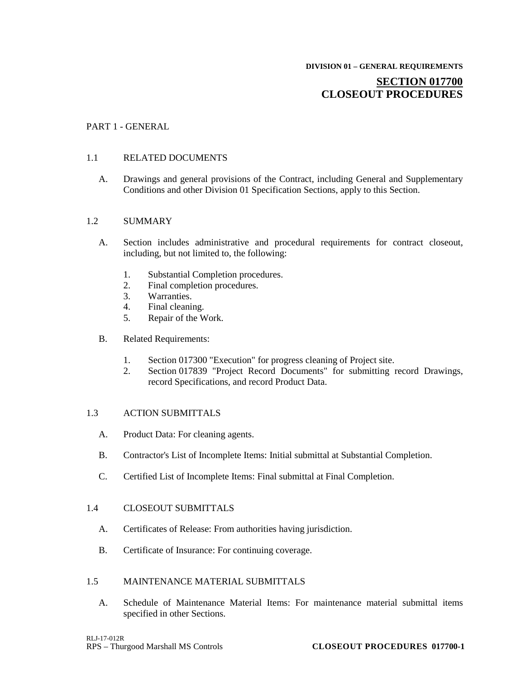# **SECTION 017700 CLOSEOUT PROCEDURES**

#### PART 1 - GENERAL

#### 1.1 RELATED DOCUMENTS

A. Drawings and general provisions of the Contract, including General and Supplementary Conditions and other Division 01 Specification Sections, apply to this Section.

#### 1.2 SUMMARY

- A. Section includes administrative and procedural requirements for contract closeout, including, but not limited to, the following:
	- 1. Substantial Completion procedures.<br>2. Final completion procedures.
	- Final completion procedures.
	- 3. Warranties.
	- 4. Final cleaning.
	- 5. Repair of the Work.
- B. Related Requirements:
	- 1. Section 017300 "Execution" for progress cleaning of Project site.
	- 2. Section 017839 "Project Record Documents" for submitting record Drawings, record Specifications, and record Product Data.

#### 1.3 ACTION SUBMITTALS

- A. Product Data: For cleaning agents.
- B. Contractor's List of Incomplete Items: Initial submittal at Substantial Completion.
- C. Certified List of Incomplete Items: Final submittal at Final Completion.

#### 1.4 CLOSEOUT SUBMITTALS

- A. Certificates of Release: From authorities having jurisdiction.
- B. Certificate of Insurance: For continuing coverage.

# 1.5 MAINTENANCE MATERIAL SUBMITTALS

A. Schedule of Maintenance Material Items: For maintenance material submittal items specified in other Sections.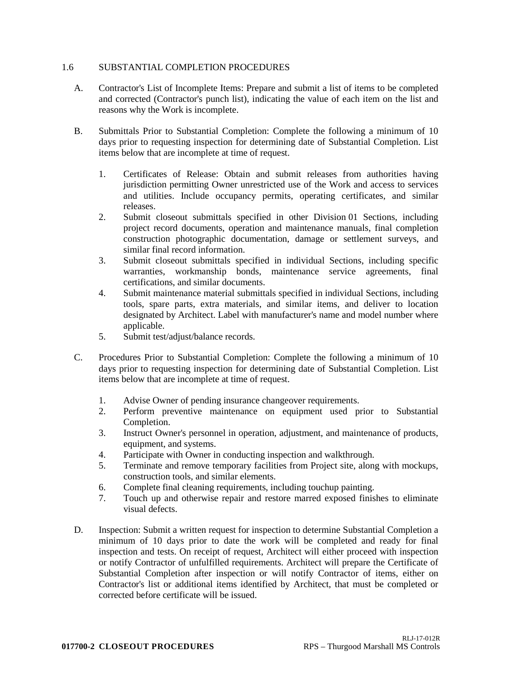#### 1.6 SUBSTANTIAL COMPLETION PROCEDURES

- A. Contractor's List of Incomplete Items: Prepare and submit a list of items to be completed and corrected (Contractor's punch list), indicating the value of each item on the list and reasons why the Work is incomplete.
- B. Submittals Prior to Substantial Completion: Complete the following a minimum of 10 days prior to requesting inspection for determining date of Substantial Completion. List items below that are incomplete at time of request.
	- 1. Certificates of Release: Obtain and submit releases from authorities having jurisdiction permitting Owner unrestricted use of the Work and access to services and utilities. Include occupancy permits, operating certificates, and similar releases.
	- 2. Submit closeout submittals specified in other Division 01 Sections, including project record documents, operation and maintenance manuals, final completion construction photographic documentation, damage or settlement surveys, and similar final record information.
	- 3. Submit closeout submittals specified in individual Sections, including specific warranties, workmanship bonds, maintenance service agreements, final certifications, and similar documents.
	- 4. Submit maintenance material submittals specified in individual Sections, including tools, spare parts, extra materials, and similar items, and deliver to location designated by Architect. Label with manufacturer's name and model number where applicable.
	- 5. Submit test/adjust/balance records.
- C. Procedures Prior to Substantial Completion: Complete the following a minimum of 10 days prior to requesting inspection for determining date of Substantial Completion. List items below that are incomplete at time of request.
	- 1. Advise Owner of pending insurance changeover requirements.
	- 2. Perform preventive maintenance on equipment used prior to Substantial Completion.
	- 3. Instruct Owner's personnel in operation, adjustment, and maintenance of products, equipment, and systems.
	- 4. Participate with Owner in conducting inspection and walkthrough.
	- 5. Terminate and remove temporary facilities from Project site, along with mockups, construction tools, and similar elements.
	- 6. Complete final cleaning requirements, including touchup painting.
	- 7. Touch up and otherwise repair and restore marred exposed finishes to eliminate visual defects.
- D. Inspection: Submit a written request for inspection to determine Substantial Completion a minimum of 10 days prior to date the work will be completed and ready for final inspection and tests. On receipt of request, Architect will either proceed with inspection or notify Contractor of unfulfilled requirements. Architect will prepare the Certificate of Substantial Completion after inspection or will notify Contractor of items, either on Contractor's list or additional items identified by Architect, that must be completed or corrected before certificate will be issued.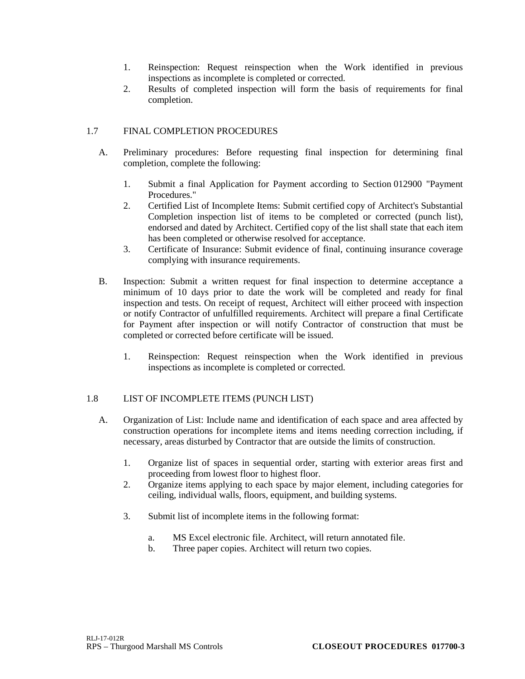- 1. Reinspection: Request reinspection when the Work identified in previous inspections as incomplete is completed or corrected.
- 2. Results of completed inspection will form the basis of requirements for final completion.

# 1.7 FINAL COMPLETION PROCEDURES

- A. Preliminary procedures: Before requesting final inspection for determining final completion, complete the following:
	- 1. Submit a final Application for Payment according to Section 012900 "Payment Procedures."
	- 2. Certified List of Incomplete Items: Submit certified copy of Architect's Substantial Completion inspection list of items to be completed or corrected (punch list), endorsed and dated by Architect. Certified copy of the list shall state that each item has been completed or otherwise resolved for acceptance.
	- 3. Certificate of Insurance: Submit evidence of final, continuing insurance coverage complying with insurance requirements.
- B. Inspection: Submit a written request for final inspection to determine acceptance a minimum of 10 days prior to date the work will be completed and ready for final inspection and tests. On receipt of request, Architect will either proceed with inspection or notify Contractor of unfulfilled requirements. Architect will prepare a final Certificate for Payment after inspection or will notify Contractor of construction that must be completed or corrected before certificate will be issued.
	- 1. Reinspection: Request reinspection when the Work identified in previous inspections as incomplete is completed or corrected.

# 1.8 LIST OF INCOMPLETE ITEMS (PUNCH LIST)

- A. Organization of List: Include name and identification of each space and area affected by construction operations for incomplete items and items needing correction including, if necessary, areas disturbed by Contractor that are outside the limits of construction.
	- 1. Organize list of spaces in sequential order, starting with exterior areas first and proceeding from lowest floor to highest floor.
	- 2. Organize items applying to each space by major element, including categories for ceiling, individual walls, floors, equipment, and building systems.
	- 3. Submit list of incomplete items in the following format:
		- a. MS Excel electronic file. Architect, will return annotated file.
		- b. Three paper copies. Architect will return two copies.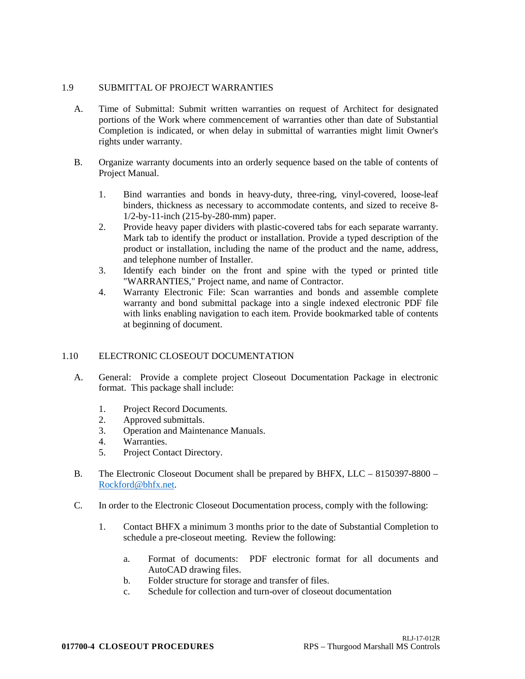# 1.9 SUBMITTAL OF PROJECT WARRANTIES

- A. Time of Submittal: Submit written warranties on request of Architect for designated portions of the Work where commencement of warranties other than date of Substantial Completion is indicated, or when delay in submittal of warranties might limit Owner's rights under warranty.
- B. Organize warranty documents into an orderly sequence based on the table of contents of Project Manual.
	- 1. Bind warranties and bonds in heavy-duty, three-ring, vinyl-covered, loose-leaf binders, thickness as necessary to accommodate contents, and sized to receive 8- 1/2-by-11-inch (215-by-280-mm) paper.
	- 2. Provide heavy paper dividers with plastic-covered tabs for each separate warranty. Mark tab to identify the product or installation. Provide a typed description of the product or installation, including the name of the product and the name, address, and telephone number of Installer.
	- 3. Identify each binder on the front and spine with the typed or printed title "WARRANTIES," Project name, and name of Contractor.
	- 4. Warranty Electronic File: Scan warranties and bonds and assemble complete warranty and bond submittal package into a single indexed electronic PDF file with links enabling navigation to each item. Provide bookmarked table of contents at beginning of document.

# 1.10 ELECTRONIC CLOSEOUT DOCUMENTATION

- A. General: Provide a complete project Closeout Documentation Package in electronic format. This package shall include:
	- 1. Project Record Documents.
	- 2. Approved submittals.
	- 3. Operation and Maintenance Manuals.
	- 4. Warranties.
	- 5. Project Contact Directory.
- B. The Electronic Closeout Document shall be prepared by BHFX, LLC 8150397-8800 [Rockford@bhfx.net.](mailto:Rockford@bhfx.net)
- C. In order to the Electronic Closeout Documentation process, comply with the following:
	- 1. Contact BHFX a minimum 3 months prior to the date of Substantial Completion to schedule a pre-closeout meeting. Review the following:
		- a. Format of documents: PDF electronic format for all documents and AutoCAD drawing files.
		- b. Folder structure for storage and transfer of files.
		- c. Schedule for collection and turn-over of closeout documentation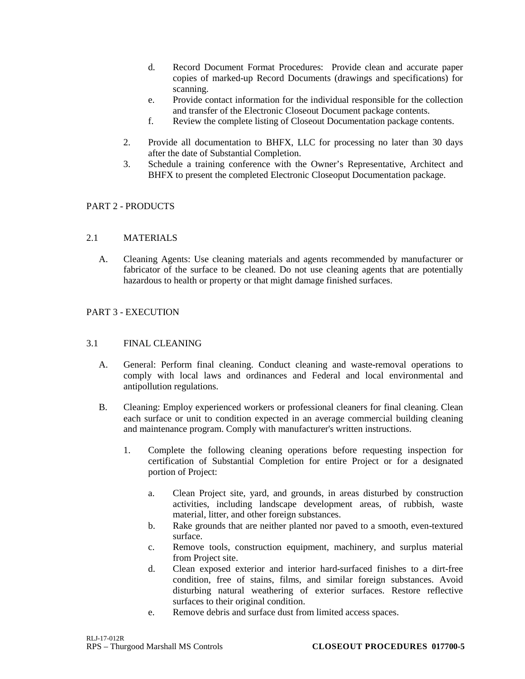- d. Record Document Format Procedures: Provide clean and accurate paper copies of marked-up Record Documents (drawings and specifications) for scanning.
- e. Provide contact information for the individual responsible for the collection and transfer of the Electronic Closeout Document package contents.
- f. Review the complete listing of Closeout Documentation package contents.
- 2. Provide all documentation to BHFX, LLC for processing no later than 30 days after the date of Substantial Completion.
- 3. Schedule a training conference with the Owner's Representative, Architect and BHFX to present the completed Electronic Closeoput Documentation package.

# PART 2 - PRODUCTS

# 2.1 MATERIALS

A. Cleaning Agents: Use cleaning materials and agents recommended by manufacturer or fabricator of the surface to be cleaned. Do not use cleaning agents that are potentially hazardous to health or property or that might damage finished surfaces.

# PART 3 - EXECUTION

# 3.1 FINAL CLEANING

- A. General: Perform final cleaning. Conduct cleaning and waste-removal operations to comply with local laws and ordinances and Federal and local environmental and antipollution regulations.
- B. Cleaning: Employ experienced workers or professional cleaners for final cleaning. Clean each surface or unit to condition expected in an average commercial building cleaning and maintenance program. Comply with manufacturer's written instructions.
	- 1. Complete the following cleaning operations before requesting inspection for certification of Substantial Completion for entire Project or for a designated portion of Project:
		- a. Clean Project site, yard, and grounds, in areas disturbed by construction activities, including landscape development areas, of rubbish, waste material, litter, and other foreign substances.
		- b. Rake grounds that are neither planted nor paved to a smooth, even-textured surface.
		- c. Remove tools, construction equipment, machinery, and surplus material from Project site.
		- d. Clean exposed exterior and interior hard-surfaced finishes to a dirt-free condition, free of stains, films, and similar foreign substances. Avoid disturbing natural weathering of exterior surfaces. Restore reflective surfaces to their original condition.
		- e. Remove debris and surface dust from limited access spaces.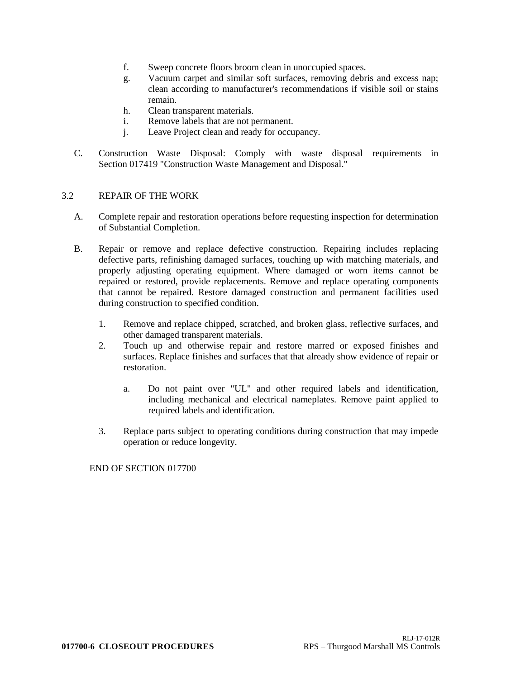- f. Sweep concrete floors broom clean in unoccupied spaces.
- g. Vacuum carpet and similar soft surfaces, removing debris and excess nap; clean according to manufacturer's recommendations if visible soil or stains remain.
- h. Clean transparent materials.
- i. Remove labels that are not permanent.
- j. Leave Project clean and ready for occupancy.
- C. Construction Waste Disposal: Comply with waste disposal requirements in Section 017419 "Construction Waste Management and Disposal."

#### 3.2 REPAIR OF THE WORK

- A. Complete repair and restoration operations before requesting inspection for determination of Substantial Completion.
- B. Repair or remove and replace defective construction. Repairing includes replacing defective parts, refinishing damaged surfaces, touching up with matching materials, and properly adjusting operating equipment. Where damaged or worn items cannot be repaired or restored, provide replacements. Remove and replace operating components that cannot be repaired. Restore damaged construction and permanent facilities used during construction to specified condition.
	- 1. Remove and replace chipped, scratched, and broken glass, reflective surfaces, and other damaged transparent materials.
	- 2. Touch up and otherwise repair and restore marred or exposed finishes and surfaces. Replace finishes and surfaces that that already show evidence of repair or restoration.
		- a. Do not paint over "UL" and other required labels and identification, including mechanical and electrical nameplates. Remove paint applied to required labels and identification.
	- 3. Replace parts subject to operating conditions during construction that may impede operation or reduce longevity.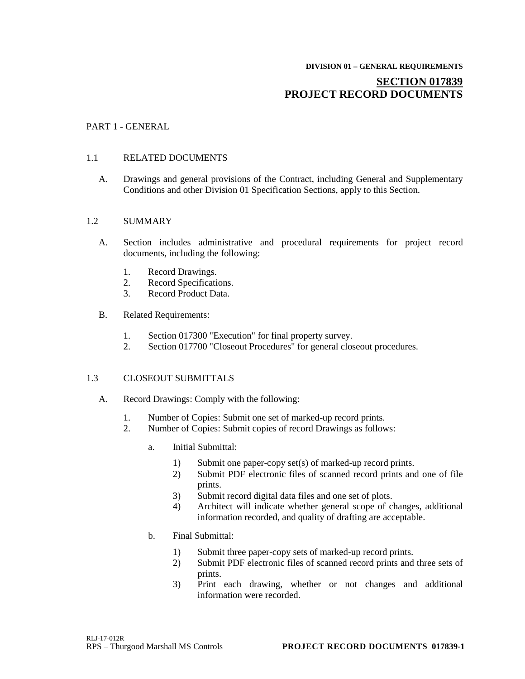# **DIVISION 01 – GENERAL REQUIREMENTS**

# **SECTION 017839 PROJECT RECORD DOCUMENTS**

# PART 1 - GENERAL

# 1.1 RELATED DOCUMENTS

A. Drawings and general provisions of the Contract, including General and Supplementary Conditions and other Division 01 Specification Sections, apply to this Section.

#### 1.2 SUMMARY

- A. Section includes administrative and procedural requirements for project record documents, including the following:
	- 1. Record Drawings.<br>2. Record Specificati
	- Record Specifications.
	- 3. Record Product Data.
- B. Related Requirements:
	- 1. Section 017300 "Execution" for final property survey.
	- 2. Section 017700 "Closeout Procedures" for general closeout procedures.

# 1.3 CLOSEOUT SUBMITTALS

- A. Record Drawings: Comply with the following:
	- 1. Number of Copies: Submit one set of marked-up record prints.
	- 2. Number of Copies: Submit copies of record Drawings as follows:
		- a. Initial Submittal:
			- 1) Submit one paper-copy set(s) of marked-up record prints.
			- 2) Submit PDF electronic files of scanned record prints and one of file prints.
			- 3) Submit record digital data files and one set of plots.
			- 4) Architect will indicate whether general scope of changes, additional information recorded, and quality of drafting are acceptable.
		- b. Final Submittal:
			- 1) Submit three paper-copy sets of marked-up record prints.
			- 2) Submit PDF electronic files of scanned record prints and three sets of prints.
			- 3) Print each drawing, whether or not changes and additional information were recorded.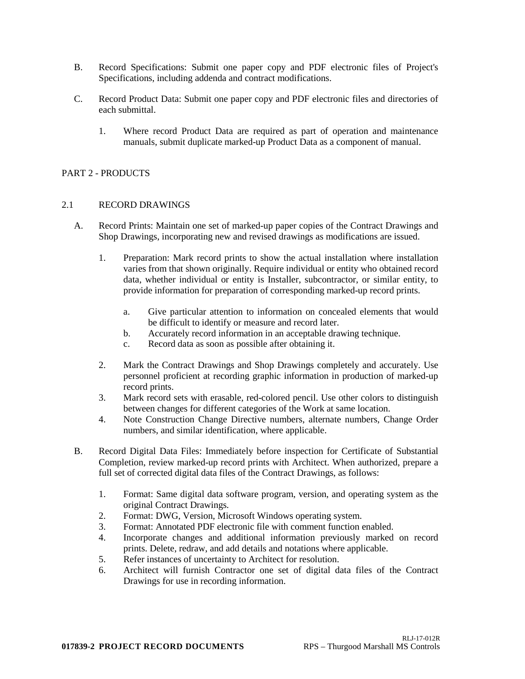- B. Record Specifications: Submit one paper copy and PDF electronic files of Project's Specifications, including addenda and contract modifications.
- C. Record Product Data: Submit one paper copy and PDF electronic files and directories of each submittal.
	- 1. Where record Product Data are required as part of operation and maintenance manuals, submit duplicate marked-up Product Data as a component of manual.

# PART 2 - PRODUCTS

#### 2.1 RECORD DRAWINGS

- A. Record Prints: Maintain one set of marked-up paper copies of the Contract Drawings and Shop Drawings, incorporating new and revised drawings as modifications are issued.
	- 1. Preparation: Mark record prints to show the actual installation where installation varies from that shown originally. Require individual or entity who obtained record data, whether individual or entity is Installer, subcontractor, or similar entity, to provide information for preparation of corresponding marked-up record prints.
		- a. Give particular attention to information on concealed elements that would be difficult to identify or measure and record later.
		- b. Accurately record information in an acceptable drawing technique.
		- c. Record data as soon as possible after obtaining it.
	- 2. Mark the Contract Drawings and Shop Drawings completely and accurately. Use personnel proficient at recording graphic information in production of marked-up record prints.
	- 3. Mark record sets with erasable, red-colored pencil. Use other colors to distinguish between changes for different categories of the Work at same location.
	- 4. Note Construction Change Directive numbers, alternate numbers, Change Order numbers, and similar identification, where applicable.
- B. Record Digital Data Files: Immediately before inspection for Certificate of Substantial Completion, review marked-up record prints with Architect. When authorized, prepare a full set of corrected digital data files of the Contract Drawings, as follows:
	- 1. Format: Same digital data software program, version, and operating system as the original Contract Drawings.
	- 2. Format: DWG, Version, Microsoft Windows operating system.
	- 3. Format: Annotated PDF electronic file with comment function enabled.
	- 4. Incorporate changes and additional information previously marked on record prints. Delete, redraw, and add details and notations where applicable.
	- 5. Refer instances of uncertainty to Architect for resolution.
	- 6. Architect will furnish Contractor one set of digital data files of the Contract Drawings for use in recording information.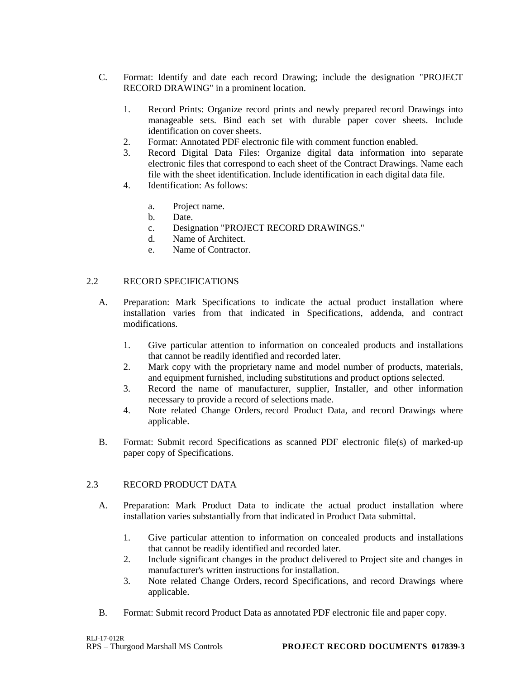- C. Format: Identify and date each record Drawing; include the designation "PROJECT RECORD DRAWING" in a prominent location.
	- 1. Record Prints: Organize record prints and newly prepared record Drawings into manageable sets. Bind each set with durable paper cover sheets. Include identification on cover sheets.
	- 2. Format: Annotated PDF electronic file with comment function enabled.
	- 3. Record Digital Data Files: Organize digital data information into separate electronic files that correspond to each sheet of the Contract Drawings. Name each file with the sheet identification. Include identification in each digital data file.
	- 4. Identification: As follows:
		- a. Project name.
		- b. Date.
		- c. Designation "PROJECT RECORD DRAWINGS."
		- d. Name of Architect.
		- e. Name of Contractor.

# 2.2 RECORD SPECIFICATIONS

- A. Preparation: Mark Specifications to indicate the actual product installation where installation varies from that indicated in Specifications, addenda, and contract modifications.
	- 1. Give particular attention to information on concealed products and installations that cannot be readily identified and recorded later.
	- 2. Mark copy with the proprietary name and model number of products, materials, and equipment furnished, including substitutions and product options selected.
	- 3. Record the name of manufacturer, supplier, Installer, and other information necessary to provide a record of selections made.
	- 4. Note related Change Orders, record Product Data, and record Drawings where applicable.
- B. Format: Submit record Specifications as scanned PDF electronic file(s) of marked-up paper copy of Specifications.

# 2.3 RECORD PRODUCT DATA

- A. Preparation: Mark Product Data to indicate the actual product installation where installation varies substantially from that indicated in Product Data submittal.
	- 1. Give particular attention to information on concealed products and installations that cannot be readily identified and recorded later.
	- 2. Include significant changes in the product delivered to Project site and changes in manufacturer's written instructions for installation.
	- 3. Note related Change Orders, record Specifications, and record Drawings where applicable.
- B. Format: Submit record Product Data as annotated PDF electronic file and paper copy.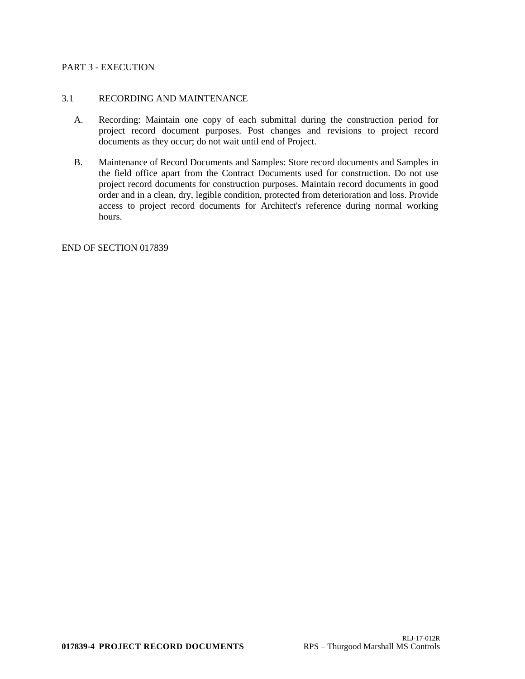### PART 3 - EXECUTION

#### 3.1 RECORDING AND MAINTENANCE

- A. Recording: Maintain one copy of each submittal during the construction period for project record document purposes. Post changes and revisions to project record documents as they occur; do not wait until end of Project.
- B. Maintenance of Record Documents and Samples: Store record documents and Samples in the field office apart from the Contract Documents used for construction. Do not use project record documents for construction purposes. Maintain record documents in good order and in a clean, dry, legible condition, protected from deterioration and loss. Provide access to project record documents for Architect's reference during normal working hours.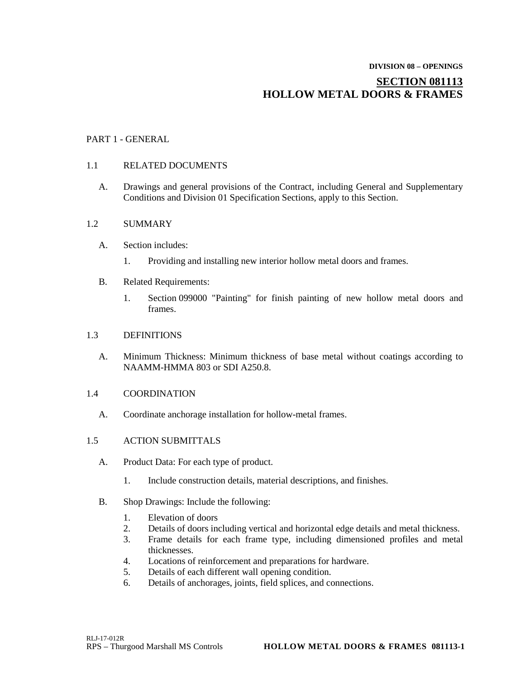# **DIVISION 08 – OPENINGS SECTION 081113 HOLLOW METAL DOORS & FRAMES**

# PART 1 - GENERAL

# 1.1 RELATED DOCUMENTS

A. Drawings and general provisions of the Contract, including General and Supplementary Conditions and Division 01 Specification Sections, apply to this Section.

# 1.2 SUMMARY

- A. Section includes:
	- 1. Providing and installing new interior hollow metal doors and frames.
- B. Related Requirements:
	- 1. Section 099000 "Painting" for finish painting of new hollow metal doors and frames.

# 1.3 DEFINITIONS

A. Minimum Thickness: Minimum thickness of base metal without coatings according to NAAMM-HMMA 803 or SDI A250.8.

# 1.4 COORDINATION

A. Coordinate anchorage installation for hollow-metal frames.

# 1.5 ACTION SUBMITTALS

- A. Product Data: For each type of product.
	- 1. Include construction details, material descriptions, and finishes.
- B. Shop Drawings: Include the following:
	- 1. Elevation of doors
	- 2. Details of doors including vertical and horizontal edge details and metal thickness.
	- 3. Frame details for each frame type, including dimensioned profiles and metal thicknesses.
	- 4. Locations of reinforcement and preparations for hardware.
	- 5. Details of each different wall opening condition.
	- 6. Details of anchorages, joints, field splices, and connections.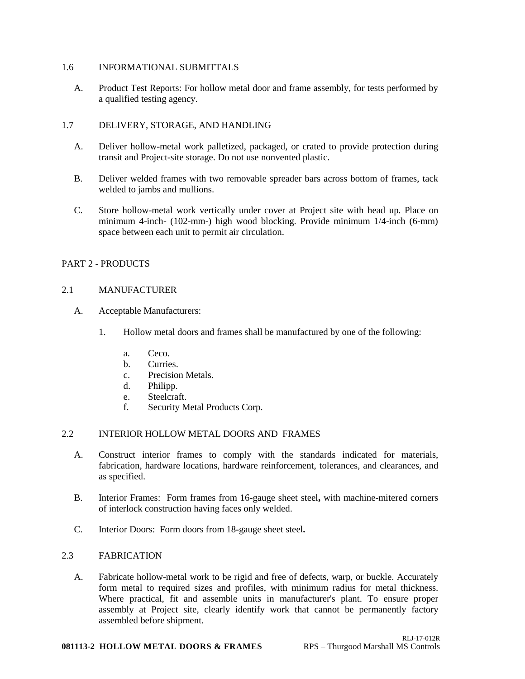#### 1.6 INFORMATIONAL SUBMITTALS

A. Product Test Reports: For hollow metal door and frame assembly, for tests performed by a qualified testing agency.

# 1.7 DELIVERY, STORAGE, AND HANDLING

- A. Deliver hollow-metal work palletized, packaged, or crated to provide protection during transit and Project-site storage. Do not use nonvented plastic.
- B. Deliver welded frames with two removable spreader bars across bottom of frames, tack welded to jambs and mullions.
- C. Store hollow-metal work vertically under cover at Project site with head up. Place on minimum 4-inch- (102-mm-) high wood blocking. Provide minimum 1/4-inch (6-mm) space between each unit to permit air circulation.

# PART 2 - PRODUCTS

# 2.1 MANUFACTURER

- A. Acceptable Manufacturers:
	- 1. Hollow metal doors and frames shall be manufactured by one of the following:
		- a. Ceco.
		- b. Curries.
		- c. Precision Metals.
		- d. Philipp.
		- e. Steelcraft.
		- f. Security Metal Products Corp.

# 2.2 INTERIOR HOLLOW METAL DOORS AND FRAMES

- A. Construct interior frames to comply with the standards indicated for materials, fabrication, hardware locations, hardware reinforcement, tolerances, and clearances, and as specified.
- B. Interior Frames: Form frames from 16-gauge sheet steel**,** with machine-mitered corners of interlock construction having faces only welded.
- C. Interior Doors: Form doors from 18-gauge sheet steel**.**

#### 2.3 FABRICATION

A. Fabricate hollow-metal work to be rigid and free of defects, warp, or buckle. Accurately form metal to required sizes and profiles, with minimum radius for metal thickness. Where practical, fit and assemble units in manufacturer's plant. To ensure proper assembly at Project site, clearly identify work that cannot be permanently factory assembled before shipment.

#### **081113-2 HOLLOW METAL DOORS & FRAMES** RPS – Thurgood Marshall MS Controls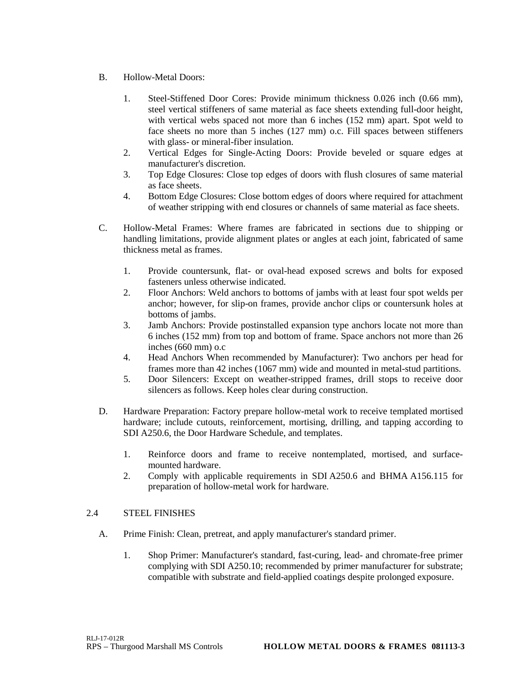- B. Hollow-Metal Doors:
	- 1. Steel-Stiffened Door Cores: Provide minimum thickness 0.026 inch (0.66 mm), steel vertical stiffeners of same material as face sheets extending full-door height, with vertical webs spaced not more than 6 inches (152 mm) apart. Spot weld to face sheets no more than 5 inches (127 mm) o.c. Fill spaces between stiffeners with glass- or mineral-fiber insulation.
	- 2. Vertical Edges for Single-Acting Doors: Provide beveled or square edges at manufacturer's discretion.
	- 3. Top Edge Closures: Close top edges of doors with flush closures of same material as face sheets.
	- 4. Bottom Edge Closures: Close bottom edges of doors where required for attachment of weather stripping with end closures or channels of same material as face sheets.
- C. Hollow-Metal Frames: Where frames are fabricated in sections due to shipping or handling limitations, provide alignment plates or angles at each joint, fabricated of same thickness metal as frames.
	- 1. Provide countersunk, flat- or oval-head exposed screws and bolts for exposed fasteners unless otherwise indicated.
	- 2. Floor Anchors: Weld anchors to bottoms of jambs with at least four spot welds per anchor; however, for slip-on frames, provide anchor clips or countersunk holes at bottoms of jambs.
	- 3. Jamb Anchors: Provide postinstalled expansion type anchors locate not more than 6 inches (152 mm) from top and bottom of frame. Space anchors not more than 26 inches (660 mm) o.c
	- 4. Head Anchors When recommended by Manufacturer): Two anchors per head for frames more than 42 inches (1067 mm) wide and mounted in metal-stud partitions.
	- 5. Door Silencers: Except on weather-stripped frames, drill stops to receive door silencers as follows. Keep holes clear during construction.
- D. Hardware Preparation: Factory prepare hollow-metal work to receive templated mortised hardware; include cutouts, reinforcement, mortising, drilling, and tapping according to SDI A250.6, the Door Hardware Schedule, and templates.
	- 1. Reinforce doors and frame to receive nontemplated, mortised, and surfacemounted hardware.
	- 2. Comply with applicable requirements in SDI A250.6 and BHMA A156.115 for preparation of hollow-metal work for hardware.

# 2.4 STEEL FINISHES

- A. Prime Finish: Clean, pretreat, and apply manufacturer's standard primer.
	- 1. Shop Primer: Manufacturer's standard, fast-curing, lead- and chromate-free primer complying with SDI A250.10; recommended by primer manufacturer for substrate; compatible with substrate and field-applied coatings despite prolonged exposure.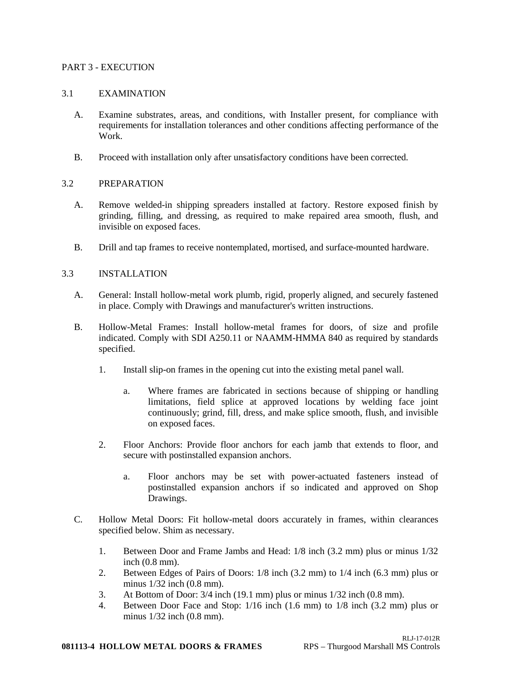#### PART 3 - EXECUTION

#### 3.1 EXAMINATION

- A. Examine substrates, areas, and conditions, with Installer present, for compliance with requirements for installation tolerances and other conditions affecting performance of the Work.
- B. Proceed with installation only after unsatisfactory conditions have been corrected.

# 3.2 PREPARATION

- A. Remove welded-in shipping spreaders installed at factory. Restore exposed finish by grinding, filling, and dressing, as required to make repaired area smooth, flush, and invisible on exposed faces.
- B. Drill and tap frames to receive nontemplated, mortised, and surface-mounted hardware.

#### 3.3 INSTALLATION

- A. General: Install hollow-metal work plumb, rigid, properly aligned, and securely fastened in place. Comply with Drawings and manufacturer's written instructions.
- B. Hollow-Metal Frames: Install hollow-metal frames for doors, of size and profile indicated. Comply with SDI A250.11 or NAAMM-HMMA 840 as required by standards specified.
	- 1. Install slip-on frames in the opening cut into the existing metal panel wall.
		- a. Where frames are fabricated in sections because of shipping or handling limitations, field splice at approved locations by welding face joint continuously; grind, fill, dress, and make splice smooth, flush, and invisible on exposed faces.
	- 2. Floor Anchors: Provide floor anchors for each jamb that extends to floor, and secure with postinstalled expansion anchors.
		- a. Floor anchors may be set with power-actuated fasteners instead of postinstalled expansion anchors if so indicated and approved on Shop Drawings.
- C. Hollow Metal Doors: Fit hollow-metal doors accurately in frames, within clearances specified below. Shim as necessary.
	- 1. Between Door and Frame Jambs and Head: 1/8 inch (3.2 mm) plus or minus 1/32 inch (0.8 mm).
	- 2. Between Edges of Pairs of Doors: 1/8 inch (3.2 mm) to 1/4 inch (6.3 mm) plus or minus 1/32 inch (0.8 mm).
	- 3. At Bottom of Door: 3/4 inch (19.1 mm) plus or minus 1/32 inch (0.8 mm).
	- 4. Between Door Face and Stop: 1/16 inch (1.6 mm) to 1/8 inch (3.2 mm) plus or minus 1/32 inch (0.8 mm).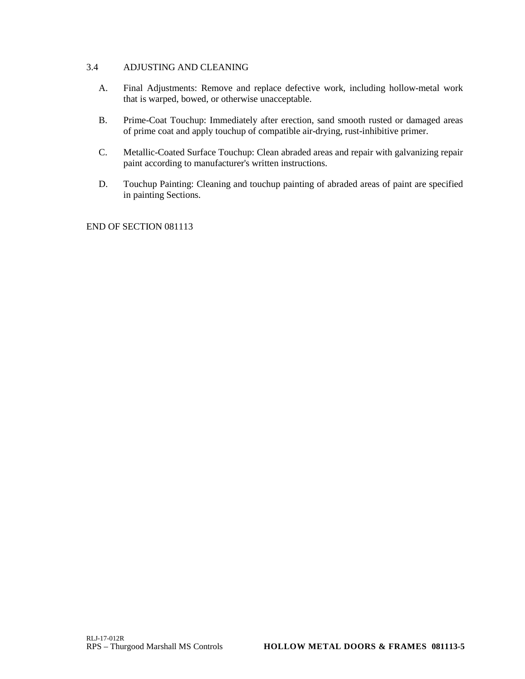# 3.4 ADJUSTING AND CLEANING

- A. Final Adjustments: Remove and replace defective work, including hollow-metal work that is warped, bowed, or otherwise unacceptable.
- B. Prime-Coat Touchup: Immediately after erection, sand smooth rusted or damaged areas of prime coat and apply touchup of compatible air-drying, rust-inhibitive primer.
- C. Metallic-Coated Surface Touchup: Clean abraded areas and repair with galvanizing repair paint according to manufacturer's written instructions.
- D. Touchup Painting: Cleaning and touchup painting of abraded areas of paint are specified in painting Sections.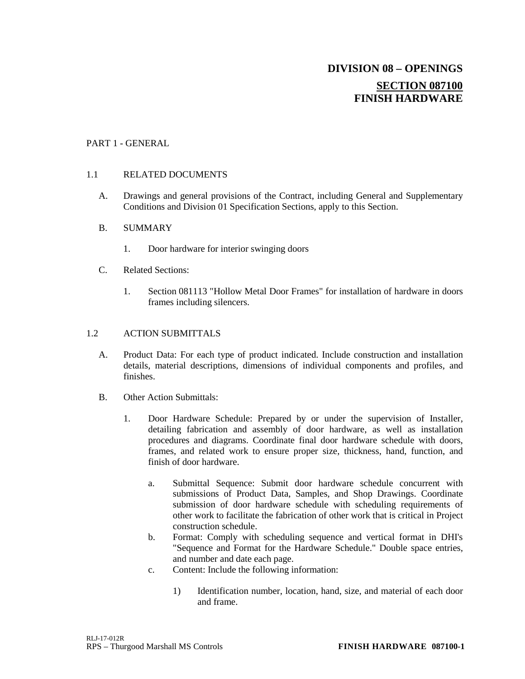# **DIVISION 08 – OPENINGS SECTION 087100 FINISH HARDWARE**

# PART 1 - GENERAL

### 1.1 RELATED DOCUMENTS

A. Drawings and general provisions of the Contract, including General and Supplementary Conditions and Division 01 Specification Sections, apply to this Section.

#### B. SUMMARY

- 1. Door hardware for interior swinging doors
- C. Related Sections:
	- 1. Section 081113 "Hollow Metal Door Frames" for installation of hardware in doors frames including silencers.

#### 1.2 ACTION SUBMITTALS

- A. Product Data: For each type of product indicated. Include construction and installation details, material descriptions, dimensions of individual components and profiles, and finishes.
- B. Other Action Submittals:
	- 1. Door Hardware Schedule: Prepared by or under the supervision of Installer, detailing fabrication and assembly of door hardware, as well as installation procedures and diagrams. Coordinate final door hardware schedule with doors, frames, and related work to ensure proper size, thickness, hand, function, and finish of door hardware.
		- a. Submittal Sequence: Submit door hardware schedule concurrent with submissions of Product Data, Samples, and Shop Drawings. Coordinate submission of door hardware schedule with scheduling requirements of other work to facilitate the fabrication of other work that is critical in Project construction schedule.
		- b. Format: Comply with scheduling sequence and vertical format in DHI's "Sequence and Format for the Hardware Schedule." Double space entries, and number and date each page.
		- c. Content: Include the following information:
			- 1) Identification number, location, hand, size, and material of each door and frame.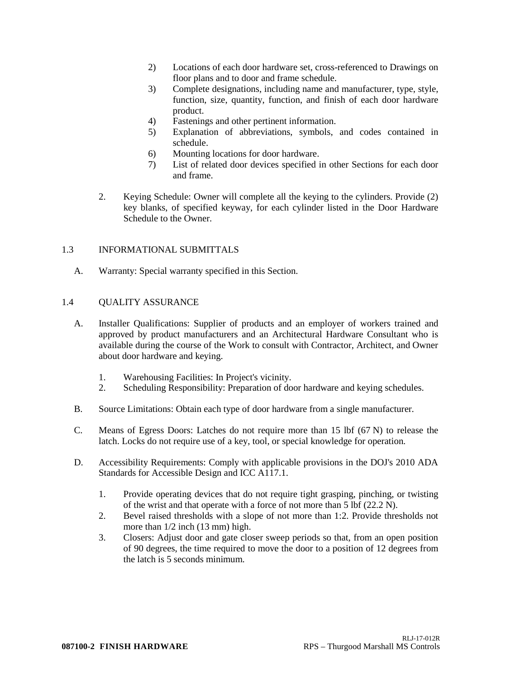- 2) Locations of each door hardware set, cross-referenced to Drawings on floor plans and to door and frame schedule.
- 3) Complete designations, including name and manufacturer, type, style, function, size, quantity, function, and finish of each door hardware product.
- 4) Fastenings and other pertinent information.
- 5) Explanation of abbreviations, symbols, and codes contained in schedule.
- 6) Mounting locations for door hardware.
- 7) List of related door devices specified in other Sections for each door and frame.
- 2. Keying Schedule: Owner will complete all the keying to the cylinders. Provide (2) key blanks, of specified keyway, for each cylinder listed in the Door Hardware Schedule to the Owner.

# 1.3 INFORMATIONAL SUBMITTALS

A. Warranty: Special warranty specified in this Section.

# 1.4 QUALITY ASSURANCE

- A. Installer Qualifications: Supplier of products and an employer of workers trained and approved by product manufacturers and an Architectural Hardware Consultant who is available during the course of the Work to consult with Contractor, Architect, and Owner about door hardware and keying.
	- 1. Warehousing Facilities: In Project's vicinity.
	- 2. Scheduling Responsibility: Preparation of door hardware and keying schedules.
- B. Source Limitations: Obtain each type of door hardware from a single manufacturer.
- C. Means of Egress Doors: Latches do not require more than 15 lbf (67 N) to release the latch. Locks do not require use of a key, tool, or special knowledge for operation.
- D. Accessibility Requirements: Comply with applicable provisions in the DOJ's 2010 ADA Standards for Accessible Design and ICC A117.1.
	- 1. Provide operating devices that do not require tight grasping, pinching, or twisting of the wrist and that operate with a force of not more than 5 lbf (22.2 N).
	- 2. Bevel raised thresholds with a slope of not more than 1:2. Provide thresholds not more than 1/2 inch (13 mm) high.
	- 3. Closers: Adjust door and gate closer sweep periods so that, from an open position of 90 degrees, the time required to move the door to a position of 12 degrees from the latch is 5 seconds minimum.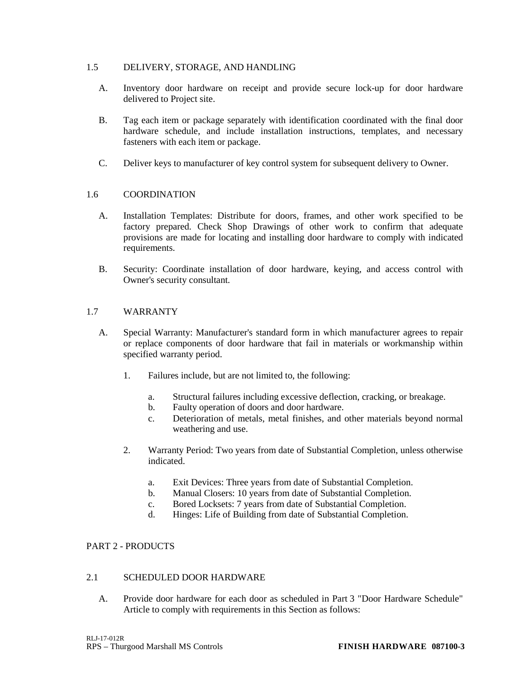# 1.5 DELIVERY, STORAGE, AND HANDLING

- A. Inventory door hardware on receipt and provide secure lock-up for door hardware delivered to Project site.
- B. Tag each item or package separately with identification coordinated with the final door hardware schedule, and include installation instructions, templates, and necessary fasteners with each item or package.
- C. Deliver keys to manufacturer of key control system for subsequent delivery to Owner.

# 1.6 COORDINATION

- A. Installation Templates: Distribute for doors, frames, and other work specified to be factory prepared. Check Shop Drawings of other work to confirm that adequate provisions are made for locating and installing door hardware to comply with indicated requirements.
- B. Security: Coordinate installation of door hardware, keying, and access control with Owner's security consultant.

# 1.7 WARRANTY

- A. Special Warranty: Manufacturer's standard form in which manufacturer agrees to repair or replace components of door hardware that fail in materials or workmanship within specified warranty period.
	- 1. Failures include, but are not limited to, the following:
		- a. Structural failures including excessive deflection, cracking, or breakage.
		- b. Faulty operation of doors and door hardware.
		- c. Deterioration of metals, metal finishes, and other materials beyond normal weathering and use.
	- 2. Warranty Period: Two years from date of Substantial Completion, unless otherwise indicated.
		- a. Exit Devices: Three years from date of Substantial Completion.
		- b. Manual Closers: 10 years from date of Substantial Completion.
		- c. Bored Locksets: 7 years from date of Substantial Completion.
		- d. Hinges: Life of Building from date of Substantial Completion.

#### PART 2 - PRODUCTS

#### 2.1 SCHEDULED DOOR HARDWARE

A. Provide door hardware for each door as scheduled in Part 3 "Door Hardware Schedule" Article to comply with requirements in this Section as follows: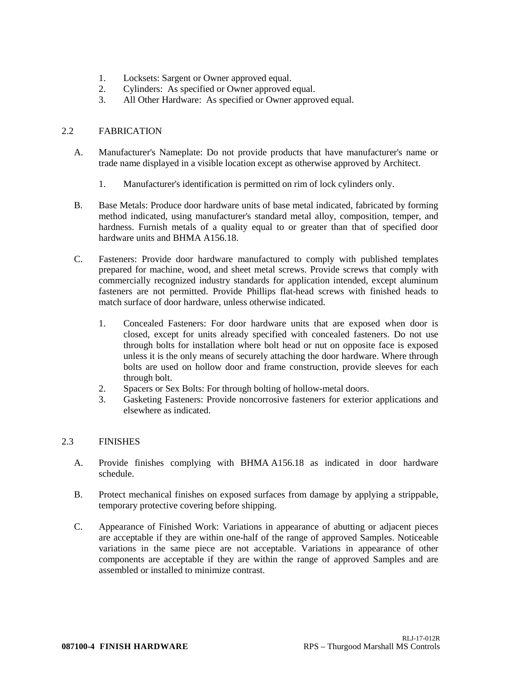- 1. Locksets: Sargent or Owner approved equal.
- 2. Cylinders: As specified or Owner approved equal.
- 3. All Other Hardware: As specified or Owner approved equal.

### 2.2 FABRICATION

- A. Manufacturer's Nameplate: Do not provide products that have manufacturer's name or trade name displayed in a visible location except as otherwise approved by Architect.
	- 1. Manufacturer's identification is permitted on rim of lock cylinders only.
- B. Base Metals: Produce door hardware units of base metal indicated, fabricated by forming method indicated, using manufacturer's standard metal alloy, composition, temper, and hardness. Furnish metals of a quality equal to or greater than that of specified door hardware units and BHMA A156.18.
- C. Fasteners: Provide door hardware manufactured to comply with published templates prepared for machine, wood, and sheet metal screws. Provide screws that comply with commercially recognized industry standards for application intended, except aluminum fasteners are not permitted. Provide Phillips flat-head screws with finished heads to match surface of door hardware, unless otherwise indicated.
	- 1. Concealed Fasteners: For door hardware units that are exposed when door is closed, except for units already specified with concealed fasteners. Do not use through bolts for installation where bolt head or nut on opposite face is exposed unless it is the only means of securely attaching the door hardware. Where through bolts are used on hollow door and frame construction, provide sleeves for each through bolt.
	- 2. Spacers or Sex Bolts: For through bolting of hollow-metal doors.
	- 3. Gasketing Fasteners: Provide noncorrosive fasteners for exterior applications and elsewhere as indicated.

# 2.3 FINISHES

- A. Provide finishes complying with BHMA A156.18 as indicated in door hardware schedule.
- B. Protect mechanical finishes on exposed surfaces from damage by applying a strippable, temporary protective covering before shipping.
- C. Appearance of Finished Work: Variations in appearance of abutting or adjacent pieces are acceptable if they are within one-half of the range of approved Samples. Noticeable variations in the same piece are not acceptable. Variations in appearance of other components are acceptable if they are within the range of approved Samples and are assembled or installed to minimize contrast.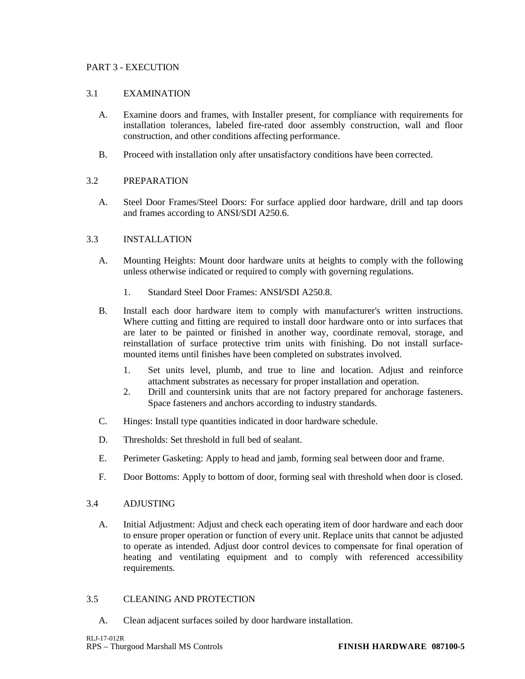### PART 3 - EXECUTION

#### 3.1 EXAMINATION

- A. Examine doors and frames, with Installer present, for compliance with requirements for installation tolerances, labeled fire-rated door assembly construction, wall and floor construction, and other conditions affecting performance.
- B. Proceed with installation only after unsatisfactory conditions have been corrected.

# 3.2 PREPARATION

A. Steel Door Frames/Steel Doors: For surface applied door hardware, drill and tap doors and frames according to ANSI/SDI A250.6.

# 3.3 INSTALLATION

- A. Mounting Heights: Mount door hardware units at heights to comply with the following unless otherwise indicated or required to comply with governing regulations.
	- 1. Standard Steel Door Frames: ANSI**/**SDI A250.8.
- B. Install each door hardware item to comply with manufacturer's written instructions. Where cutting and fitting are required to install door hardware onto or into surfaces that are later to be painted or finished in another way, coordinate removal, storage, and reinstallation of surface protective trim units with finishing. Do not install surfacemounted items until finishes have been completed on substrates involved.
	- 1. Set units level, plumb, and true to line and location. Adjust and reinforce attachment substrates as necessary for proper installation and operation.
	- 2. Drill and countersink units that are not factory prepared for anchorage fasteners. Space fasteners and anchors according to industry standards.
- C. Hinges: Install type quantities indicated in door hardware schedule.
- D. Thresholds: Set threshold in full bed of sealant.
- E. Perimeter Gasketing: Apply to head and jamb, forming seal between door and frame.
- F. Door Bottoms: Apply to bottom of door, forming seal with threshold when door is closed.

# 3.4 ADJUSTING

A. Initial Adjustment: Adjust and check each operating item of door hardware and each door to ensure proper operation or function of every unit. Replace units that cannot be adjusted to operate as intended. Adjust door control devices to compensate for final operation of heating and ventilating equipment and to comply with referenced accessibility requirements.

# 3.5 CLEANING AND PROTECTION

A. Clean adjacent surfaces soiled by door hardware installation.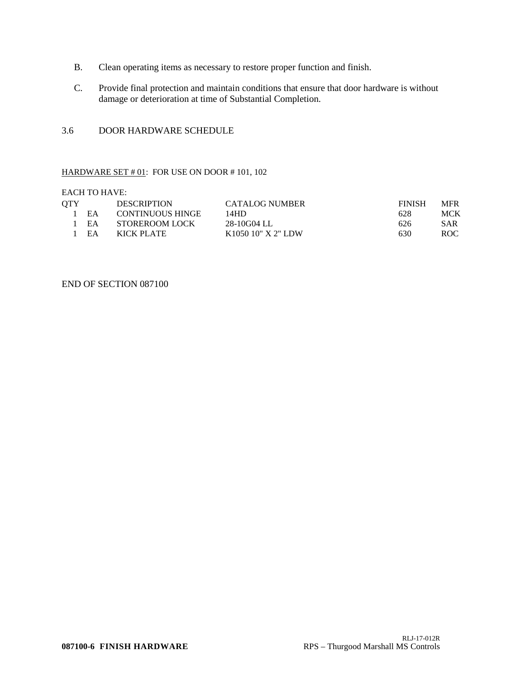- B. Clean operating items as necessary to restore proper function and finish.
- C. Provide final protection and maintain conditions that ensure that door hardware is without damage or deterioration at time of Substantial Completion.

#### 3.6 DOOR HARDWARE SCHEDULE

#### HARDWARE SET  $#01$ : FOR USE ON DOOR  $#101$ , 102

EACH TO HAVE:

| OTY |    | <b>DESCRIPTION</b>      | <b>CATALOG NUMBER</b> | <b>FINISH</b> | <b>MFR</b> |
|-----|----|-------------------------|-----------------------|---------------|------------|
|     | FA | <b>CONTINUOUS HINGE</b> | 14HD.                 | 628           | MCK        |
|     | EA | STOREROOM LOCK          | 28-10G04 LL           | 626           | <b>SAR</b> |
|     | EA | KICK PLATE              | K1050 10" X 2" LDW    | 630           | ROC.       |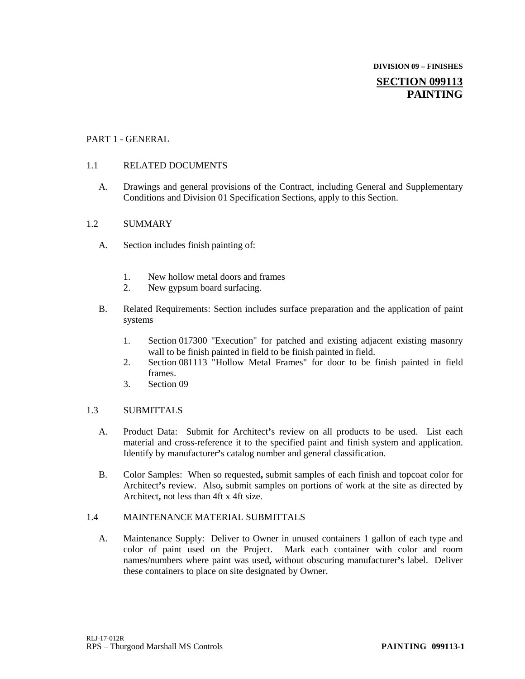# **DIVISION 09 – FINISHES SECTION 099113 PAINTING**

# PART 1 - GENERAL

# 1.1 RELATED DOCUMENTS

A. Drawings and general provisions of the Contract, including General and Supplementary Conditions and Division 01 Specification Sections, apply to this Section.

# 1.2 SUMMARY

- A. Section includes finish painting of:
	- 1. New hollow metal doors and frames
	- 2. New gypsum board surfacing.
- B. Related Requirements: Section includes surface preparation and the application of paint systems
	- 1. Section 017300 "Execution" for patched and existing adjacent existing masonry wall to be finish painted in field to be finish painted in field.
	- 2. Section 081113 "Hollow Metal Frames" for door to be finish painted in field frames.
	- 3. Section 09

# 1.3 SUBMITTALS

- A. Product Data: Submit for Architect**'**s review on all products to be used. List each material and cross-reference it to the specified paint and finish system and application. Identify by manufacturer**'**s catalog number and general classification.
- B. Color Samples: When so requested**,** submit samples of each finish and topcoat color for Architect**'**s review. Also**,** submit samples on portions of work at the site as directed by Architect**,** not less than 4ft x 4ft size.

# 1.4 MAINTENANCE MATERIAL SUBMITTALS

A. Maintenance Supply: Deliver to Owner in unused containers 1 gallon of each type and color of paint used on the Project. Mark each container with color and room names/numbers where paint was used**,** without obscuring manufacturer**'**s label. Deliver these containers to place on site designated by Owner.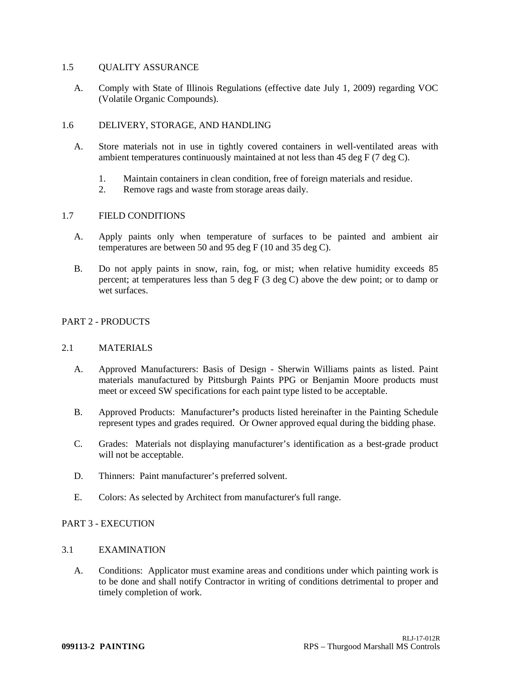#### 1.5 OUALITY ASSURANCE

A. Comply with State of Illinois Regulations (effective date July 1, 2009) regarding VOC (Volatile Organic Compounds).

### 1.6 DELIVERY, STORAGE, AND HANDLING

- A. Store materials not in use in tightly covered containers in well-ventilated areas with ambient temperatures continuously maintained at not less than 45 deg F (7 deg C).
	- 1. Maintain containers in clean condition, free of foreign materials and residue.
	- 2. Remove rags and waste from storage areas daily.

#### 1.7 FIELD CONDITIONS

- A. Apply paints only when temperature of surfaces to be painted and ambient air temperatures are between 50 and 95 deg F (10 and 35 deg C).
- B. Do not apply paints in snow, rain, fog, or mist; when relative humidity exceeds 85 percent; at temperatures less than 5 deg F (3 deg C) above the dew point; or to damp or wet surfaces

#### PART 2 - PRODUCTS

#### 2.1 MATERIALS

- A. Approved Manufacturers: Basis of Design Sherwin Williams paints as listed. Paint materials manufactured by Pittsburgh Paints PPG or Benjamin Moore products must meet or exceed SW specifications for each paint type listed to be acceptable.
- B. Approved Products: Manufacturer**'**s products listed hereinafter in the Painting Schedule represent types and grades required. Or Owner approved equal during the bidding phase.
- C. Grades: Materials not displaying manufacturer's identification as a best-grade product will not be acceptable.
- D. Thinners: Paint manufacturer's preferred solvent.
- E. Colors: As selected by Architect from manufacturer's full range.

# PART 3 - EXECUTION

# 3.1 EXAMINATION

A. Conditions: Applicator must examine areas and conditions under which painting work is to be done and shall notify Contractor in writing of conditions detrimental to proper and timely completion of work.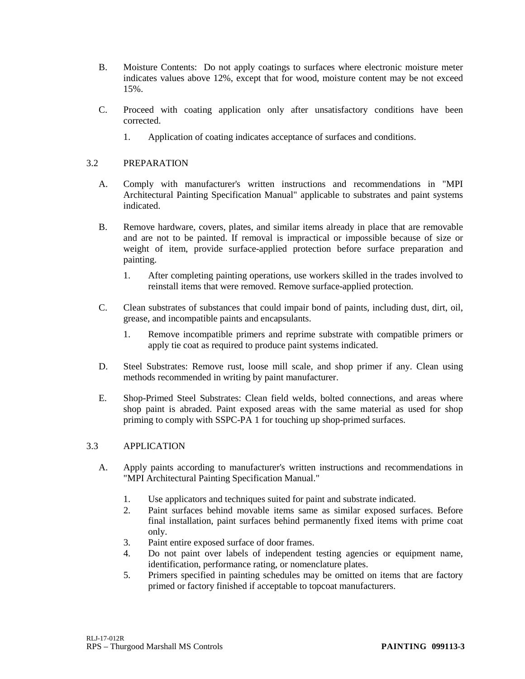- B. Moisture Contents: Do not apply coatings to surfaces where electronic moisture meter indicates values above 12%, except that for wood, moisture content may be not exceed 15%.
- C. Proceed with coating application only after unsatisfactory conditions have been corrected.
	- 1. Application of coating indicates acceptance of surfaces and conditions.

### 3.2 PREPARATION

- A. Comply with manufacturer's written instructions and recommendations in "MPI Architectural Painting Specification Manual" applicable to substrates and paint systems indicated.
- B. Remove hardware, covers, plates, and similar items already in place that are removable and are not to be painted. If removal is impractical or impossible because of size or weight of item, provide surface-applied protection before surface preparation and painting.
	- 1. After completing painting operations, use workers skilled in the trades involved to reinstall items that were removed. Remove surface-applied protection.
- C. Clean substrates of substances that could impair bond of paints, including dust, dirt, oil, grease, and incompatible paints and encapsulants.
	- 1. Remove incompatible primers and reprime substrate with compatible primers or apply tie coat as required to produce paint systems indicated.
- D. Steel Substrates: Remove rust, loose mill scale, and shop primer if any. Clean using methods recommended in writing by paint manufacturer.
- E. Shop-Primed Steel Substrates: Clean field welds, bolted connections, and areas where shop paint is abraded. Paint exposed areas with the same material as used for shop priming to comply with SSPC-PA 1 for touching up shop-primed surfaces.

### 3.3 APPLICATION

- A. Apply paints according to manufacturer's written instructions and recommendations in "MPI Architectural Painting Specification Manual."
	- 1. Use applicators and techniques suited for paint and substrate indicated.
	- 2. Paint surfaces behind movable items same as similar exposed surfaces. Before final installation, paint surfaces behind permanently fixed items with prime coat only.
	- 3. Paint entire exposed surface of door frames.
	- 4. Do not paint over labels of independent testing agencies or equipment name, identification, performance rating, or nomenclature plates.
	- 5. Primers specified in painting schedules may be omitted on items that are factory primed or factory finished if acceptable to topcoat manufacturers.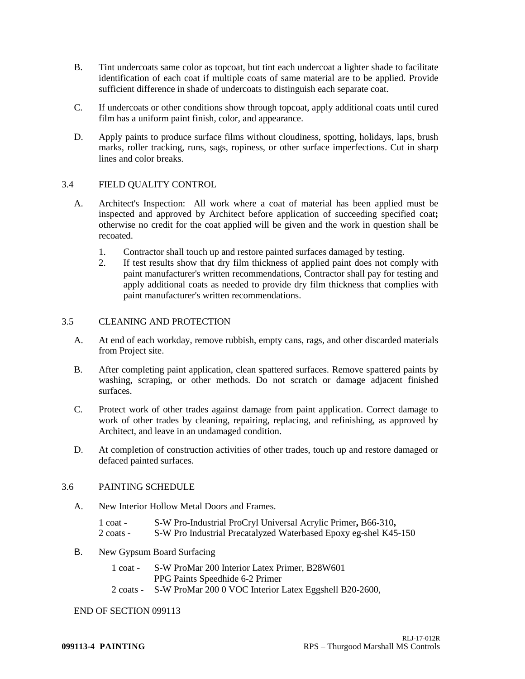- B. Tint undercoats same color as topcoat, but tint each undercoat a lighter shade to facilitate identification of each coat if multiple coats of same material are to be applied. Provide sufficient difference in shade of undercoats to distinguish each separate coat.
- C. If undercoats or other conditions show through topcoat, apply additional coats until cured film has a uniform paint finish, color, and appearance.
- D. Apply paints to produce surface films without cloudiness, spotting, holidays, laps, brush marks, roller tracking, runs, sags, ropiness, or other surface imperfections. Cut in sharp lines and color breaks.

### 3.4 FIELD QUALITY CONTROL

- A. Architect's Inspection: All work where a coat of material has been applied must be inspected and approved by Architect before application of succeeding specified coat**;** otherwise no credit for the coat applied will be given and the work in question shall be recoated.
	- 1. Contractor shall touch up and restore painted surfaces damaged by testing.
	- 2. If test results show that dry film thickness of applied paint does not comply with paint manufacturer's written recommendations, Contractor shall pay for testing and apply additional coats as needed to provide dry film thickness that complies with paint manufacturer's written recommendations.

### 3.5 CLEANING AND PROTECTION

- A. At end of each workday, remove rubbish, empty cans, rags, and other discarded materials from Project site.
- B. After completing paint application, clean spattered surfaces. Remove spattered paints by washing, scraping, or other methods. Do not scratch or damage adjacent finished surfaces.
- C. Protect work of other trades against damage from paint application. Correct damage to work of other trades by cleaning, repairing, replacing, and refinishing, as approved by Architect, and leave in an undamaged condition.
- D. At completion of construction activities of other trades, touch up and restore damaged or defaced painted surfaces.

### 3.6 PAINTING SCHEDULE

- A. New Interior Hollow Metal Doors and Frames.
	- 1 coat S-W Pro-Industrial ProCryl Universal Acrylic Primer**,** B66-310**,**
	- 2 coats S-W Pro Industrial Precatalyzed Waterbased Epoxy eg-shel K45-150

#### B. New Gypsum Board Surfacing

- 1 coat S-W ProMar 200 Interior Latex Primer, B28W601 PPG Paints Speedhide 6-2 Primer
- 2 coats S-W ProMar 200 0 VOC Interior Latex Eggshell B20-2600,

#### END OF SECTION 099113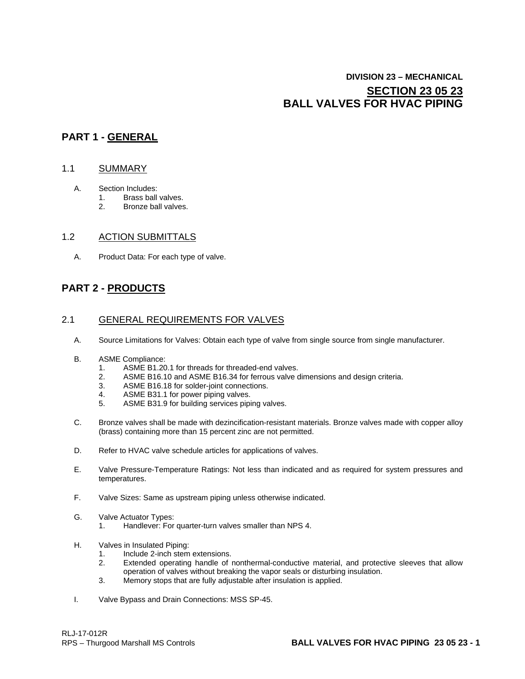# **DIVISION 23 – MECHANICAL SECTION 23 05 23 BALL VALVES FOR HVAC PIPING**

## **PART 1 - GENERAL**

#### 1.1 SUMMARY

- A. Section Includes:<br>1. Brass ball
	- 1. Brass ball valves.<br>2 Bronze ball valves
	- 2. Bronze ball valves.

### 1.2 ACTION SUBMITTALS

A. Product Data: For each type of valve.

# **PART 2 - PRODUCTS**

### 2.1 GENERAL REQUIREMENTS FOR VALVES

- A. Source Limitations for Valves: Obtain each type of valve from single source from single manufacturer.
- B. ASME Compliance:
	- 1. ASME B1.20.1 for threads for threaded-end valves.<br>2. ASME B16.10 and ASME B16.34 for ferrous valve of
	- 2. ASME B16.10 and ASME B16.34 for ferrous valve dimensions and design criteria.<br>3. ASME B16.18 for solder-joint connections.
	- 3. ASME B16.18 for solder-joint connections.<br>4. ASME B31.1 for power piping valves.
	- ASME B31.1 for power piping valves.
	- 5. ASME B31.9 for building services piping valves.
- C. Bronze valves shall be made with dezincification-resistant materials. Bronze valves made with copper alloy (brass) containing more than 15 percent zinc are not permitted.
- D. Refer to HVAC valve schedule articles for applications of valves.
- E. Valve Pressure-Temperature Ratings: Not less than indicated and as required for system pressures and temperatures.
- F. Valve Sizes: Same as upstream piping unless otherwise indicated.
- G. Valve Actuator Types:
	- 1. Handlever: For quarter-turn valves smaller than NPS 4.
- H. Valves in Insulated Piping:
	- 1. Include 2-inch stem extensions.
	- 2. Extended operating handle of nonthermal-conductive material, and protective sleeves that allow operation of valves without breaking the vapor seals or disturbing insulation.
	- 3. Memory stops that are fully adjustable after insulation is applied.
- I. Valve Bypass and Drain Connections: MSS SP-45.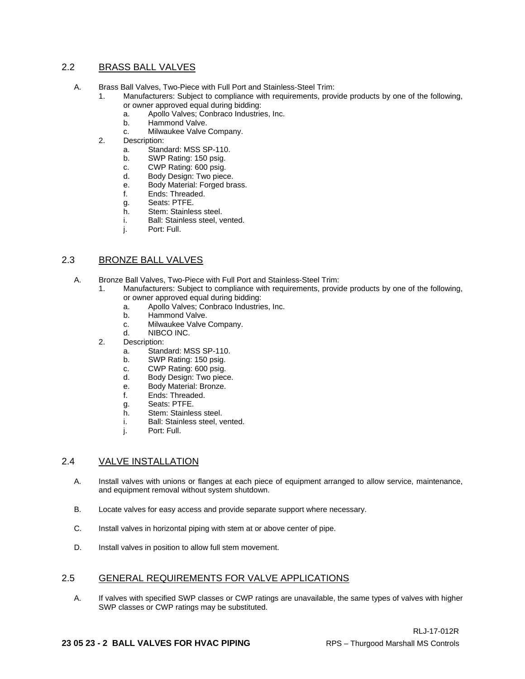### 2.2 BRASS BALL VALVES

- A. Brass Ball Valves, Two-Piece with Full Port and Stainless-Steel Trim:
	- 1. Manufacturers: Subject to compliance with requirements, provide products by one of the following, or owner approved equal during bidding:<br>a. Apollo Valves: Conbraco Industrie
		- a. Apollo Valves; Conbraco Industries, Inc.
		- b. Hammond Valve.<br>c. Milwaukee Valve
		- Milwaukee Valve Company.
	- 2. Description:
		- a. Standard: MSS SP-110.
		- b. SWP Rating: 150 psig.
		- c. CWP Rating: 600 psig.<br>d. Body Design: Two piec
		- Body Design: Two piece.
		- e. Body Material: Forged brass.
		- f. Ends: Threaded.
		- g. Seats: PTFE.
		- h. Stem: Stainless steel.<br>i. Ball: Stainless steel, v
		- Ball: Stainless steel, vented.
		- j. Port: Full.

### 2.3 BRONZE BALL VALVES

- A. Bronze Ball Valves, Two-Piece with Full Port and Stainless-Steel Trim:
	- 1. Manufacturers: Subject to compliance with requirements, provide products by one of the following, or owner approved equal during bidding:
		- a. Apollo Valves; Conbraco Industries, Inc.
		- b. Hammond Valve.<br>c. Milwaukee Valve
		- c. Milwaukee Valve Company.<br>d. NIBCO INC.
		- NIBCO INC.
		- 2. Description:
			- a. Standard: MSS SP-110.
			- b. SWP Rating: 150 psig.
			- c. CWP Rating: 600 psig.<br>d. Body Design: Two piec
			- Body Design: Two piece.
			- e. Body Material: Bronze.
			- f. Ends: Threaded.
			- g. Seats: PTFE.<br>h Stem: Stainles
			- h. Stem: Stainless steel.<br>i. Ball: Stainless steel. v
			- Ball: Stainless steel, vented.
			- j. Port: Full.

### 2.4 VALVE INSTALLATION

- A. Install valves with unions or flanges at each piece of equipment arranged to allow service, maintenance, and equipment removal without system shutdown.
- B. Locate valves for easy access and provide separate support where necessary.
- C. Install valves in horizontal piping with stem at or above center of pipe.
- D. Install valves in position to allow full stem movement.

### 2.5 GENERAL REQUIREMENTS FOR VALVE APPLICATIONS

A. If valves with specified SWP classes or CWP ratings are unavailable, the same types of valves with higher SWP classes or CWP ratings may be substituted.

#### **23 05 23 - 2 BALL VALVES FOR HVAC PIPING** RPS – Thurgood Marshall MS Controls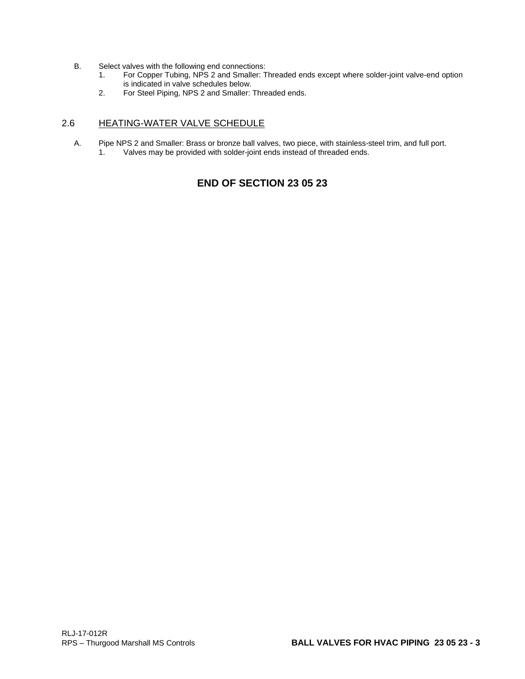- B. Select valves with the following end connections:<br>1. For Copper Tubing, NPS 2 and Smaller: T
	- 1. For Copper Tubing, NPS 2 and Smaller: Threaded ends except where solder-joint valve-end option is indicated in valve schedules below.
	- 2. For Steel Piping, NPS 2 and Smaller: Threaded ends.

### 2.6 HEATING-WATER VALVE SCHEDULE

A. Pipe NPS 2 and Smaller: Brass or bronze ball valves, two piece, with stainless-steel trim, and full port. Valves may be provided with solder-joint ends instead of threaded ends.

# **END OF SECTION 23 05 23**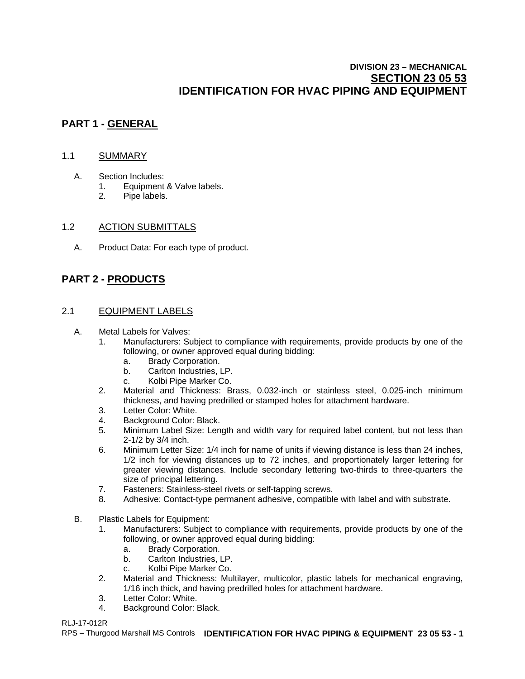# **DIVISION 23 – MECHANICAL SECTION 23 05 53 IDENTIFICATION FOR HVAC PIPING AND EQUIPMENT**

# **PART 1 - GENERAL**

### 1.1 SUMMARY

- A. Section Includes:
	- 1. Equipment & Valve labels.
	- 2. Pipe labels.

### 1.2 ACTION SUBMITTALS

A. Product Data: For each type of product.

# **PART 2 - PRODUCTS**

### 2.1 EQUIPMENT LABELS

### A. Metal Labels for Valves:

- 1. Manufacturers: Subject to compliance with requirements, provide products by one of the following, or owner approved equal during bidding:
	- a. Brady Corporation.
	- b. Carlton Industries, LP.
	- c. Kolbi Pipe Marker Co.
- 2. Material and Thickness: Brass, 0.032-inch or stainless steel, 0.025-inch minimum thickness, and having predrilled or stamped holes for attachment hardware.
- 3. Letter Color: White.
- 4. Background Color: Black.
- 5. Minimum Label Size: Length and width vary for required label content, but not less than 2-1/2 by 3/4 inch.
- 6. Minimum Letter Size: 1/4 inch for name of units if viewing distance is less than 24 inches, 1/2 inch for viewing distances up to 72 inches, and proportionately larger lettering for greater viewing distances. Include secondary lettering two-thirds to three-quarters the size of principal lettering.
- 7. Fasteners: Stainless-steel rivets or self-tapping screws.
- 8. Adhesive: Contact-type permanent adhesive, compatible with label and with substrate.
- B. Plastic Labels for Equipment:
	- 1. Manufacturers: Subject to compliance with requirements, provide products by one of the following, or owner approved equal during bidding:
		- a. Brady Corporation.
		- b. Carlton Industries, LP.
		- c. Kolbi Pipe Marker Co.
	- 2. Material and Thickness: Multilayer, multicolor, plastic labels for mechanical engraving, 1/16 inch thick, and having predrilled holes for attachment hardware.
	- 3. Letter Color: White.<br>4. Background Color: I
	- Background Color: Black.

### RLJ-17-012R

RPS – Thurgood Marshall MS Controls **IDENTIFICATION FOR HVAC PIPING & EQUIPMENT 23 05 53 - 1**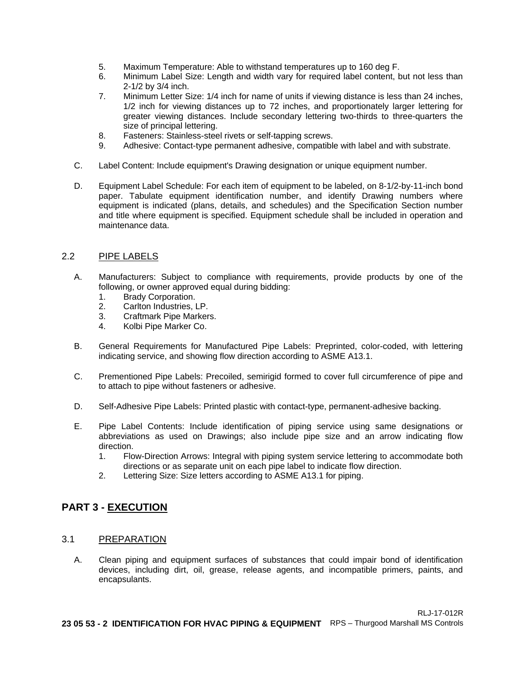- 5. Maximum Temperature: Able to withstand temperatures up to 160 deg F.
- 6. Minimum Label Size: Length and width vary for required label content, but not less than 2-1/2 by 3/4 inch.
- 7. Minimum Letter Size: 1/4 inch for name of units if viewing distance is less than 24 inches, 1/2 inch for viewing distances up to 72 inches, and proportionately larger lettering for greater viewing distances. Include secondary lettering two-thirds to three-quarters the size of principal lettering.
- 8. Fasteners: Stainless-steel rivets or self-tapping screws.<br>9. Adhesive: Contact-type permanent adhesive, compatible
- Adhesive: Contact-type permanent adhesive, compatible with label and with substrate.
- C. Label Content: Include equipment's Drawing designation or unique equipment number.
- D. Equipment Label Schedule: For each item of equipment to be labeled, on 8-1/2-by-11-inch bond paper. Tabulate equipment identification number, and identify Drawing numbers where equipment is indicated (plans, details, and schedules) and the Specification Section number and title where equipment is specified. Equipment schedule shall be included in operation and maintenance data.

### 2.2 PIPE LABELS

- A. Manufacturers: Subject to compliance with requirements, provide products by one of the following, or owner approved equal during bidding:
	- 1. Brady Corporation.<br>2. Carlton Industries. I
	- 2. Carlton Industries, LP.
	- 3. Craftmark Pipe Markers.
	- 4. Kolbi Pipe Marker Co.
- B. General Requirements for Manufactured Pipe Labels: Preprinted, color-coded, with lettering indicating service, and showing flow direction according to ASME A13.1.
- C. Prementioned Pipe Labels: Precoiled, semirigid formed to cover full circumference of pipe and to attach to pipe without fasteners or adhesive.
- D. Self-Adhesive Pipe Labels: Printed plastic with contact-type, permanent-adhesive backing.
- E. Pipe Label Contents: Include identification of piping service using same designations or abbreviations as used on Drawings; also include pipe size and an arrow indicating flow direction.
	- 1. Flow-Direction Arrows: Integral with piping system service lettering to accommodate both directions or as separate unit on each pipe label to indicate flow direction.
	- 2. Lettering Size: Size letters according to ASME A13.1 for piping.

# **PART 3 - EXECUTION**

### 3.1 PREPARATION

A. Clean piping and equipment surfaces of substances that could impair bond of identification devices, including dirt, oil, grease, release agents, and incompatible primers, paints, and encapsulants.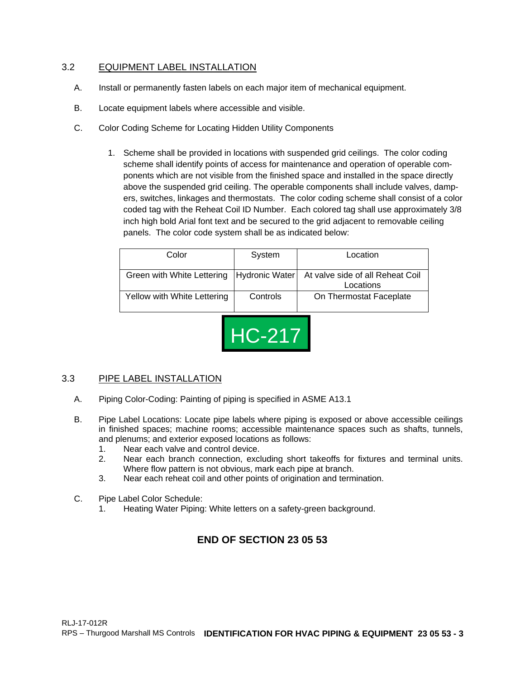## 3.2 EQUIPMENT LABEL INSTALLATION

- A. Install or permanently fasten labels on each major item of mechanical equipment.
- B. Locate equipment labels where accessible and visible.
- C. Color Coding Scheme for Locating Hidden Utility Components
	- 1. Scheme shall be provided in locations with suspended grid ceilings. The color coding scheme shall identify points of access for maintenance and operation of operable components which are not visible from the finished space and installed in the space directly above the suspended grid ceiling. The operable components shall include valves, dampers, switches, linkages and thermostats. The color coding scheme shall consist of a color coded tag with the Reheat Coil ID Number. Each colored tag shall use approximately 3/8 inch high bold Arial font text and be secured to the grid adjacent to removable ceiling panels. The color code system shall be as indicated below:

| Color                       | System   | Location                                                                                   |
|-----------------------------|----------|--------------------------------------------------------------------------------------------|
|                             |          | Green with White Lettering   Hydronic Water  At valve side of all Reheat Coil<br>Locations |
| Yellow with White Lettering | Controls | On Thermostat Faceplate                                                                    |



## 3.3 PIPE LABEL INSTALLATION

- A. Piping Color-Coding: Painting of piping is specified in ASME A13.1
- B. Pipe Label Locations: Locate pipe labels where piping is exposed or above accessible ceilings in finished spaces; machine rooms; accessible maintenance spaces such as shafts, tunnels, and plenums; and exterior exposed locations as follows:
	- 1. Near each valve and control device.<br>2. Near each branch connection. exc
	- Near each branch connection, excluding short takeoffs for fixtures and terminal units. Where flow pattern is not obvious, mark each pipe at branch.
	- 3. Near each reheat coil and other points of origination and termination.
- C. Pipe Label Color Schedule:
	- 1. Heating Water Piping: White letters on a safety-green background.

# **END OF SECTION 23 05 53**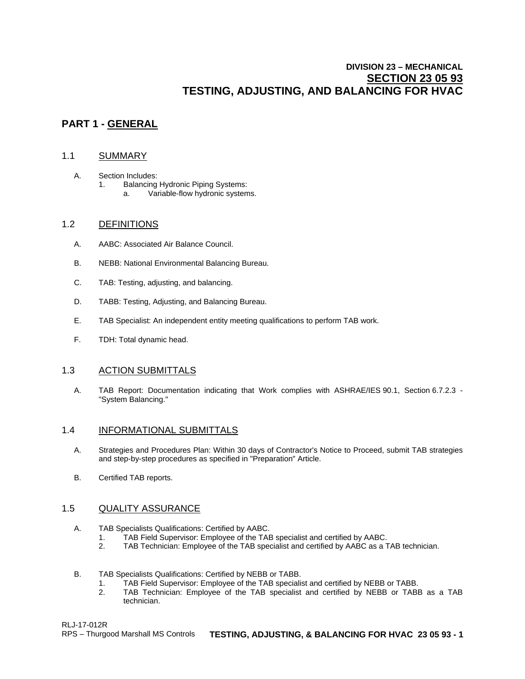# **DIVISION 23 – MECHANICAL SECTION 23 05 93 TESTING, ADJUSTING, AND BALANCING FOR HVAC**

# **PART 1 - GENERAL**

### 1.1 SUMMARY

- A. Section Includes: 1. Balancing Hydronic Piping Systems:
	- a. Variable-flow hydronic systems.

### 1.2 DEFINITIONS

- A. AABC: Associated Air Balance Council.
- B. NEBB: National Environmental Balancing Bureau.
- C. TAB: Testing, adjusting, and balancing.
- D. TABB: Testing, Adjusting, and Balancing Bureau.
- E. TAB Specialist: An independent entity meeting qualifications to perform TAB work.
- F. TDH: Total dynamic head.

### 1.3 ACTION SUBMITTALS

A. TAB Report: Documentation indicating that Work complies with ASHRAE/IES 90.1, Section 6.7.2.3 - "System Balancing."

### 1.4 INFORMATIONAL SUBMITTALS

- A. Strategies and Procedures Plan: Within 30 days of Contractor's Notice to Proceed, submit TAB strategies and step-by-step procedures as specified in "Preparation" Article.
- B. Certified TAB reports.

### 1.5 QUALITY ASSURANCE

- A. TAB Specialists Qualifications: Certified by AABC.
	- 1. TAB Field Supervisor: Employee of the TAB specialist and certified by AABC.<br>2. TAB Technician: Employee of the TAB specialist and certified by AABC as a T
	- TAB Technician: Employee of the TAB specialist and certified by AABC as a TAB technician.
- B. TAB Specialists Qualifications: Certified by NEBB or TABB.
	- 1. TAB Field Supervisor: Employee of the TAB specialist and certified by NEBB or TABB.<br>2. TAB Technician: Employee of the TAB specialist and certified by NEBB or TABI
	- 2. TAB Technician: Employee of the TAB specialist and certified by NEBB or TABB as a TAB technician.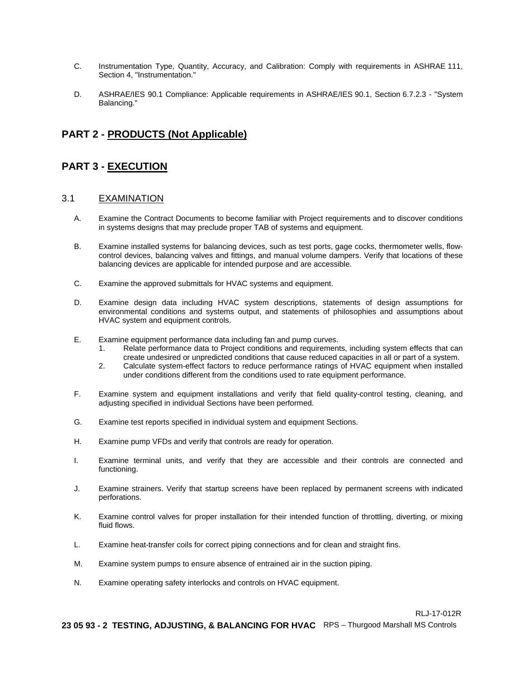- C. Instrumentation Type, Quantity, Accuracy, and Calibration: Comply with requirements in ASHRAE 111, Section 4, "Instrumentation."
- D. ASHRAE/IES 90.1 Compliance: Applicable requirements in ASHRAE/IES 90.1, Section 6.7.2.3 "System Balancing."

# **PART 2 - PRODUCTS (Not Applicable)**

## **PART 3 - EXECUTION**

### 3.1 EXAMINATION

- A. Examine the Contract Documents to become familiar with Project requirements and to discover conditions in systems designs that may preclude proper TAB of systems and equipment.
- B. Examine installed systems for balancing devices, such as test ports, gage cocks, thermometer wells, flowcontrol devices, balancing valves and fittings, and manual volume dampers. Verify that locations of these balancing devices are applicable for intended purpose and are accessible.
- C. Examine the approved submittals for HVAC systems and equipment.
- D. Examine design data including HVAC system descriptions, statements of design assumptions for environmental conditions and systems output, and statements of philosophies and assumptions about HVAC system and equipment controls.
- E. Examine equipment performance data including fan and pump curves.
	- 1. Relate performance data to Project conditions and requirements, including system effects that can create undesired or unpredicted conditions that cause reduced capacities in all or part of a system.
	- 2. Calculate system-effect factors to reduce performance ratings of HVAC equipment when installed under conditions different from the conditions used to rate equipment performance.
- F. Examine system and equipment installations and verify that field quality-control testing, cleaning, and adjusting specified in individual Sections have been performed.
- G. Examine test reports specified in individual system and equipment Sections.
- H. Examine pump VFDs and verify that controls are ready for operation.
- I. Examine terminal units, and verify that they are accessible and their controls are connected and functioning.
- J. Examine strainers. Verify that startup screens have been replaced by permanent screens with indicated perforations.
- K. Examine control valves for proper installation for their intended function of throttling, diverting, or mixing fluid flows.
- L. Examine heat-transfer coils for correct piping connections and for clean and straight fins.
- M. Examine system pumps to ensure absence of entrained air in the suction piping.
- N. Examine operating safety interlocks and controls on HVAC equipment.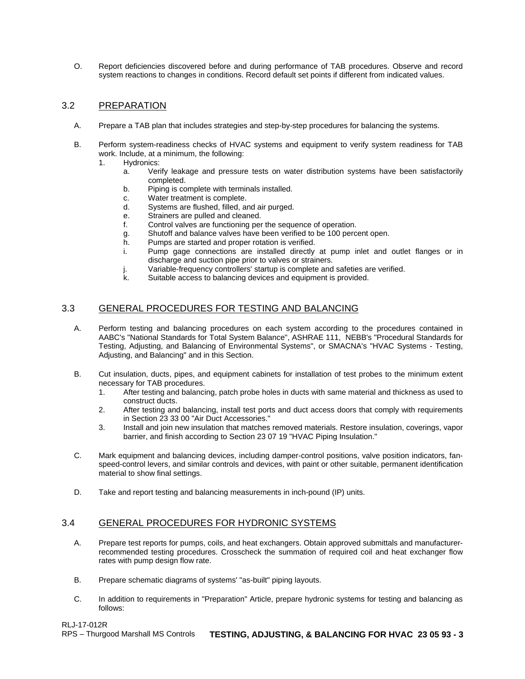O. Report deficiencies discovered before and during performance of TAB procedures. Observe and record system reactions to changes in conditions. Record default set points if different from indicated values.

### 3.2 PREPARATION

- A. Prepare a TAB plan that includes strategies and step-by-step procedures for balancing the systems.
- B. Perform system-readiness checks of HVAC systems and equipment to verify system readiness for TAB work. Include, at a minimum, the following:
	- 1. Hydronics:
		- a. Verify leakage and pressure tests on water distribution systems have been satisfactorily completed.
		- b. Piping is complete with terminals installed.
		- c. Water treatment is complete.<br>d. Systems are flushed, filled, are
		- Systems are flushed, filled, and air purged.
		- e. Strainers are pulled and cleaned.
		- f. Control valves are functioning per the sequence of operation.
		- g. Shutoff and balance valves have been verified to be 100 percent open.<br>h. Pumps are started and proper rotation is verified.
		- Pumps are started and proper rotation is verified.
		- i. Pump gage connections are installed directly at pump inlet and outlet flanges or in discharge and suction pipe prior to valves or strainers.
		- j. Variable-frequency controllers' startup is complete and safeties are verified.
		- Suitable access to balancing devices and equipment is provided.

## 3.3 GENERAL PROCEDURES FOR TESTING AND BALANCING

- A. Perform testing and balancing procedures on each system according to the procedures contained in AABC's "National Standards for Total System Balance", ASHRAE 111, NEBB's "Procedural Standards for Testing, Adjusting, and Balancing of Environmental Systems", or SMACNA's "HVAC Systems - Testing, Adjusting, and Balancing" and in this Section.
- B. Cut insulation, ducts, pipes, and equipment cabinets for installation of test probes to the minimum extent necessary for TAB procedures.
	- 1. After testing and balancing, patch probe holes in ducts with same material and thickness as used to construct ducts.
	- 2. After testing and balancing, install test ports and duct access doors that comply with requirements in Section 23 33 00 "Air Duct Accessories."
	- 3. Install and join new insulation that matches removed materials. Restore insulation, coverings, vapor barrier, and finish according to Section 23 07 19 "HVAC Piping Insulation."
- C. Mark equipment and balancing devices, including damper-control positions, valve position indicators, fanspeed-control levers, and similar controls and devices, with paint or other suitable, permanent identification material to show final settings.
- D. Take and report testing and balancing measurements in inch-pound (IP) units.

### 3.4 GENERAL PROCEDURES FOR HYDRONIC SYSTEMS

- A. Prepare test reports for pumps, coils, and heat exchangers. Obtain approved submittals and manufacturerrecommended testing procedures. Crosscheck the summation of required coil and heat exchanger flow rates with pump design flow rate.
- B. Prepare schematic diagrams of systems' "as-built" piping layouts.
- C. In addition to requirements in "Preparation" Article, prepare hydronic systems for testing and balancing as follows: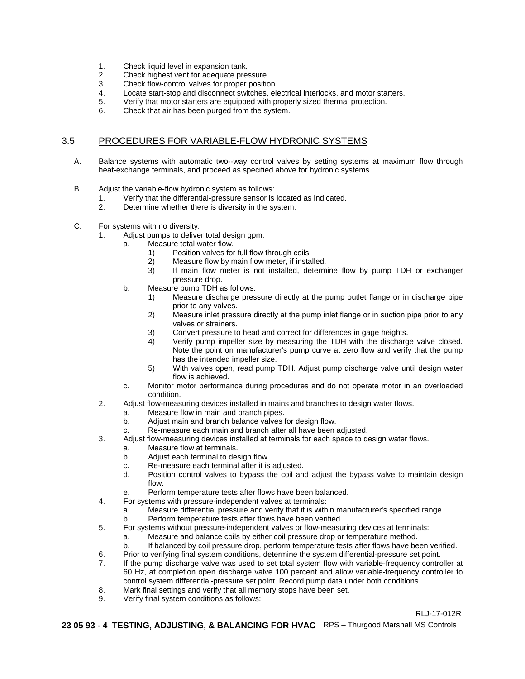- 1. Check liquid level in expansion tank.<br>2. Check highest vent for adequate pre
- 2. Check highest vent for adequate pressure.<br>3. Check flow-control valves for proper position
- Check flow-control valves for proper position.
- 4. Locate start-stop and disconnect switches, electrical interlocks, and motor starters.
- 5. Verify that motor starters are equipped with properly sized thermal protection.
- 6. Check that air has been purged from the system.

## 3.5 PROCEDURES FOR VARIABLE-FLOW HYDRONIC SYSTEMS

- A. Balance systems with automatic two--way control valves by setting systems at maximum flow through heat-exchange terminals, and proceed as specified above for hydronic systems.
- B. Adjust the variable-flow hydronic system as follows:
	- 1. Verify that the differential-pressure sensor is located as indicated.<br>2. Determine whether there is diversity in the system.
	- Determine whether there is diversity in the system.
- C. For systems with no diversity:
	- 1. Adjust pumps to deliver total design gpm.
		- a. Measure total water flow.
			- 1) Position valves for full flow through coils.<br>2) Measure flow by main flow meter, if insta
			- Measure flow by main flow meter, if installed.
			- 3) If main flow meter is not installed, determine flow by pump TDH or exchanger pressure drop.
		- b. Measure pump TDH as follows:
			- 1) Measure discharge pressure directly at the pump outlet flange or in discharge pipe prior to any valves.
			- 2) Measure inlet pressure directly at the pump inlet flange or in suction pipe prior to any valves or strainers.
			- 3) Convert pressure to head and correct for differences in gage heights.
			- 4) Verify pump impeller size by measuring the TDH with the discharge valve closed. Note the point on manufacturer's pump curve at zero flow and verify that the pump has the intended impeller size.
			- 5) With valves open, read pump TDH. Adjust pump discharge valve until design water flow is achieved.
		- c. Monitor motor performance during procedures and do not operate motor in an overloaded condition.
	- 2. Adjust flow-measuring devices installed in mains and branches to design water flows.
		- a. Measure flow in main and branch pipes.
		- b. Adjust main and branch balance valves for design flow.
		- c. Re-measure each main and branch after all have been adjusted.
	- 3. Adjust flow-measuring devices installed at terminals for each space to design water flows.
		- a. Measure flow at terminals.
			- b. Adjust each terminal to design flow.
			- c. Re-measure each terminal after it is adjusted.
			- Position control valves to bypass the coil and adjust the bypass valve to maintain design flow.
			- e. Perform temperature tests after flows have been balanced.
	- 4. For systems with pressure-independent valves at terminals:
		- a. Measure differential pressure and verify that it is within manufacturer's specified range.
		- b. Perform temperature tests after flows have been verified.
	- 5. For systems without pressure-independent valves or flow-measuring devices at terminals:
		- a. Measure and balance coils by either coil pressure drop or temperature method.
		- b. If balanced by coil pressure drop, perform temperature tests after flows have been verified.
	- 6. Prior to verifying final system conditions, determine the system differential-pressure set point.
	- 7. If the pump discharge valve was used to set total system flow with variable-frequency controller at 60 Hz, at completion open discharge valve 100 percent and allow variable-frequency controller to control system differential-pressure set point. Record pump data under both conditions.
	- 8. Mark final settings and verify that all memory stops have been set.<br>9. Verify final system conditions as follows:
	- Verify final system conditions as follows:

#### RLJ-17-012R

**23 05 93 - 4 TESTING, ADJUSTING, & BALANCING FOR HVAC** RPS – Thurgood Marshall MS Controls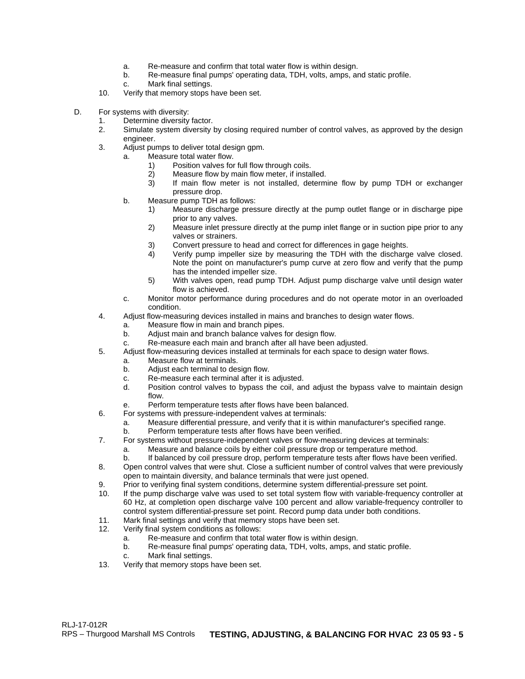- a. Re-measure and confirm that total water flow is within design.
- Re-measure final pumps' operating data, TDH, volts, amps, and static profile.
- c. Mark final settings.
- 10. Verify that memory stops have been set.
- D. For systems with diversity:
	- 1. Determine diversity factor.<br>2. Simulate system diversity by
	- Simulate system diversity by closing required number of control valves, as approved by the design engineer.
	- 3. Adjust pumps to deliver total design gpm.
		- a. Measure total water flow.
			- 1) Position valves for full flow through coils.<br>2) Measure flow by main flow meter, if insta
				- Measure flow by main flow meter, if installed.
			- 3) If main flow meter is not installed, determine flow by pump TDH or exchanger pressure drop.
		- b. Measure pump TDH as follows:
			- 1) Measure discharge pressure directly at the pump outlet flange or in discharge pipe prior to any valves.
			- 2) Measure inlet pressure directly at the pump inlet flange or in suction pipe prior to any valves or strainers.
			- 3) Convert pressure to head and correct for differences in gage heights.<br>4) Verify pump impeller size by measuring the TDH with the discharg
			- 4) Verify pump impeller size by measuring the TDH with the discharge valve closed. Note the point on manufacturer's pump curve at zero flow and verify that the pump has the intended impeller size.
			- 5) With valves open, read pump TDH. Adjust pump discharge valve until design water flow is achieved.
		- c. Monitor motor performance during procedures and do not operate motor in an overloaded condition.
	- 4. Adjust flow-measuring devices installed in mains and branches to design water flows.
		- a. Measure flow in main and branch pipes.<br>b. Adjust main and branch balance valves to
		- Adjust main and branch balance valves for design flow.
		- c. Re-measure each main and branch after all have been adjusted.
	- 5. Adjust flow-measuring devices installed at terminals for each space to design water flows.
		- a. Measure flow at terminals.
		- b. Adjust each terminal to design flow.
		- c. Re-measure each terminal after it is adjusted.
		- Position control valves to bypass the coil, and adjust the bypass valve to maintain design flow.
		- e. Perform temperature tests after flows have been balanced.
	- 6. For systems with pressure-independent valves at terminals:
		- a. Measure differential pressure, and verify that it is within manufacturer's specified range.
		- b. Perform temperature tests after flows have been verified.
	- 7. For systems without pressure-independent valves or flow-measuring devices at terminals:
		- a. Measure and balance coils by either coil pressure drop or temperature method.
		- b. If balanced by coil pressure drop, perform temperature tests after flows have been verified.
	- 8. Open control valves that were shut. Close a sufficient number of control valves that were previously open to maintain diversity, and balance terminals that were just opened.
	- 9. Prior to verifying final system conditions, determine system differential-pressure set point.
	- 10. If the pump discharge valve was used to set total system flow with variable-frequency controller at 60 Hz, at completion open discharge valve 100 percent and allow variable-frequency controller to control system differential-pressure set point. Record pump data under both conditions.
	- 11. Mark final settings and verify that memory stops have been set.
	- 12. Verify final system conditions as follows:
		- a. Re-measure and confirm that total water flow is within design.
		- b. Re-measure final pumps' operating data, TDH, volts, amps, and static profile.
		- c. Mark final settings.
	- 13. Verify that memory stops have been set.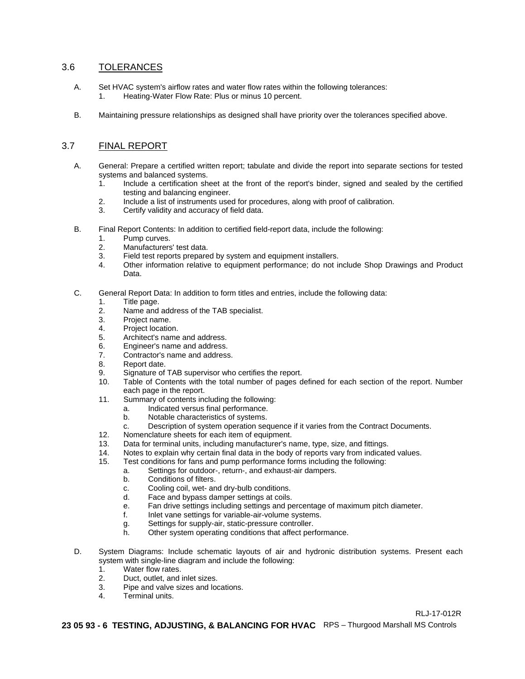### 3.6 TOLERANCES

- A. Set HVAC system's airflow rates and water flow rates within the following tolerances: 1. Heating-Water Flow Rate: Plus or minus 10 percent.
- B. Maintaining pressure relationships as designed shall have priority over the tolerances specified above.

### 3.7 FINAL REPORT

- A. General: Prepare a certified written report; tabulate and divide the report into separate sections for tested systems and balanced systems.<br>1. Include a certification sh
	- 1. Include a certification sheet at the front of the report's binder, signed and sealed by the certified testing and balancing engineer.
	- 2. Include a list of instruments used for procedures, along with proof of calibration.
	- 3. Certify validity and accuracy of field data.
- B. Final Report Contents: In addition to certified field-report data, include the following:
	- 1. Pump curves.
	- 2. Manufacturers' test data.
	- 3. Field test reports prepared by system and equipment installers.<br>4. Other information relative to equipment performance: do not in
	- 4. Other information relative to equipment performance; do not include Shop Drawings and Product Data.
- C. General Report Data: In addition to form titles and entries, include the following data:
	- 1. Title page.
	- 2. Name and address of the TAB specialist.<br>3. Project name.
	- 3. Project name.<br>4. Project location
	- Project location.
	- 5. Architect's name and address.
	- 6. Engineer's name and address.
	- 7. Contractor's name and address.<br>8. Report date.
	- Report date.
	- 9. Signature of TAB supervisor who certifies the report.<br>10. Table of Contents with the total number of pages d
	- Table of Contents with the total number of pages defined for each section of the report. Number each page in the report.
	- 11. Summary of contents including the following:
		- a. Indicated versus final performance.
		- Notable characteristics of systems.
		- c. Description of system operation sequence if it varies from the Contract Documents.
	- 12. Nomenclature sheets for each item of equipment.<br>13. Data for terminal units, including manufacturer's na
	- 13. Data for terminal units, including manufacturer's name, type, size, and fittings.
	- 14. Notes to explain why certain final data in the body of reports vary from indicated values.<br>15. Test conditions for fans and pump performance forms including the following:
	- Test conditions for fans and pump performance forms including the following:
		- a. Settings for outdoor-, return-, and exhaust-air dampers.
		- b. Conditions of filters.
		- c. Cooling coil, wet- and dry-bulb conditions.
		- d. Face and bypass damper settings at coils.
		- e. Fan drive settings including settings and percentage of maximum pitch diameter.
		- f. Inlet vane settings for variable-air-volume systems.
		- g. Settings for supply-air, static-pressure controller.<br>
		h. Other system operating conditions that affect per
		- Other system operating conditions that affect performance.
- D. System Diagrams: Include schematic layouts of air and hydronic distribution systems. Present each system with single-line diagram and include the following:
	- 1. Water flow rates.
	- 2. Duct, outlet, and inlet sizes.
	- 3. Pipe and valve sizes and locations.<br>4. Terminal units.
	- Terminal units.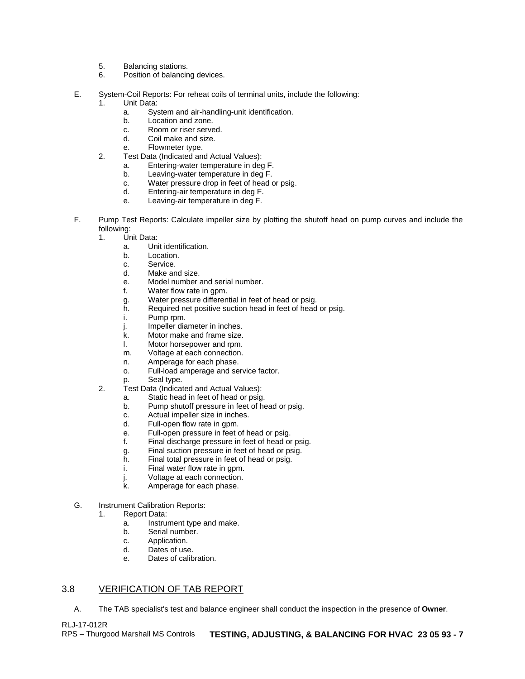- 5. Balancing stations.<br>6. Position of balancin
- Position of balancing devices.
- E. System-Coil Reports: For reheat coils of terminal units, include the following:
	- 1. Unit Data:<br>a Sys
		- a. System and air-handling-unit identification.
		- b. Location and zone.<br>c. Room or riser serve
		- Room or riser served.
		- d. Coil make and size.
		- e. Flowmeter type.
	- 2. Test Data (Indicated and Actual Values):
		- a. Entering-water temperature in deg F.
		- Leaving-water temperature in deg F.
		- c. Water pressure drop in feet of head or psig.
		- d. Entering-air temperature in deg F.
		- e. Leaving-air temperature in deg F.
- F. Pump Test Reports: Calculate impeller size by plotting the shutoff head on pump curves and include the following:
	- 1. Unit Data:
		- a. Unit identification.
		- b. Location.
		- c. Service.<br>d. Make an
		- Make and size.
		- e. Model number and serial number.
		- f. Water flow rate in gpm.
		- g. Water pressure differential in feet of head or psig.
		- h. Required net positive suction head in feet of head or psig.<br>i. Pump rpm.
		- Pump rpm.
		- j. Impeller diameter in inches.
		- k. Motor make and frame size.<br>I. Motor horsepower and rpm.
		- l. Motor horsepower and rpm.<br>m. Voltage at each connection.
		- m. Voltage at each connection.<br>n. Amperage for each phase.
		- Amperage for each phase.
		- o. Full-load amperage and service factor.
		- p. Seal type.
	- 2. Test Data (Indicated and Actual Values):
		- a. Static head in feet of head or psig.<br>b. Pump shutoff pressure in feet of he
		- Pump shutoff pressure in feet of head or psig.
		- c. Actual impeller size in inches.<br>d. Full-open flow rate in gpm.
		- d. Full-open flow rate in gpm.<br>e. Full-open pressure in feet o
		- Full-open pressure in feet of head or psig.
		- f. Final discharge pressure in feet of head or psig.
		- g. Final suction pressure in feet of head or psig.
		- h. Final total pressure in feet of head or psig.
		- i. Final water flow rate in gpm.
		- j. Voltage at each connection.<br>k. Amperage for each phase.
		- Amperage for each phase.
- G. Instrument Calibration Reports:
	- 1. Report Data:
		- a. Instrument type and make.<br>b. Serial number.
		- Serial number.
		- c. Application.
		- d. Dates of use.
		- e. Dates of calibration.

## 3.8 VERIFICATION OF TAB REPORT

A. The TAB specialist's test and balance engineer shall conduct the inspection in the presence of **Owner**.